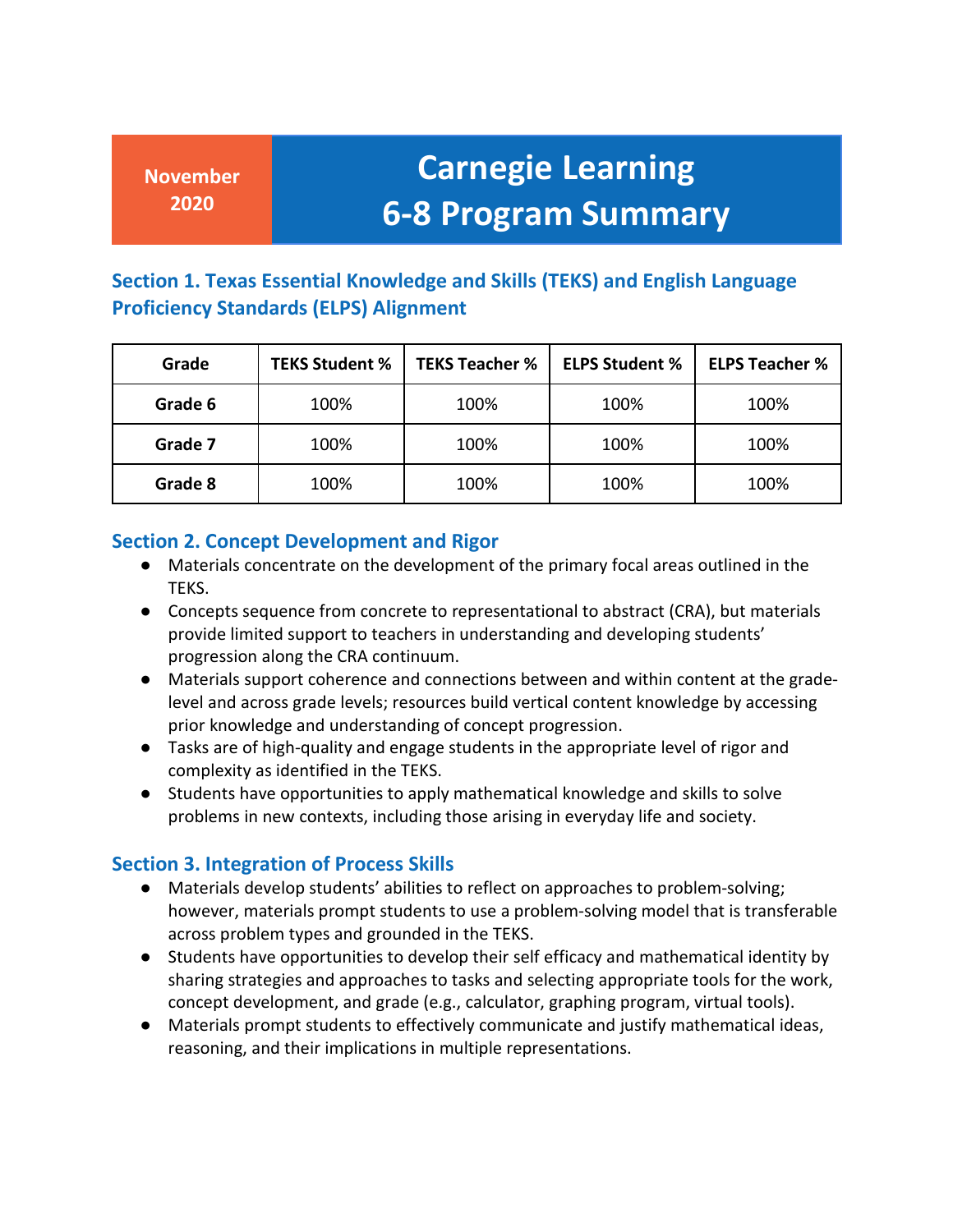## **Carnegie Learning 6-8 Program Summary**

#### **Section 1. Texas Essential Knowledge and Skills (TEKS) and English Language Proficiency Standards (ELPS) Alignment**

| Grade   | <b>TEKS Student %</b> | <b>TEKS Teacher %</b> | <b>ELPS Student %</b> | <b>ELPS Teacher %</b> |
|---------|-----------------------|-----------------------|-----------------------|-----------------------|
| Grade 6 | 100%                  | 100%                  | 100%                  | 100%                  |
| Grade 7 | 100%                  | 100%                  | 100%                  | 100%                  |
| Grade 8 | 100%                  | 100%                  | 100%                  | 100%                  |

#### **Section 2. Concept Development and Rigor**

- Materials concentrate on the development of the primary focal areas outlined in the TEKS.
- ● Concepts sequence from concrete to representational to abstract (CRA), but materials provide limited support to teachers in understanding and developing students' progression along the CRA continuum.
- Materials support coherence and connections between and within content at the gradelevel and across grade levels; resources build vertical content knowledge by accessing prior knowledge and understanding of concept progression.
- Tasks are of high-quality and engage students in the appropriate level of rigor and complexity as identified in the TEKS.
- ● Students have opportunities to apply mathematical knowledge and skills to solve problems in new contexts, including those arising in everyday life and society.

#### **Section 3. Integration of Process Skills**

- however, materials prompt students to use a problem-solving model that is transferable ● Materials develop students' abilities to reflect on approaches to problem-solving; across problem types and grounded in the TEKS.
- ● Students have opportunities to develop their self efficacy and mathematical identity by sharing strategies and approaches to tasks and selecting appropriate tools for the work, concept development, and grade (e.g., calculator, graphing program, virtual tools).
- Materials prompt students to effectively communicate and justify mathematical ideas, reasoning, and their implications in multiple representations.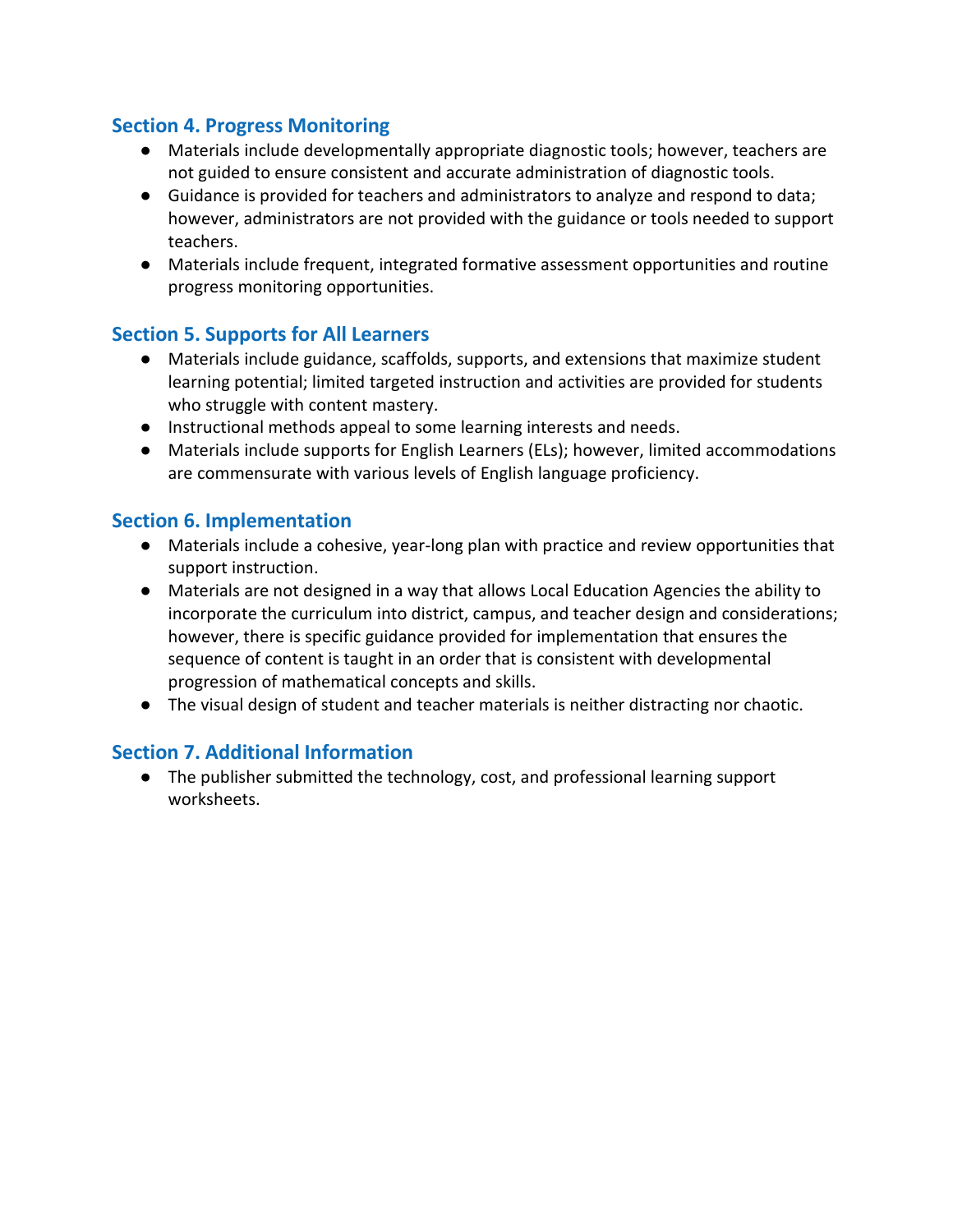#### **Section 4. Progress Monitoring**

- ● Materials include developmentally appropriate diagnostic tools; however, teachers are not guided to ensure consistent and accurate administration of diagnostic tools.
- ● Guidance is provided for teachers and administrators to analyze and respond to data; however, administrators are not provided with the guidance or tools needed to support teachers.
- Materials include frequent, integrated formative assessment opportunities and routine progress monitoring opportunities.

#### **Section 5. Supports for All Learners**

- Materials include guidance, scaffolds, supports, and extensions that maximize student learning potential; limited targeted instruction and activities are provided for students who struggle with content mastery.
- Instructional methods appeal to some learning interests and needs.
- are commensurate with various levels of English language proficiency. ● Materials include supports for English Learners (ELs); however, limited accommodations

#### **Section 6. Implementation**

- Materials include a cohesive, year-long plan with practice and review opportunities that support instruction.
- incorporate the curriculum into district, campus, and teacher design and considerations; however, there is specific guidance provided for implementation that ensures the progression of mathematical concepts and skills. ● Materials are not designed in a way that allows Local Education Agencies the ability to sequence of content is taught in an order that is consistent with developmental
- The visual design of student and teacher materials is neither distracting nor chaotic.

#### **Section 7. Additional Information**

● The publisher submitted the technology, cost, and professional learning support worksheets.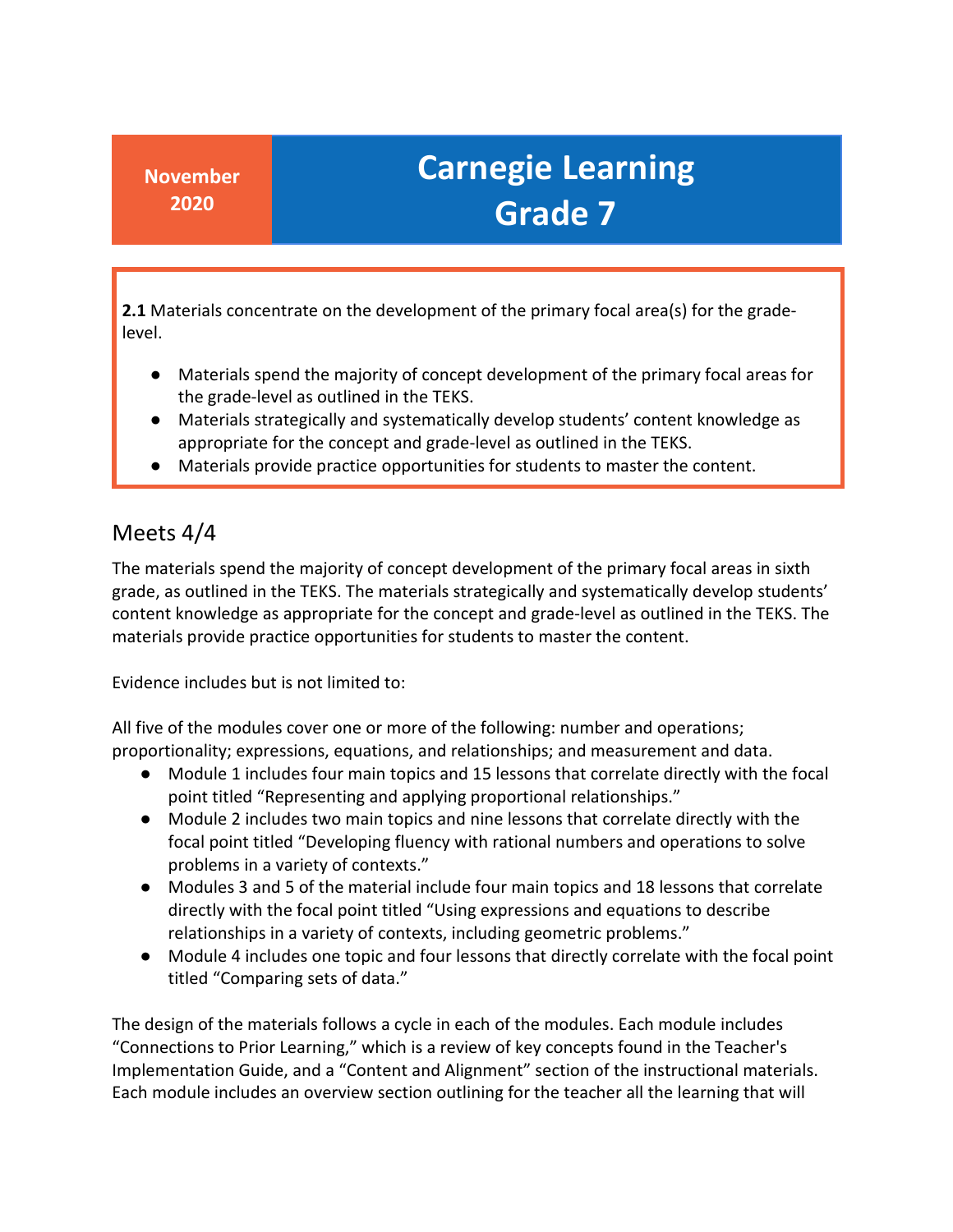**2.1** Materials concentrate on the development of the primary focal area(s) for the gradelevel.

- ● Materials spend the majority of concept development of the primary focal areas for the grade-level as outlined in the TEKS.
- appropriate for the concept and grade-level as outlined in the TEKS. ● Materials strategically and systematically develop students' content knowledge as
- Materials provide practice opportunities for students to master the content.

### Meets 4/4

 The materials spend the majority of concept development of the primary focal areas in sixth grade, as outlined in the TEKS. The materials strategically and systematically develop students' content knowledge as appropriate for the concept and grade-level as outlined in the TEKS. The materials provide practice opportunities for students to master the content.

Evidence includes but is not limited to:

 All five of the modules cover one or more of the following: number and operations; proportionality; expressions, equations, and relationships; and measurement and data.

- ● Module 1 includes four main topics and 15 lessons that correlate directly with the focal point titled "Representing and applying proportional relationships."
- Module 2 includes two main topics and nine lessons that correlate directly with the focal point titled "Developing fluency with rational numbers and operations to solve problems in a variety of contexts."
- ● Modules 3 and 5 of the material include four main topics and 18 lessons that correlate directly with the focal point titled "Using expressions and equations to describe relationships in a variety of contexts, including geometric problems."
- ● Module 4 includes one topic and four lessons that directly correlate with the focal point titled "Comparing sets of data."

 Each module includes an overview section outlining for the teacher all the learning that will The design of the materials follows a cycle in each of the modules. Each module includes "Connections to Prior Learning," which is a review of key concepts found in the Teacher's Implementation Guide, and a "Content and Alignment" section of the instructional materials.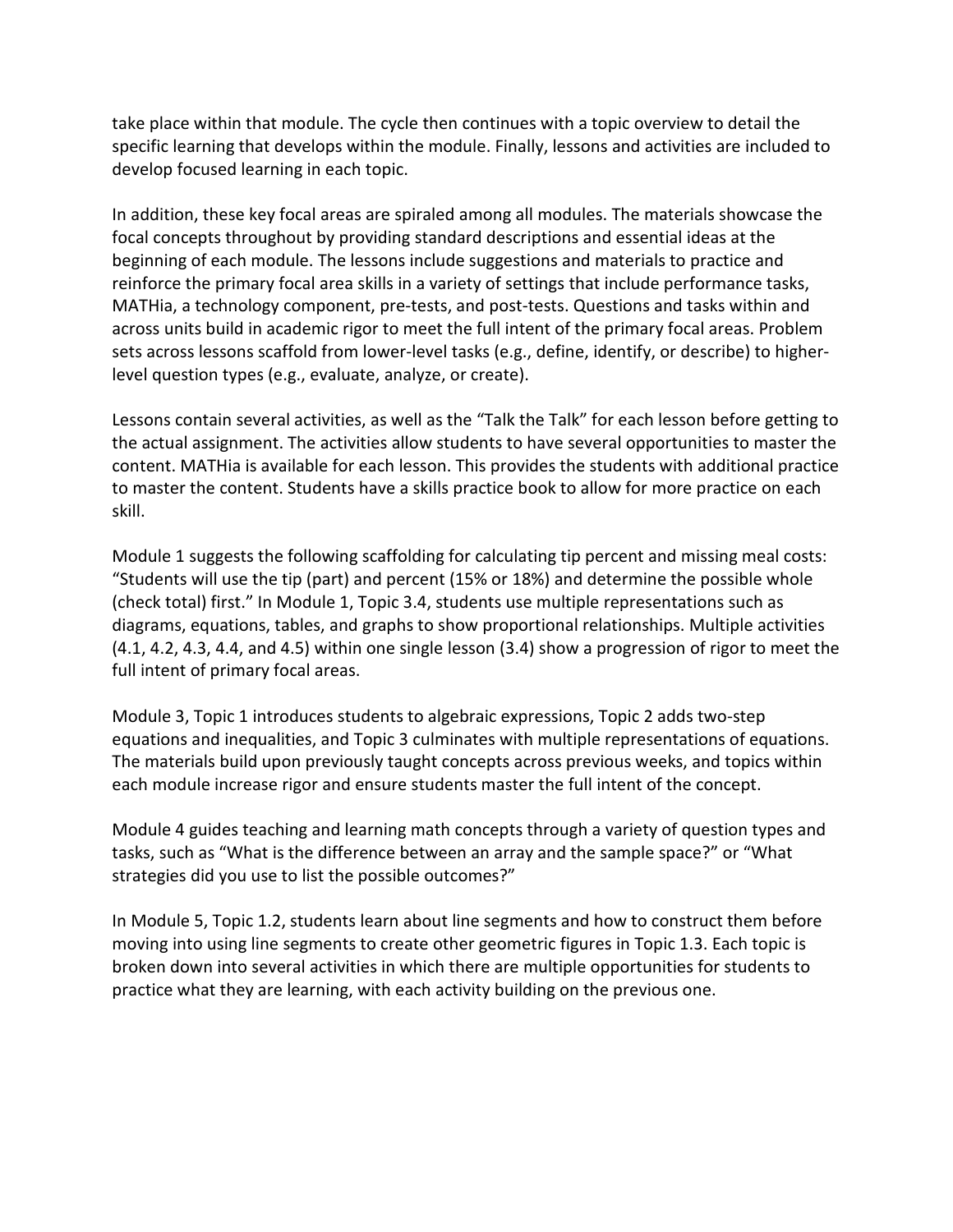take place within that module. The cycle then continues with a topic overview to detail the specific learning that develops within the module. Finally, lessons and activities are included to develop focused learning in each topic.

 In addition, these key focal areas are spiraled among all modules. The materials showcase the beginning of each module. The lessons include suggestions and materials to practice and reinforce the primary focal area skills in a variety of settings that include performance tasks, MATHia, a technology component, pre-tests, and post-tests. Questions and tasks within and focal concepts throughout by providing standard descriptions and essential ideas at the across units build in academic rigor to meet the full intent of the primary focal areas. Problem sets across lessons scaffold from lower-level tasks (e.g., define, identify, or describe) to higherlevel question types (e.g., evaluate, analyze, or create).

 Lessons contain several activities, as well as the "Talk the Talk" for each lesson before getting to the actual assignment. The activities allow students to have several opportunities to master the content. MATHia is available for each lesson. This provides the students with additional practice to master the content. Students have a skills practice book to allow for more practice on each skill.

 Module 1 suggests the following scaffolding for calculating tip percent and missing meal costs: "Students will use the tip (part) and percent (15% or 18%) and determine the possible whole (check total) first." In Module 1, Topic 3.4, students use multiple representations such as diagrams, equations, tables, and graphs to show proportional relationships. Multiple activities full intent of primary focal areas. (4.1, 4.2, 4.3, 4.4, and 4.5) within one single lesson (3.4) show a progression of rigor to meet the

 Module 3, Topic 1 introduces students to algebraic expressions, Topic 2 adds two-step each module increase rigor and ensure students master the full intent of the concept. equations and inequalities, and Topic 3 culminates with multiple representations of equations. The materials build upon previously taught concepts across previous weeks, and topics within

 strategies did you use to list the possible outcomes?" Module 4 guides teaching and learning math concepts through a variety of question types and tasks, such as "What is the difference between an array and the sample space?" or "What

In Module 5, Topic 1.2, students learn about line segments and how to construct them before moving into using line segments to create other geometric figures in Topic 1.3. Each topic is broken down into several activities in which there are multiple opportunities for students to practice what they are learning, with each activity building on the previous one.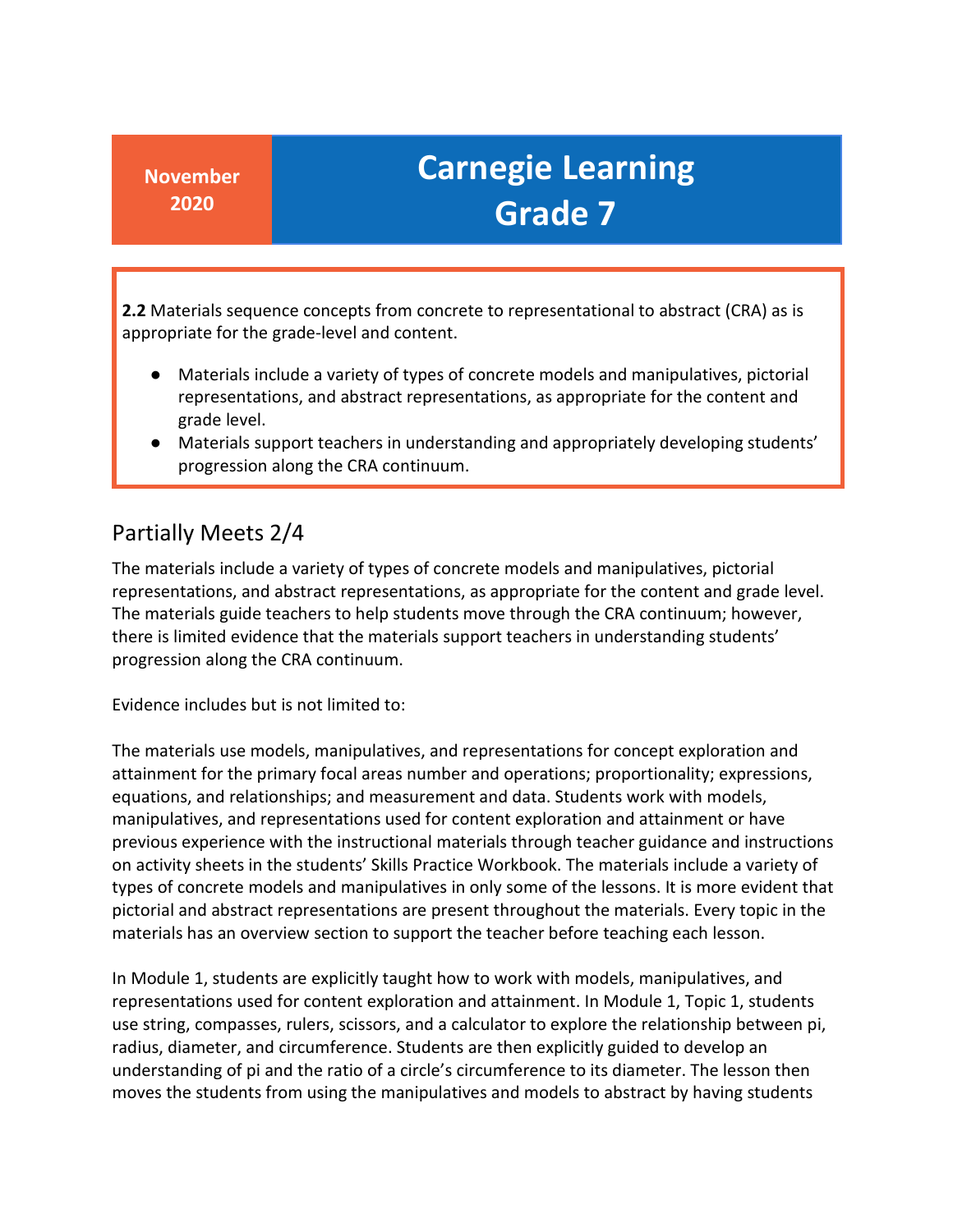**2.2** Materials sequence concepts from concrete to representational to abstract (CRA) as is appropriate for the grade-level and content.

- representations, and abstract representations, as appropriate for the content and Materials include a variety of types of concrete models and manipulatives, pictorial grade level.
- ● Materials support teachers in understanding and appropriately developing students' progression along the CRA continuum.

#### Partially Meets 2/4

 The materials include a variety of types of concrete models and manipulatives, pictorial representations, and abstract representations, as appropriate for the content and grade level. The materials guide teachers to help students move through the CRA continuum; however, there is limited evidence that the materials support teachers in understanding students' progression along the CRA continuum.

Evidence includes but is not limited to:

 The materials use models, manipulatives, and representations for concept exploration and attainment for the primary focal areas number and operations; proportionality; expressions, materials has an overview section to support the teacher before teaching each lesson. equations, and relationships; and measurement and data. Students work with models, manipulatives, and representations used for content exploration and attainment or have previous experience with the instructional materials through teacher guidance and instructions on activity sheets in the students' Skills Practice Workbook. The materials include a variety of types of concrete models and manipulatives in only some of the lessons. It is more evident that pictorial and abstract representations are present throughout the materials. Every topic in the

 understanding of pi and the ratio of a circle's circumference to its diameter. The lesson then In Module 1, students are explicitly taught how to work with models, manipulatives, and representations used for content exploration and attainment. In Module 1, Topic 1, students use string, compasses, rulers, scissors, and a calculator to explore the relationship between pi, radius, diameter, and circumference. Students are then explicitly guided to develop an moves the students from using the manipulatives and models to abstract by having students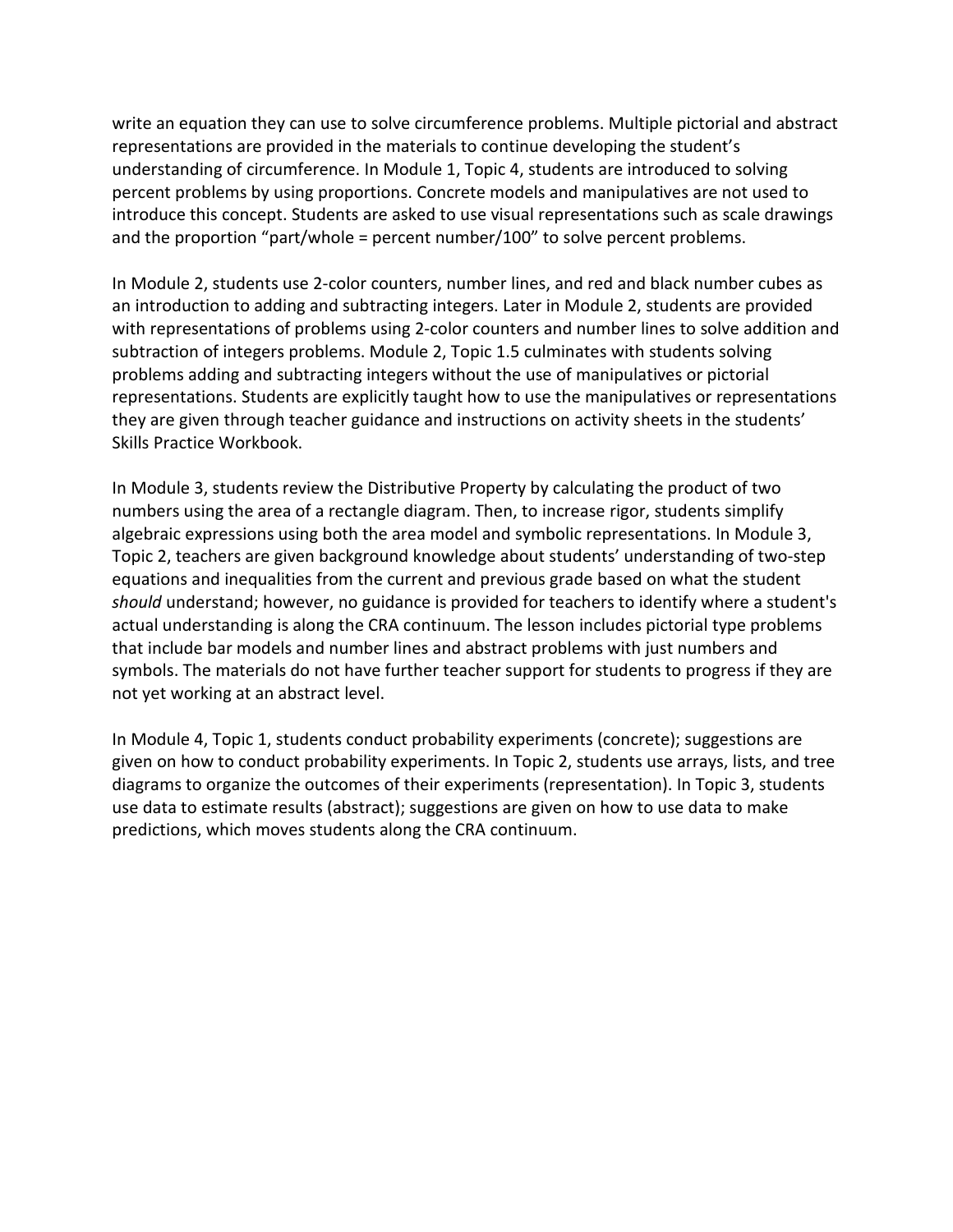percent problems by using proportions. Concrete models and manipulatives are not used to introduce this concept. Students are asked to use visual representations such as scale drawings write an equation they can use to solve circumference problems. Multiple pictorial and abstract representations are provided in the materials to continue developing the student's understanding of circumference. In Module 1, Topic 4, students are introduced to solving and the proportion "part/whole = percent number/100" to solve percent problems.

 subtraction of integers problems. Module 2, Topic 1.5 culminates with students solving problems adding and subtracting integers without the use of manipulatives or pictorial representations. Students are explicitly taught how to use the manipulatives or representations In Module 2, students use 2-color counters, number lines, and red and black number cubes as an introduction to adding and subtracting integers. Later in Module 2, students are provided with representations of problems using 2-color counters and number lines to solve addition and they are given through teacher guidance and instructions on activity sheets in the students' Skills Practice Workbook.

 numbers using the area of a rectangle diagram. Then, to increase rigor, students simplify algebraic expressions using both the area model and symbolic representations. In Module 3, actual understanding is along the CRA continuum. The lesson includes pictorial type problems symbols. The materials do not have further teacher support for students to progress if they are In Module 3, students review the Distributive Property by calculating the product of two Topic 2, teachers are given background knowledge about students' understanding of two-step equations and inequalities from the current and previous grade based on what the student *should* understand; however, no guidance is provided for teachers to identify where a student's that include bar models and number lines and abstract problems with just numbers and not yet working at an abstract level.

 In Module 4, Topic 1, students conduct probability experiments (concrete); suggestions are diagrams to organize the outcomes of their experiments (representation). In Topic 3, students use data to estimate results (abstract); suggestions are given on how to use data to make given on how to conduct probability experiments. In Topic 2, students use arrays, lists, and tree predictions, which moves students along the CRA continuum.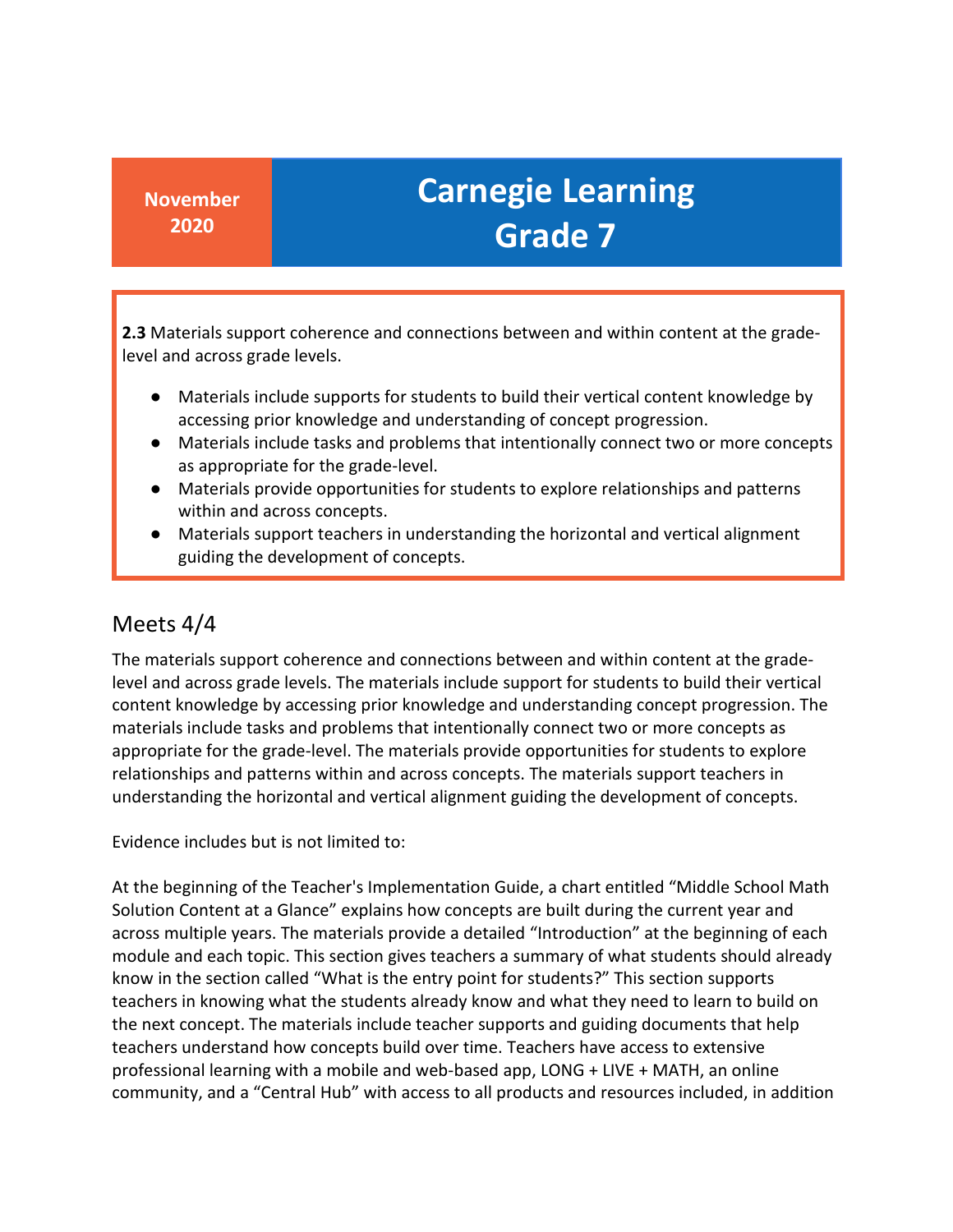level and across grade levels. **2.3** Materials support coherence and connections between and within content at the grade-

- Materials include supports for students to build their vertical content knowledge by accessing prior knowledge and understanding of concept progression.
- Materials include tasks and problems that intentionally connect two or more concepts as appropriate for the grade-level.
- ● Materials provide opportunities for students to explore relationships and patterns within and across concepts.
- Materials support teachers in understanding the horizontal and vertical alignment guiding the development of concepts.

#### Meets 4/4

 content knowledge by accessing prior knowledge and understanding concept progression. The materials include tasks and problems that intentionally connect two or more concepts as The materials support coherence and connections between and within content at the gradelevel and across grade levels. The materials include support for students to build their vertical appropriate for the grade-level. The materials provide opportunities for students to explore relationships and patterns within and across concepts. The materials support teachers in understanding the horizontal and vertical alignment guiding the development of concepts.

Evidence includes but is not limited to:

 At the beginning of the Teacher's Implementation Guide, a chart entitled "Middle School Math the next concept. The materials include teacher supports and guiding documents that help teachers understand how concepts build over time. Teachers have access to extensive Solution Content at a Glance" explains how concepts are built during the current year and across multiple years. The materials provide a detailed "Introduction" at the beginning of each module and each topic. This section gives teachers a summary of what students should already know in the section called "What is the entry point for students?" This section supports teachers in knowing what the students already know and what they need to learn to build on professional learning with a mobile and web-based app, LONG + LIVE + MATH, an online community, and a "Central Hub" with access to all products and resources included, in addition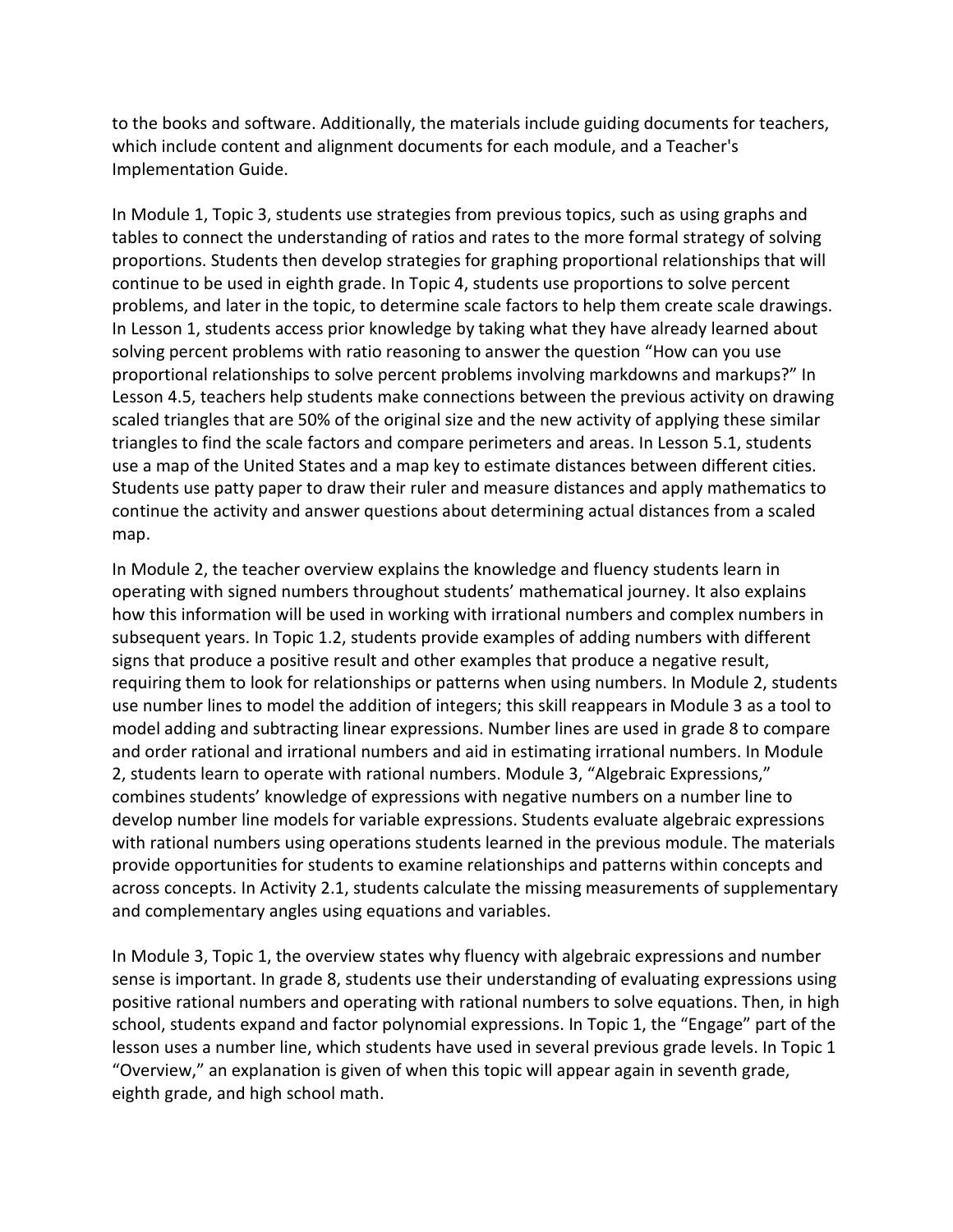to the books and software. Additionally, the materials include guiding documents for teachers, which include content and alignment documents for each module, and a Teacher's Implementation Guide.

 proportions. Students then develop strategies for graphing proportional relationships that will continue to be used in eighth grade. In Topic 4, students use proportions to solve percent problems, and later in the topic, to determine scale factors to help them create scale drawings. solving percent problems with ratio reasoning to answer the question "How can you use proportional relationships to solve percent problems involving markdowns and markups?" In scaled triangles that are 50% of the original size and the new activity of applying these similar Students use patty paper to draw their ruler and measure distances and apply mathematics to In Module 1, Topic 3, students use strategies from previous topics, such as using graphs and tables to connect the understanding of ratios and rates to the more formal strategy of solving In Lesson 1, students access prior knowledge by taking what they have already learned about Lesson 4.5, teachers help students make connections between the previous activity on drawing triangles to find the scale factors and compare perimeters and areas. In Lesson 5.1, students use a map of the United States and a map key to estimate distances between different cities. continue the activity and answer questions about determining actual distances from a scaled map.

 how this information will be used in working with irrational numbers and complex numbers in requiring them to look for relationships or patterns when using numbers. In Module 2, students use number lines to model the addition of integers; this skill reappears in Module 3 as a tool to model adding and subtracting linear expressions. Number lines are used in grade 8 to compare and order rational and irrational numbers and aid in estimating irrational numbers. In Module 2, students learn to operate with rational numbers. Module 3, "Algebraic Expressions," provide opportunities for students to examine relationships and patterns within concepts and In Module 2, the teacher overview explains the knowledge and fluency students learn in operating with signed numbers throughout students' mathematical journey. It also explains subsequent years. In Topic 1.2, students provide examples of adding numbers with different signs that produce a positive result and other examples that produce a negative result, combines students' knowledge of expressions with negative numbers on a number line to develop number line models for variable expressions. Students evaluate algebraic expressions with rational numbers using operations students learned in the previous module. The materials across concepts. In Activity 2.1, students calculate the missing measurements of supplementary and complementary angles using equations and variables.

 In Module 3, Topic 1, the overview states why fluency with algebraic expressions and number positive rational numbers and operating with rational numbers to solve equations. Then, in high school, students expand and factor polynomial expressions. In Topic 1, the "Engage" part of the lesson uses a number line, which students have used in several previous grade levels. In Topic 1 sense is important. In grade 8, students use their understanding of evaluating expressions using "Overview," an explanation is given of when this topic will appear again in seventh grade, eighth grade, and high school math.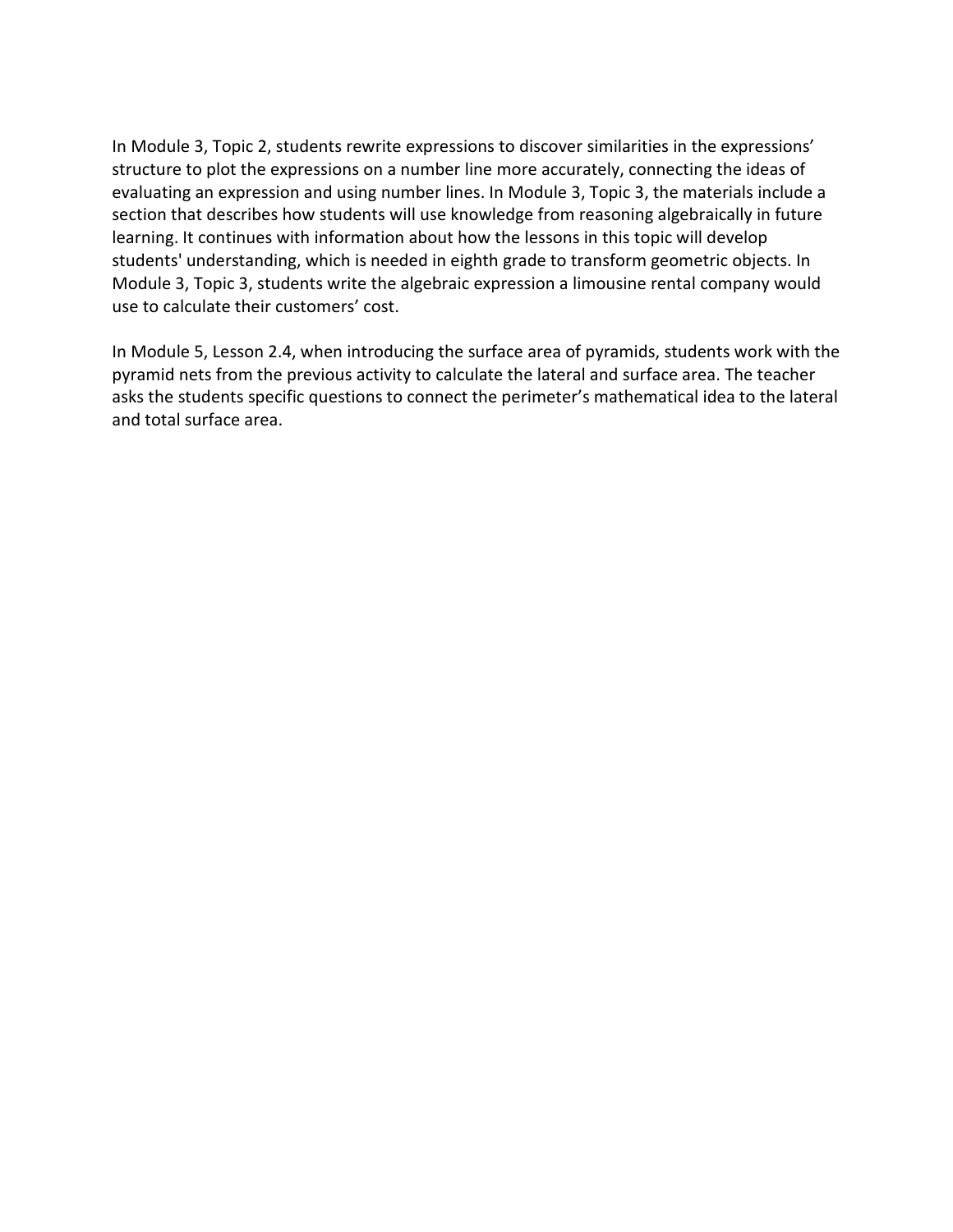In Module 3, Topic 2, students rewrite expressions to discover similarities in the expressions' structure to plot the expressions on a number line more accurately, connecting the ideas of learning. It continues with information about how the lessons in this topic will develop students' understanding, which is needed in eighth grade to transform geometric objects. In Module 3, Topic 3, students write the algebraic expression a limousine rental company would evaluating an expression and using number lines. In Module 3, Topic 3, the materials include a section that describes how students will use knowledge from reasoning algebraically in future use to calculate their customers' cost.

 In Module 5, Lesson 2.4, when introducing the surface area of pyramids, students work with the pyramid nets from the previous activity to calculate the lateral and surface area. The teacher asks the students specific questions to connect the perimeter's mathematical idea to the lateral and total surface area.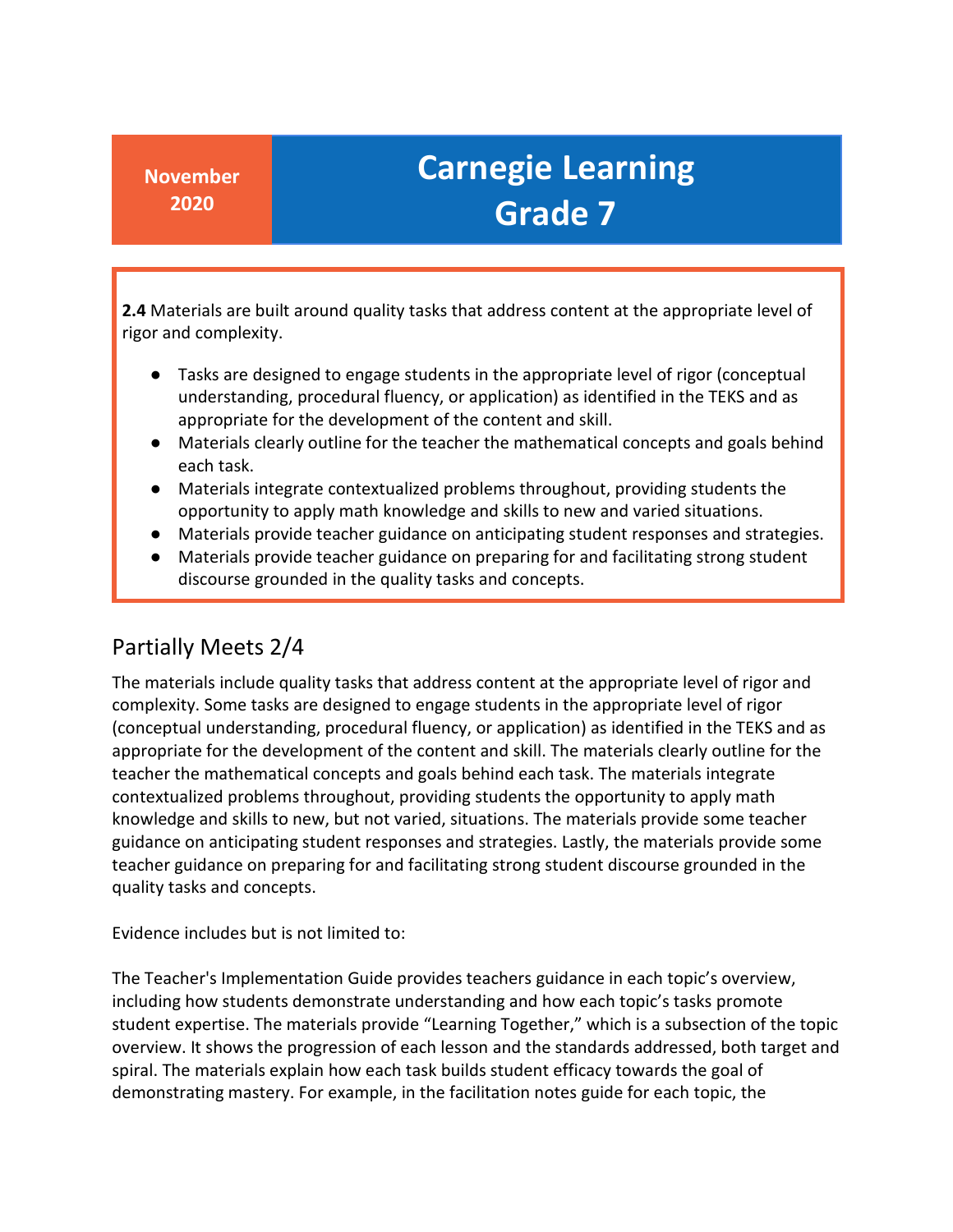**2.4** Materials are built around quality tasks that address content at the appropriate level of rigor and complexity.

- understanding, procedural fluency, or application) as identified in the TEKS and as appropriate for the development of the content and skill. ● Tasks are designed to engage students in the appropriate level of rigor (conceptual
- ● Materials clearly outline for the teacher the mathematical concepts and goals behind each task.
- Materials integrate contextualized problems throughout, providing students the opportunity to apply math knowledge and skills to new and varied situations.
- Materials provide teacher guidance on anticipating student responses and strategies.
- ● Materials provide teacher guidance on preparing for and facilitating strong student discourse grounded in the quality tasks and concepts.

### Partially Meets 2/4

 (conceptual understanding, procedural fluency, or application) as identified in the TEKS and as appropriate for the development of the content and skill. The materials clearly outline for the knowledge and skills to new, but not varied, situations. The materials provide some teacher The materials include quality tasks that address content at the appropriate level of rigor and complexity. Some tasks are designed to engage students in the appropriate level of rigor teacher the mathematical concepts and goals behind each task. The materials integrate contextualized problems throughout, providing students the opportunity to apply math guidance on anticipating student responses and strategies. Lastly, the materials provide some teacher guidance on preparing for and facilitating strong student discourse grounded in the quality tasks and concepts.

Evidence includes but is not limited to:

 The Teacher's Implementation Guide provides teachers guidance in each topic's overview, student expertise. The materials provide "Learning Together," which is a subsection of the topic demonstrating mastery. For example, in the facilitation notes guide for each topic, the including how students demonstrate understanding and how each topic's tasks promote overview. It shows the progression of each lesson and the standards addressed, both target and spiral. The materials explain how each task builds student efficacy towards the goal of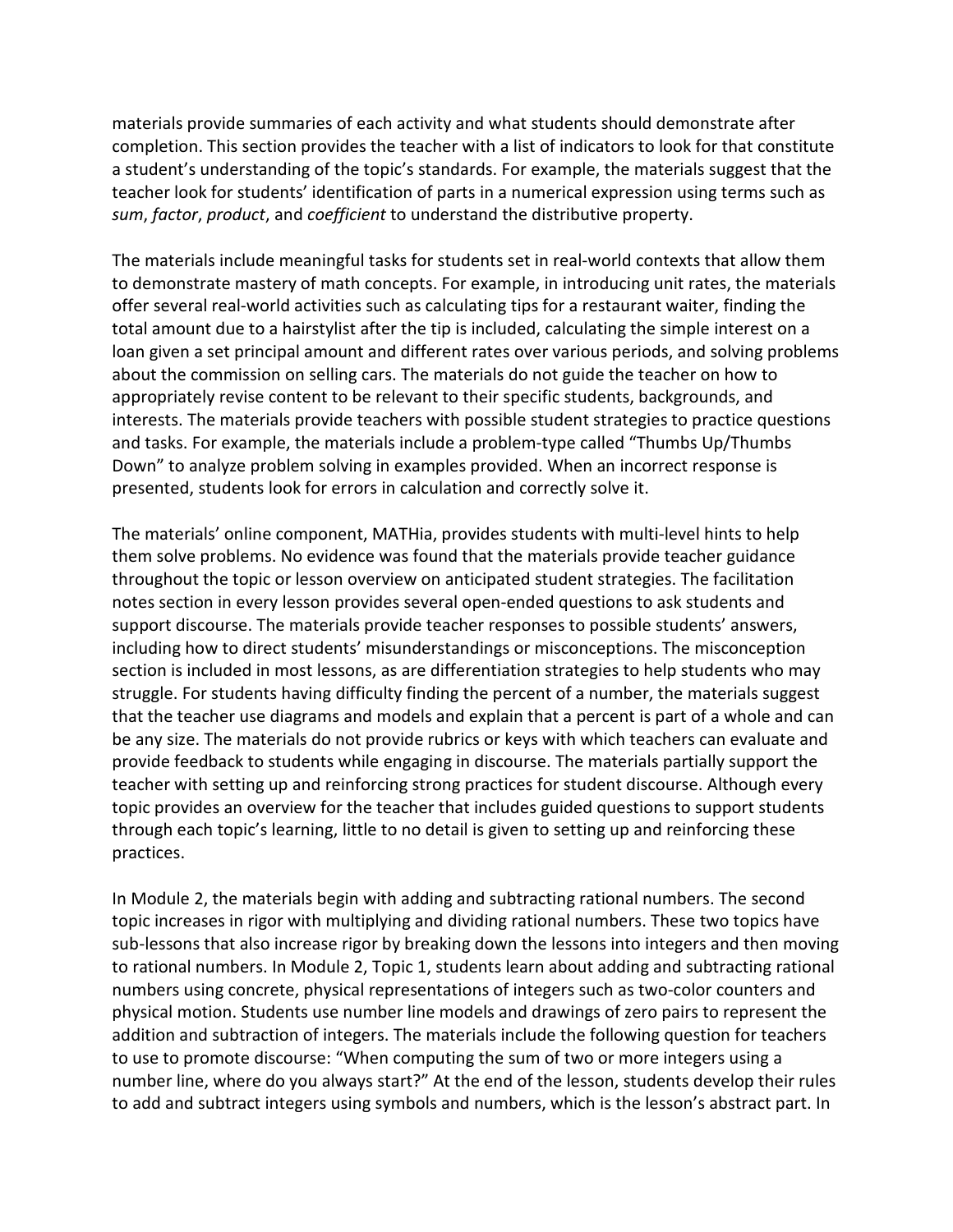completion. This section provides the teacher with a list of indicators to look for that constitute a student's understanding of the topic's standards. For example, the materials suggest that the teacher look for students' identification of parts in a numerical expression using terms such as *sum*, *factor*, *product*, and *coefficient* to understand the distributive property. materials provide summaries of each activity and what students should demonstrate after

 to demonstrate mastery of math concepts. For example, in introducing unit rates, the materials offer several real-world activities such as calculating tips for a restaurant waiter, finding the loan given a set principal amount and different rates over various periods, and solving problems interests. The materials provide teachers with possible student strategies to practice questions The materials include meaningful tasks for students set in real-world contexts that allow them total amount due to a hairstylist after the tip is included, calculating the simple interest on a about the commission on selling cars. The materials do not guide the teacher on how to appropriately revise content to be relevant to their specific students, backgrounds, and and tasks. For example, the materials include a problem-type called "Thumbs Up/Thumbs Down" to analyze problem solving in examples provided. When an incorrect response is presented, students look for errors in calculation and correctly solve it.

 them solve problems. No evidence was found that the materials provide teacher guidance that the teacher use diagrams and models and explain that a percent is part of a whole and can topic provides an overview for the teacher that includes guided questions to support students through each topic's learning, little to no detail is given to setting up and reinforcing these The materials' online component, MATHia, provides students with multi-level hints to help throughout the topic or lesson overview on anticipated student strategies. The facilitation notes section in every lesson provides several open-ended questions to ask students and support discourse. The materials provide teacher responses to possible students' answers, including how to direct students' misunderstandings or misconceptions. The misconception section is included in most lessons, as are differentiation strategies to help students who may struggle. For students having difficulty finding the percent of a number, the materials suggest be any size. The materials do not provide rubrics or keys with which teachers can evaluate and provide feedback to students while engaging in discourse. The materials partially support the teacher with setting up and reinforcing strong practices for student discourse. Although every practices.

 topic increases in rigor with multiplying and dividing rational numbers. These two topics have to rational numbers. In Module 2, Topic 1, students learn about adding and subtracting rational physical motion. Students use number line models and drawings of zero pairs to represent the addition and subtraction of integers. The materials include the following question for teachers to use to promote discourse: "When computing the sum of two or more integers using a number line, where do you always start?" At the end of the lesson, students develop their rules In Module 2, the materials begin with adding and subtracting rational numbers. The second sub-lessons that also increase rigor by breaking down the lessons into integers and then moving numbers using concrete, physical representations of integers such as two-color counters and to add and subtract integers using symbols and numbers, which is the lesson's abstract part. In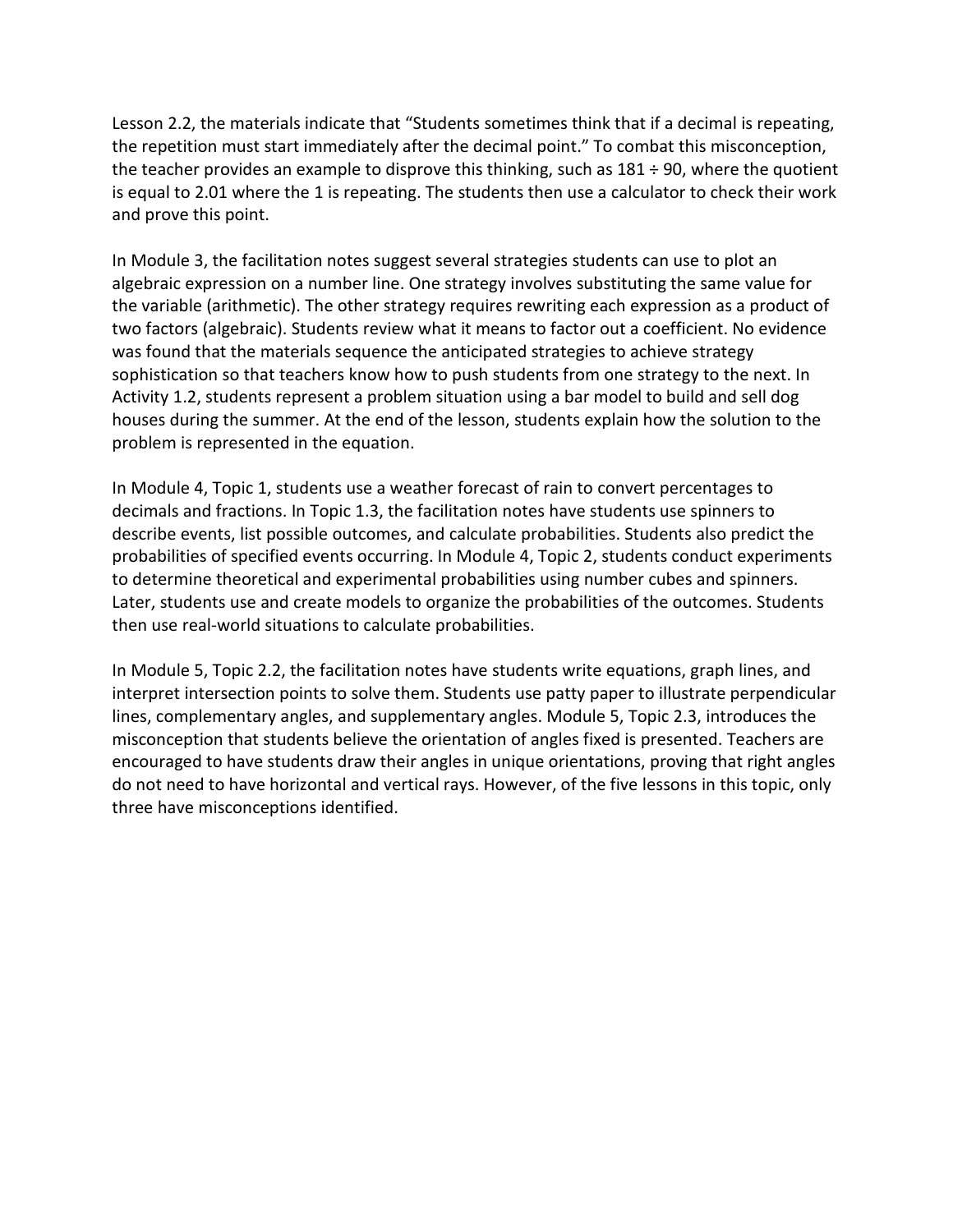Lesson 2.2, the materials indicate that "Students sometimes think that if a decimal is repeating, the teacher provides an example to disprove this thinking, such as 181 ÷ 90, where the quotient is equal to 2.01 where the 1 is repeating. The students then use a calculator to check their work the repetition must start immediately after the decimal point." To combat this misconception, and prove this point.

 algebraic expression on a number line. One strategy involves substituting the same value for two factors (algebraic). Students review what it means to factor out a coefficient. No evidence Activity 1.2, students represent a problem situation using a bar model to build and sell dog houses during the summer. At the end of the lesson, students explain how the solution to the In Module 3, the facilitation notes suggest several strategies students can use to plot an the variable (arithmetic). The other strategy requires rewriting each expression as a product of was found that the materials sequence the anticipated strategies to achieve strategy sophistication so that teachers know how to push students from one strategy to the next. In problem is represented in the equation.

 describe events, list possible outcomes, and calculate probabilities. Students also predict the to determine theoretical and experimental probabilities using number cubes and spinners. In Module 4, Topic 1, students use a weather forecast of rain to convert percentages to decimals and fractions. In Topic 1.3, the facilitation notes have students use spinners to probabilities of specified events occurring. In Module 4, Topic 2, students conduct experiments Later, students use and create models to organize the probabilities of the outcomes. Students then use real-world situations to calculate probabilities.

 interpret intersection points to solve them. Students use patty paper to illustrate perpendicular lines, complementary angles, and supplementary angles. Module 5, Topic 2.3, introduces the misconception that students believe the orientation of angles fixed is presented. Teachers are do not need to have horizontal and vertical rays. However, of the five lessons in this topic, only In Module 5, Topic 2.2, the facilitation notes have students write equations, graph lines, and encouraged to have students draw their angles in unique orientations, proving that right angles three have misconceptions identified.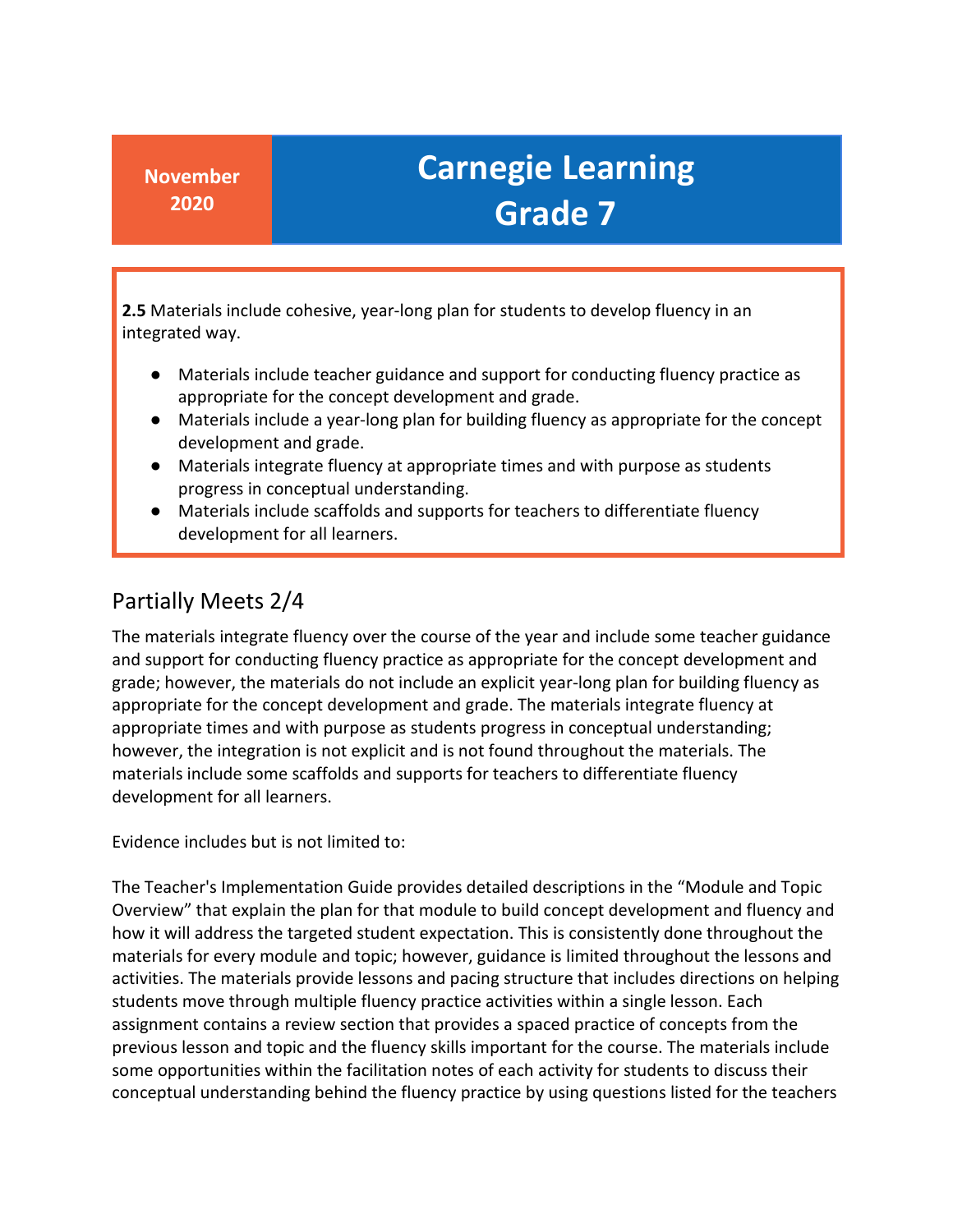**2.5** Materials include cohesive, year-long plan for students to develop fluency in an integrated way.

- Materials include teacher guidance and support for conducting fluency practice as appropriate for the concept development and grade.
- ● Materials include a year-long plan for building fluency as appropriate for the concept development and grade.
- ● Materials integrate fluency at appropriate times and with purpose as students progress in conceptual understanding.
- ● Materials include scaffolds and supports for teachers to differentiate fluency development for all learners.

### Partially Meets 2/4

 grade; however, the materials do not include an explicit year-long plan for building fluency as appropriate for the concept development and grade. The materials integrate fluency at appropriate times and with purpose as students progress in conceptual understanding; however, the integration is not explicit and is not found throughout the materials. The materials include some scaffolds and supports for teachers to differentiate fluency The materials integrate fluency over the course of the year and include some teacher guidance and support for conducting fluency practice as appropriate for the concept development and development for all learners.

Evidence includes but is not limited to:

 The Teacher's Implementation Guide provides detailed descriptions in the "Module and Topic how it will address the targeted student expectation. This is consistently done throughout the materials for every module and topic; however, guidance is limited throughout the lessons and activities. The materials provide lessons and pacing structure that includes directions on helping students move through multiple fluency practice activities within a single lesson. Each assignment contains a review section that provides a spaced practice of concepts from the some opportunities within the facilitation notes of each activity for students to discuss their conceptual understanding behind the fluency practice by using questions listed for the teachers Overview" that explain the plan for that module to build concept development and fluency and previous lesson and topic and the fluency skills important for the course. The materials include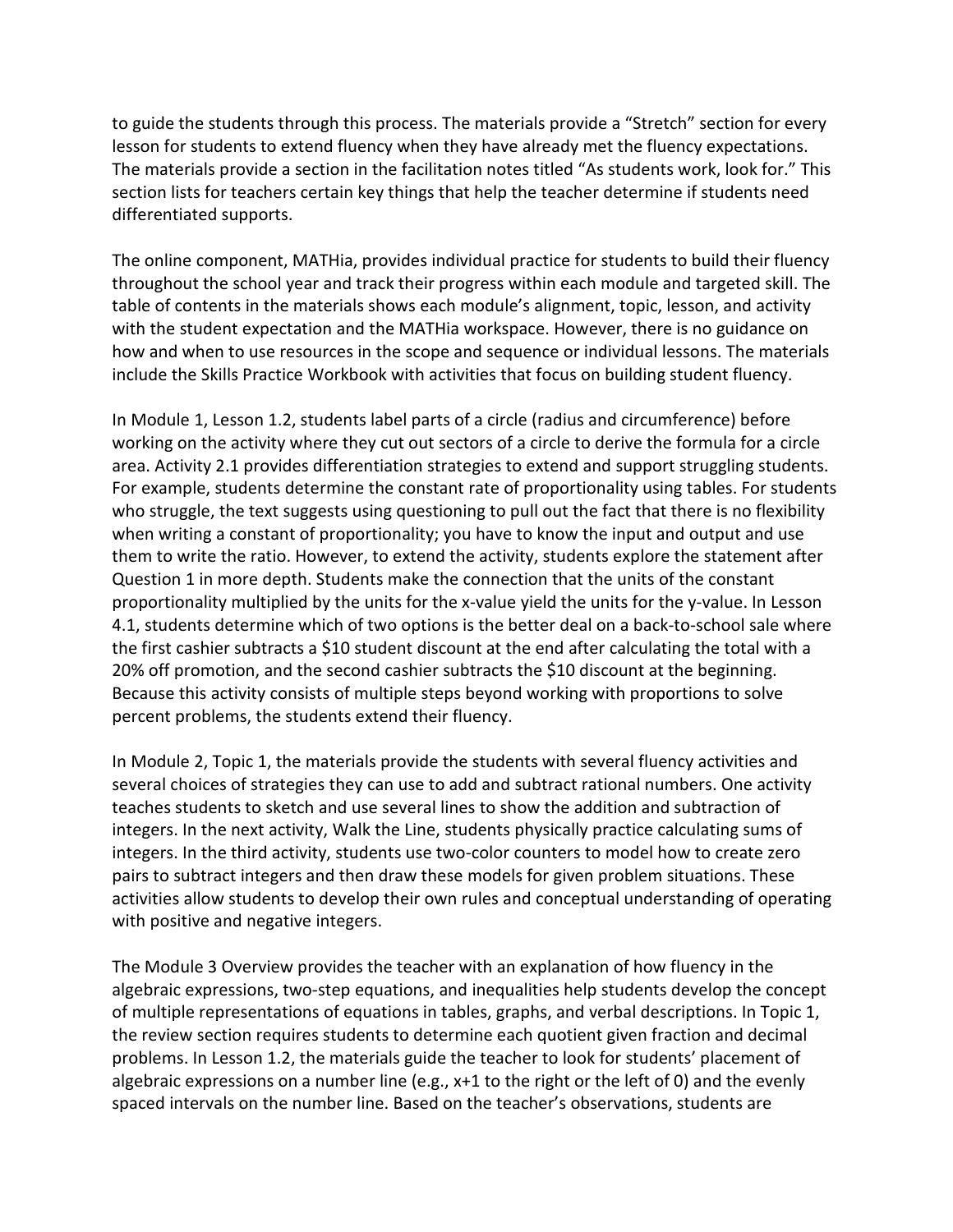lesson for students to extend fluency when they have already met the fluency expectations. The materials provide a section in the facilitation notes titled "As students work, look for." This section lists for teachers certain key things that help the teacher determine if students need to guide the students through this process. The materials provide a "Stretch" section for every differentiated supports.

 The online component, MATHia, provides individual practice for students to build their fluency throughout the school year and track their progress within each module and targeted skill. The table of contents in the materials shows each module's alignment, topic, lesson, and activity with the student expectation and the MATHia workspace. However, there is no guidance on how and when to use resources in the scope and sequence or individual lessons. The materials include the Skills Practice Workbook with activities that focus on building student fluency.

 In Module 1, Lesson 1.2, students label parts of a circle (radius and circumference) before working on the activity where they cut out sectors of a circle to derive the formula for a circle who struggle, the text suggests using questioning to pull out the fact that there is no flexibility them to write the ratio. However, to extend the activity, students explore the statement after proportionality multiplied by the units for the x-value yield the units for the y-value. In Lesson the first cashier subtracts a \$10 student discount at the end after calculating the total with a 20% off promotion, and the second cashier subtracts the \$10 discount at the beginning. area. Activity 2.1 provides differentiation strategies to extend and support struggling students. For example, students determine the constant rate of proportionality using tables. For students when writing a constant of proportionality; you have to know the input and output and use Question 1 in more depth. Students make the connection that the units of the constant 4.1, students determine which of two options is the better deal on a back-to-school sale where Because this activity consists of multiple steps beyond working with proportions to solve percent problems, the students extend their fluency.

 In Module 2, Topic 1, the materials provide the students with several fluency activities and several choices of strategies they can use to add and subtract rational numbers. One activity integers. In the next activity, Walk the Line, students physically practice calculating sums of integers. In the third activity, students use two-color counters to model how to create zero pairs to subtract integers and then draw these models for given problem situations. These activities allow students to develop their own rules and conceptual understanding of operating teaches students to sketch and use several lines to show the addition and subtraction of with positive and negative integers.

 The Module 3 Overview provides the teacher with an explanation of how fluency in the the review section requires students to determine each quotient given fraction and decimal problems. In Lesson 1.2, the materials guide the teacher to look for students' placement of algebraic expressions on a number line (e.g., x+1 to the right or the left of 0) and the evenly algebraic expressions, two-step equations, and inequalities help students develop the concept of multiple representations of equations in tables, graphs, and verbal descriptions. In Topic 1, spaced intervals on the number line. Based on the teacher's observations, students are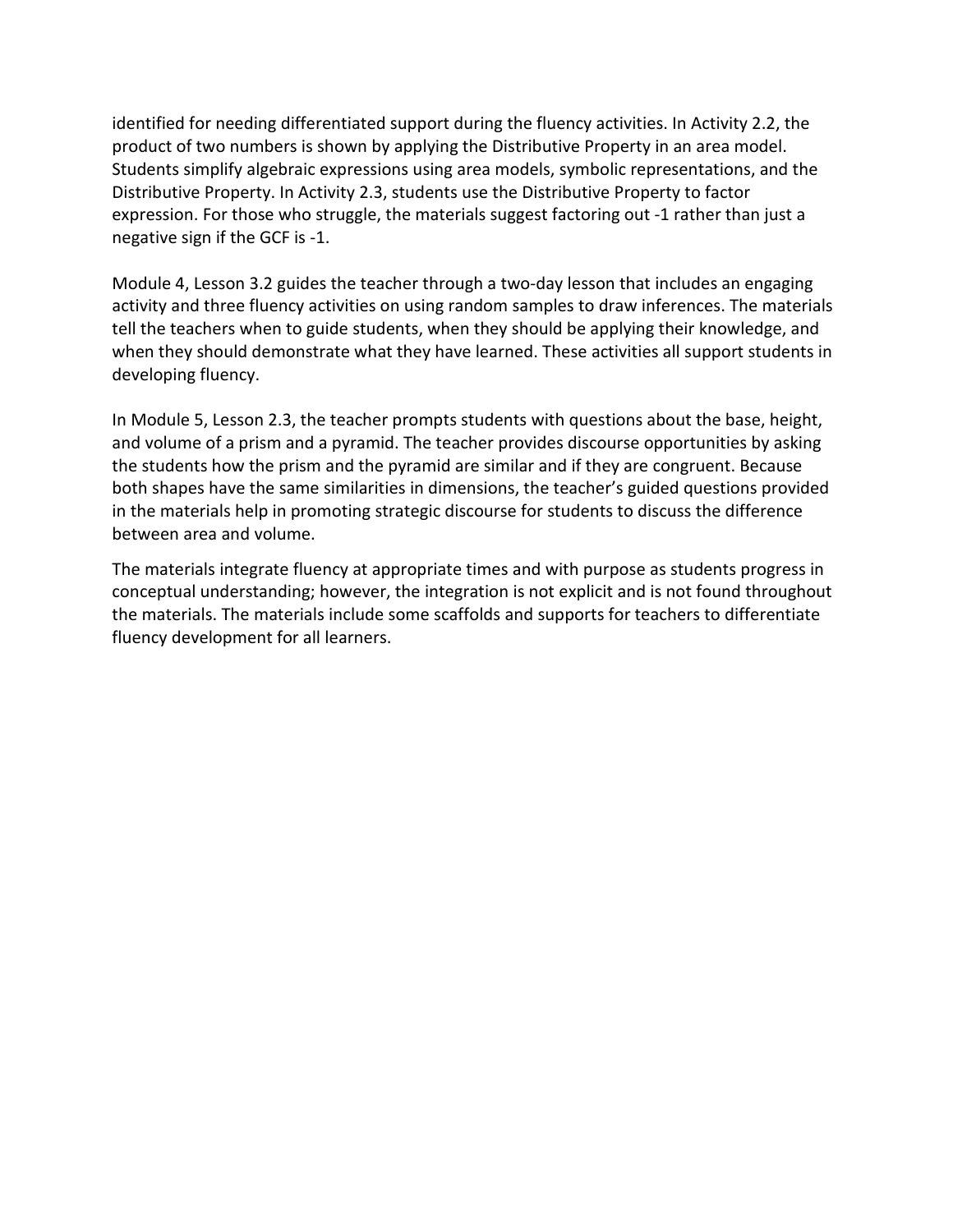identified for needing differentiated support during the fluency activities. In Activity 2.2, the product of two numbers is shown by applying the Distributive Property in an area model. Students simplify algebraic expressions using area models, symbolic representations, and the expression. For those who struggle, the materials suggest factoring out -1 rather than just a Distributive Property. In Activity 2.3, students use the Distributive Property to factor negative sign if the GCF is -1.

 Module 4, Lesson 3.2 guides the teacher through a two-day lesson that includes an engaging tell the teachers when to guide students, when they should be applying their knowledge, and activity and three fluency activities on using random samples to draw inferences. The materials when they should demonstrate what they have learned. These activities all support students in developing fluency.

 In Module 5, Lesson 2.3, the teacher prompts students with questions about the base, height, and volume of a prism and a pyramid. The teacher provides discourse opportunities by asking the students how the prism and the pyramid are similar and if they are congruent. Because both shapes have the same similarities in dimensions, the teacher's guided questions provided in the materials help in promoting strategic discourse for students to discuss the difference between area and volume.

The materials integrate fluency at appropriate times and with purpose as students progress in conceptual understanding; however, the integration is not explicit and is not found throughout the materials. The materials include some scaffolds and supports for teachers to differentiate fluency development for all learners.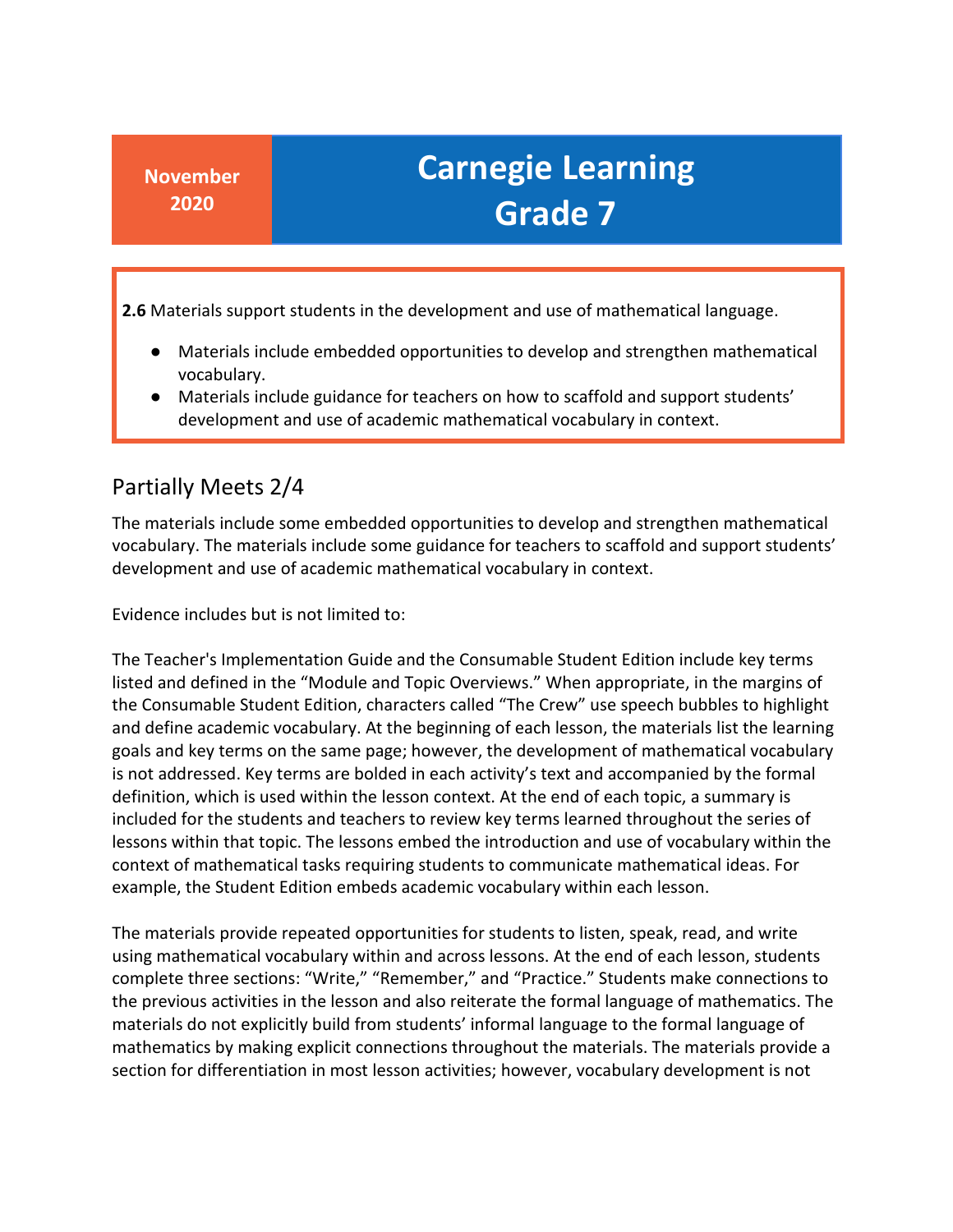**2.6** Materials support students in the development and use of mathematical language.

- Materials include embedded opportunities to develop and strengthen mathematical vocabulary.
- Materials include guidance for teachers on how to scaffold and support students' development and use of academic mathematical vocabulary in context.

#### Partially Meets 2/4

 The materials include some embedded opportunities to develop and strengthen mathematical vocabulary. The materials include some guidance for teachers to scaffold and support students' development and use of academic mathematical vocabulary in context.

Evidence includes but is not limited to:

 goals and key terms on the same page; however, the development of mathematical vocabulary is not addressed. Key terms are bolded in each activity's text and accompanied by the formal definition, which is used within the lesson context. At the end of each topic, a summary is lessons within that topic. The lessons embed the introduction and use of vocabulary within the The Teacher's Implementation Guide and the Consumable Student Edition include key terms listed and defined in the "Module and Topic Overviews." When appropriate, in the margins of the Consumable Student Edition, characters called "The Crew" use speech bubbles to highlight and define academic vocabulary. At the beginning of each lesson, the materials list the learning included for the students and teachers to review key terms learned throughout the series of context of mathematical tasks requiring students to communicate mathematical ideas. For example, the Student Edition embeds academic vocabulary within each lesson.

 The materials provide repeated opportunities for students to listen, speak, read, and write materials do not explicitly build from students' informal language to the formal language of section for differentiation in most lesson activities; however, vocabulary development is not using mathematical vocabulary within and across lessons. At the end of each lesson, students complete three sections: "Write," "Remember," and "Practice." Students make connections to the previous activities in the lesson and also reiterate the formal language of mathematics. The mathematics by making explicit connections throughout the materials. The materials provide a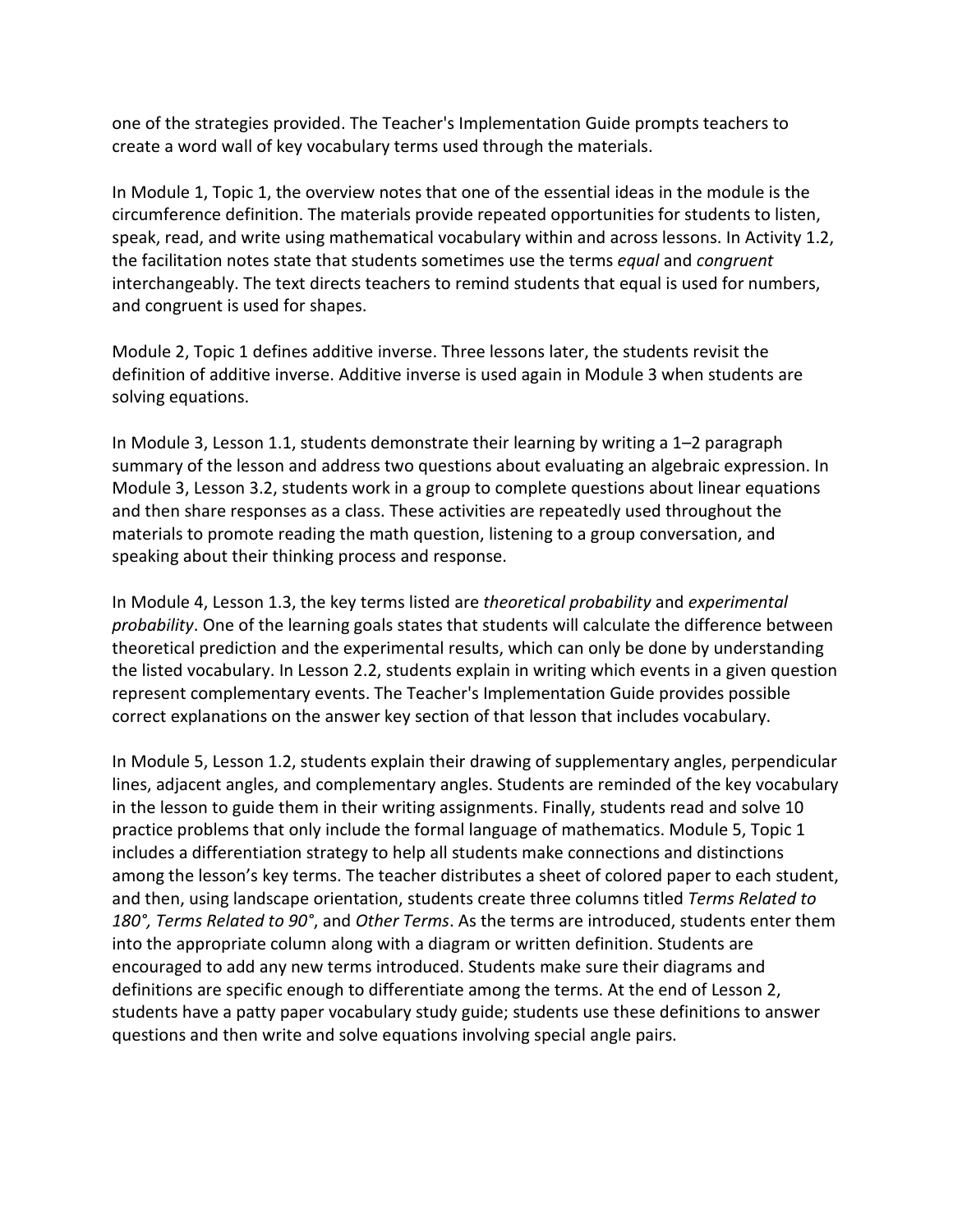one of the strategies provided. The Teacher's Implementation Guide prompts teachers to create a word wall of key vocabulary terms used through the materials.

 circumference definition. The materials provide repeated opportunities for students to listen, speak, read, and write using mathematical vocabulary within and across lessons. In Activity 1.2, the facilitation notes state that students sometimes use the terms *equal* and *congruent*  and congruent is used for shapes. In Module 1, Topic 1, the overview notes that one of the essential ideas in the module is the interchangeably. The text directs teachers to remind students that equal is used for numbers,

and congruent is used for shapes.<br>Module 2, Topic 1 defines additive inverse. Three lessons later, the students revisit the definition of additive inverse. Additive inverse is used again in Module 3 when students are solving equations.

 In Module 3, Lesson 1.1, students demonstrate their learning by writing a 1–2 paragraph and then share responses as a class. These activities are repeatedly used throughout the summary of the lesson and address two questions about evaluating an algebraic expression. In Module 3, Lesson 3.2, students work in a group to complete questions about linear equations materials to promote reading the math question, listening to a group conversation, and speaking about their thinking process and response.

 represent complementary events. The Teacher's Implementation Guide provides possible In Module 4, Lesson 1.3, the key terms listed are *theoretical probability* and *experimental probability*. One of the learning goals states that students will calculate the difference between theoretical prediction and the experimental results, which can only be done by understanding the listed vocabulary. In Lesson 2.2, students explain in writing which events in a given question correct explanations on the answer key section of that lesson that includes vocabulary.

 In Module 5, Lesson 1.2, students explain their drawing of supplementary angles, perpendicular lines, adjacent angles, and complementary angles. Students are reminded of the key vocabulary in the lesson to guide them in their writing assignments. Finally, students read and solve 10 practice problems that only include the formal language of mathematics. Module 5, Topic 1 among the lesson's key terms. The teacher distributes a sheet of colored paper to each student,  *180°, Terms Related to 90°*, and *Other Terms*. As the terms are introduced, students enter them definitions are specific enough to differentiate among the terms. At the end of Lesson 2, students have a patty paper vocabulary study guide; students use these definitions to answer includes a differentiation strategy to help all students make connections and distinctions and then, using landscape orientation, students create three columns titled *Terms Related to*  into the appropriate column along with a diagram or written definition. Students are encouraged to add any new terms introduced. Students make sure their diagrams and questions and then write and solve equations involving special angle pairs.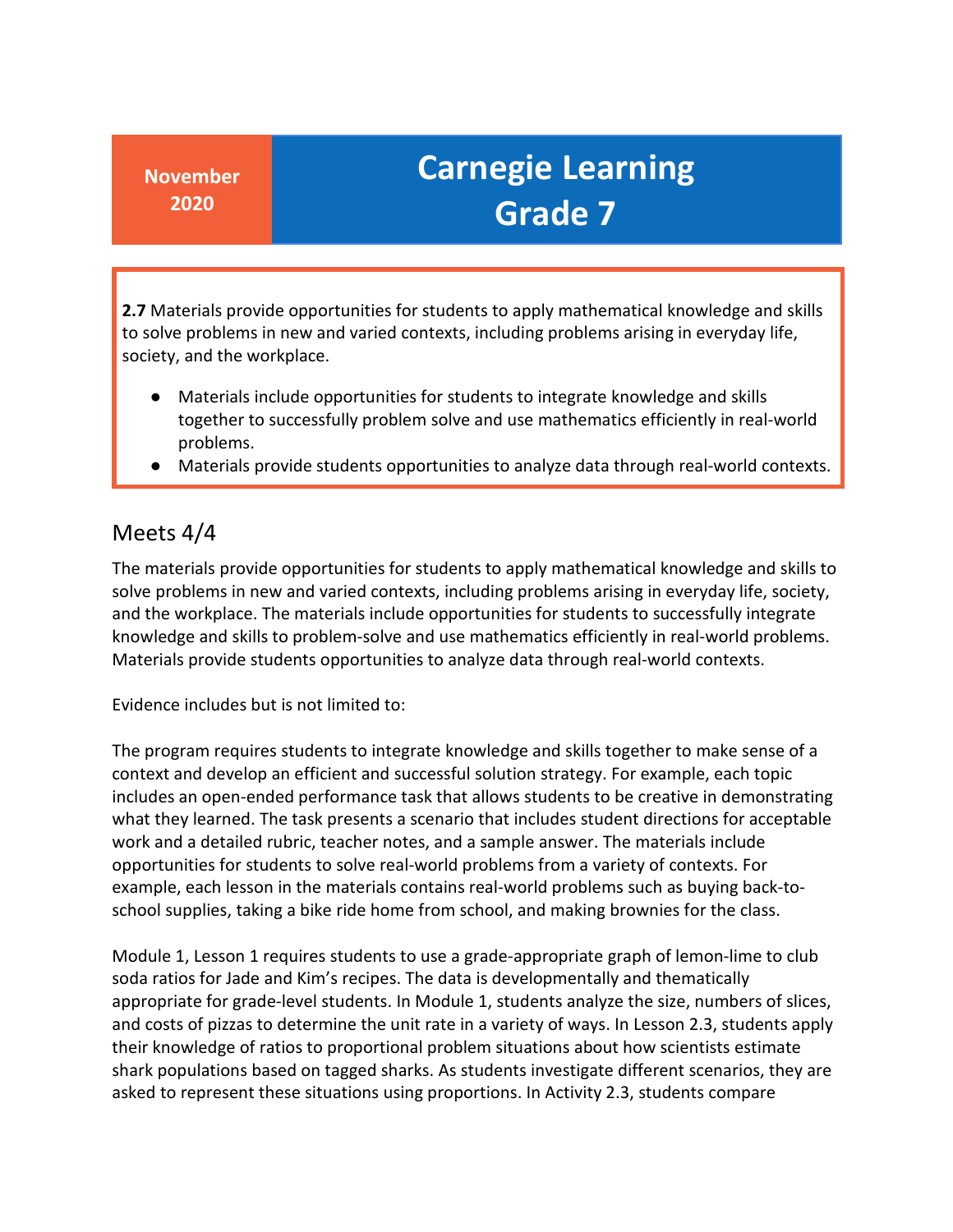**2.7** Materials provide opportunities for students to apply mathematical knowledge and skills to solve problems in new and varied contexts, including problems arising in everyday life, society, and the workplace.

- ● Materials include opportunities for students to integrate knowledge and skills together to successfully problem solve and use mathematics efficiently in real-world problems.
- Materials provide students opportunities to analyze data through real-world contexts.

#### Meets 4/4

 The materials provide opportunities for students to apply mathematical knowledge and skills to and the workplace. The materials include opportunities for students to successfully integrate solve problems in new and varied contexts, including problems arising in everyday life, society, knowledge and skills to problem-solve and use mathematics efficiently in real-world problems. Materials provide students opportunities to analyze data through real-world contexts.

Evidence includes but is not limited to:

 context and develop an efficient and successful solution strategy. For example, each topic The program requires students to integrate knowledge and skills together to make sense of a includes an open-ended performance task that allows students to be creative in demonstrating what they learned. The task presents a scenario that includes student directions for acceptable work and a detailed rubric, teacher notes, and a sample answer. The materials include opportunities for students to solve real-world problems from a variety of contexts. For example, each lesson in the materials contains real-world problems such as buying back-toschool supplies, taking a bike ride home from school, and making brownies for the class.

 Module 1, Lesson 1 requires students to use a grade-appropriate graph of lemon-lime to club soda ratios for Jade and Kim's recipes. The data is developmentally and thematically appropriate for grade-level students. In Module 1, students analyze the size, numbers of slices, and costs of pizzas to determine the unit rate in a variety of ways. In Lesson 2.3, students apply their knowledge of ratios to proportional problem situations about how scientists estimate shark populations based on tagged sharks. As students investigate different scenarios, they are asked to represent these situations using proportions. In Activity 2.3, students compare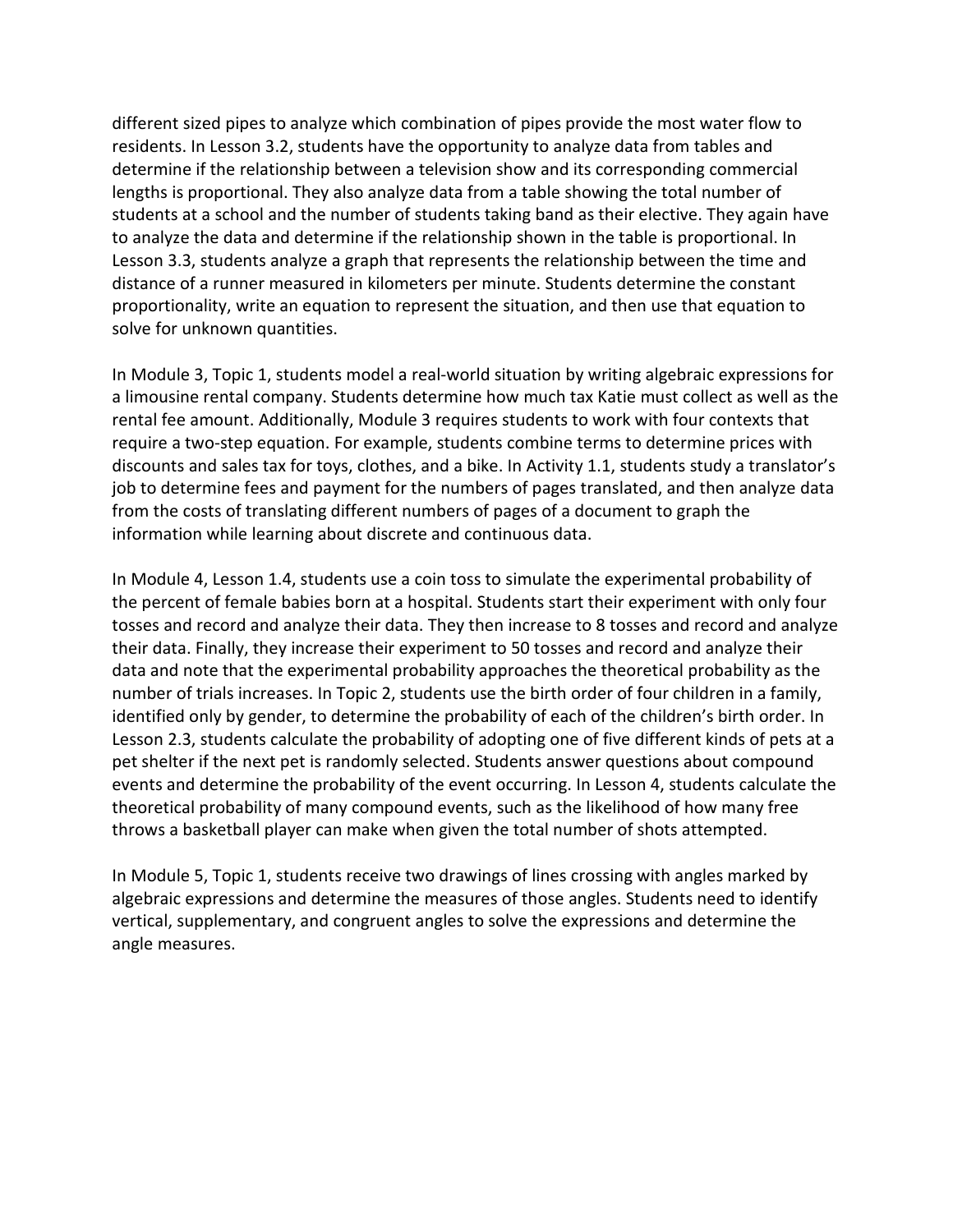different sized pipes to analyze which combination of pipes provide the most water flow to residents. In Lesson 3.2, students have the opportunity to analyze data from tables and students at a school and the number of students taking band as their elective. They again have determine if the relationship between a television show and its corresponding commercial lengths is proportional. They also analyze data from a table showing the total number of to analyze the data and determine if the relationship shown in the table is proportional. In Lesson 3.3, students analyze a graph that represents the relationship between the time and distance of a runner measured in kilometers per minute. Students determine the constant proportionality, write an equation to represent the situation, and then use that equation to solve for unknown quantities.

 a limousine rental company. Students determine how much tax Katie must collect as well as the rental fee amount. Additionally, Module 3 requires students to work with four contexts that discounts and sales tax for toys, clothes, and a bike. In Activity 1.1, students study a translator's job to determine fees and payment for the numbers of pages translated, and then analyze data In Module 3, Topic 1, students model a real-world situation by writing algebraic expressions for require a two-step equation. For example, students combine terms to determine prices with from the costs of translating different numbers of pages of a document to graph the information while learning about discrete and continuous data.

 In Module 4, Lesson 1.4, students use a coin toss to simulate the experimental probability of the percent of female babies born at a hospital. Students start their experiment with only four tosses and record and analyze their data. They then increase to 8 tosses and record and analyze data and note that the experimental probability approaches the theoretical probability as the number of trials increases. In Topic 2, students use the birth order of four children in a family, identified only by gender, to determine the probability of each of the children's birth order. In Lesson 2.3, students calculate the probability of adopting one of five different kinds of pets at a events and determine the probability of the event occurring. In Lesson 4, students calculate the theoretical probability of many compound events, such as the likelihood of how many free throws a basketball player can make when given the total number of shots attempted. their data. Finally, they increase their experiment to 50 tosses and record and analyze their pet shelter if the next pet is randomly selected. Students answer questions about compound

 In Module 5, Topic 1, students receive two drawings of lines crossing with angles marked by algebraic expressions and determine the measures of those angles. Students need to identify vertical, supplementary, and congruent angles to solve the expressions and determine the angle measures.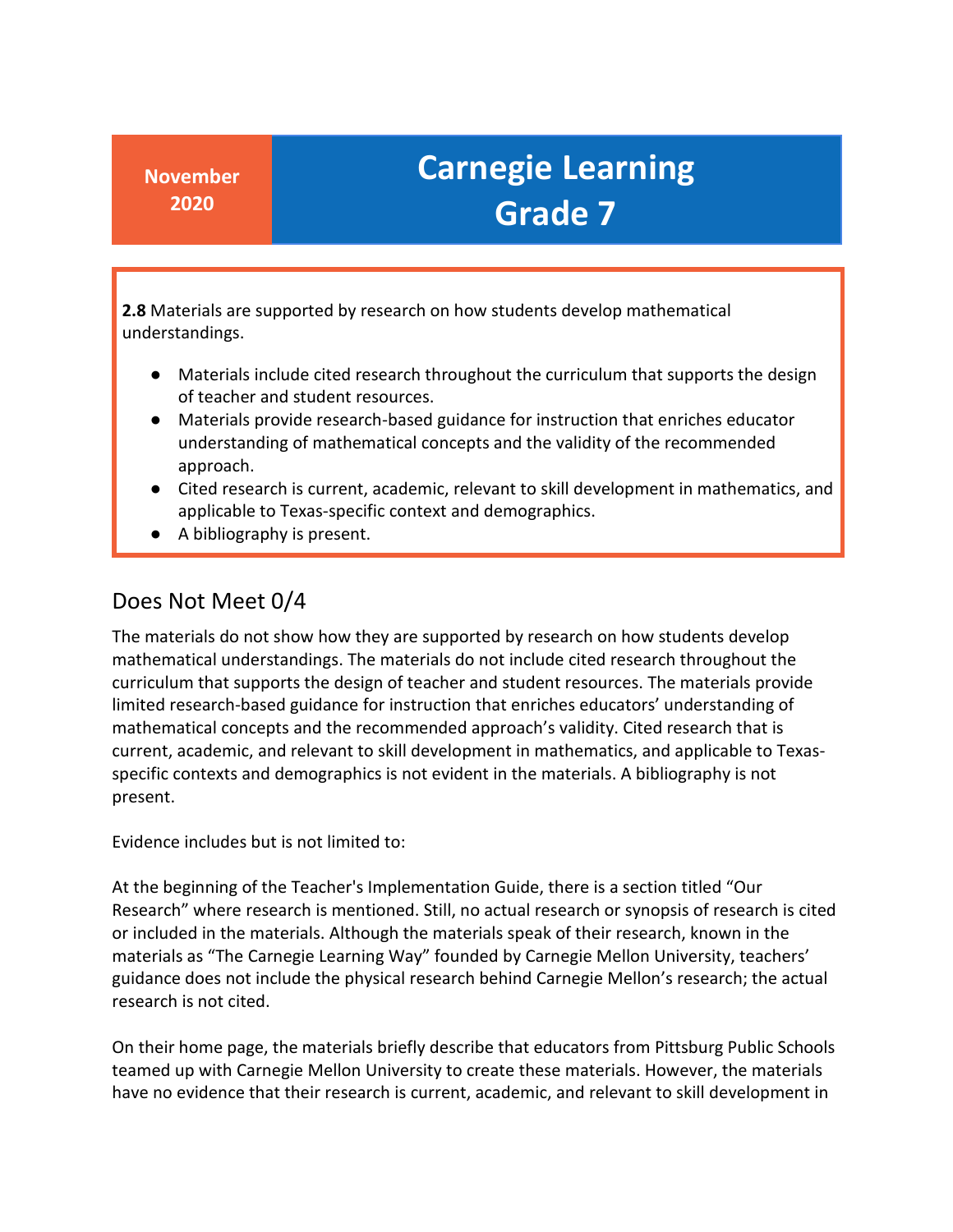**2.8** Materials are supported by research on how students develop mathematical understandings.

- Materials include cited research throughout the curriculum that supports the design of teacher and student resources.
- ● Materials provide research-based guidance for instruction that enriches educator understanding of mathematical concepts and the validity of the recommended approach.
- Cited research is current, academic, relevant to skill development in mathematics, and applicable to Texas-specific context and demographics.
- A bibliography is present.

#### Does Not Meet 0/4

 mathematical concepts and the recommended approach's validity. Cited research that is specific contexts and demographics is not evident in the materials. A bibliography is not The materials do not show how they are supported by research on how students develop mathematical understandings. The materials do not include cited research throughout the curriculum that supports the design of teacher and student resources. The materials provide limited research-based guidance for instruction that enriches educators' understanding of current, academic, and relevant to skill development in mathematics, and applicable to Texaspresent.

Evidence includes but is not limited to:

 At the beginning of the Teacher's Implementation Guide, there is a section titled "Our Research" where research is mentioned. Still, no actual research or synopsis of research is cited or included in the materials. Although the materials speak of their research, known in the guidance does not include the physical research behind Carnegie Mellon's research; the actual materials as "The Carnegie Learning Way" founded by Carnegie Mellon University, teachers' research is not cited.

 On their home page, the materials briefly describe that educators from Pittsburg Public Schools teamed up with Carnegie Mellon University to create these materials. However, the materials have no evidence that their research is current, academic, and relevant to skill development in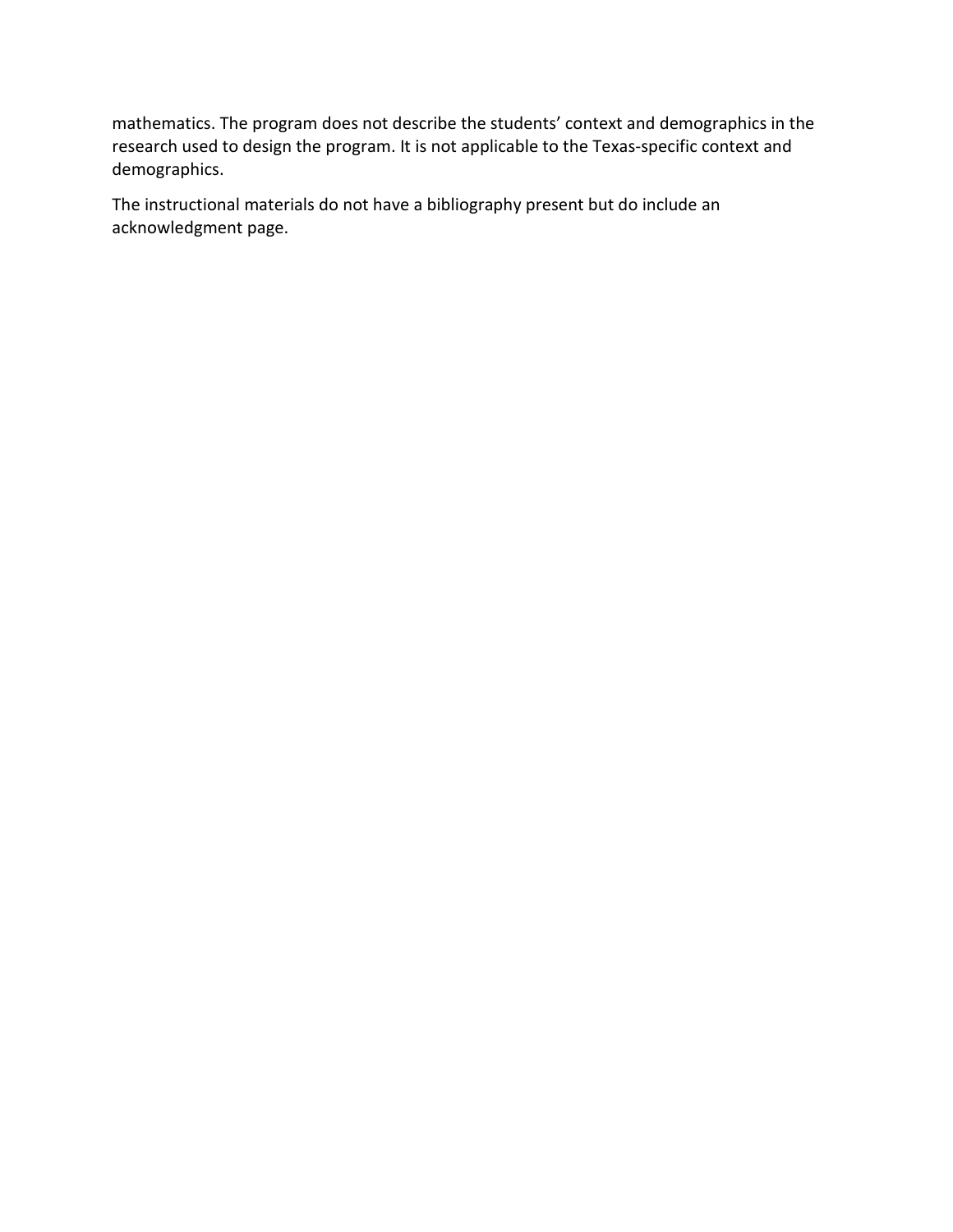mathematics. The program does not describe the students' context and demographics in the research used to design the program. It is not applicable to the Texas-specific context and demographics.

The instructional materials do not have a bibliography present but do include an acknowledgment page.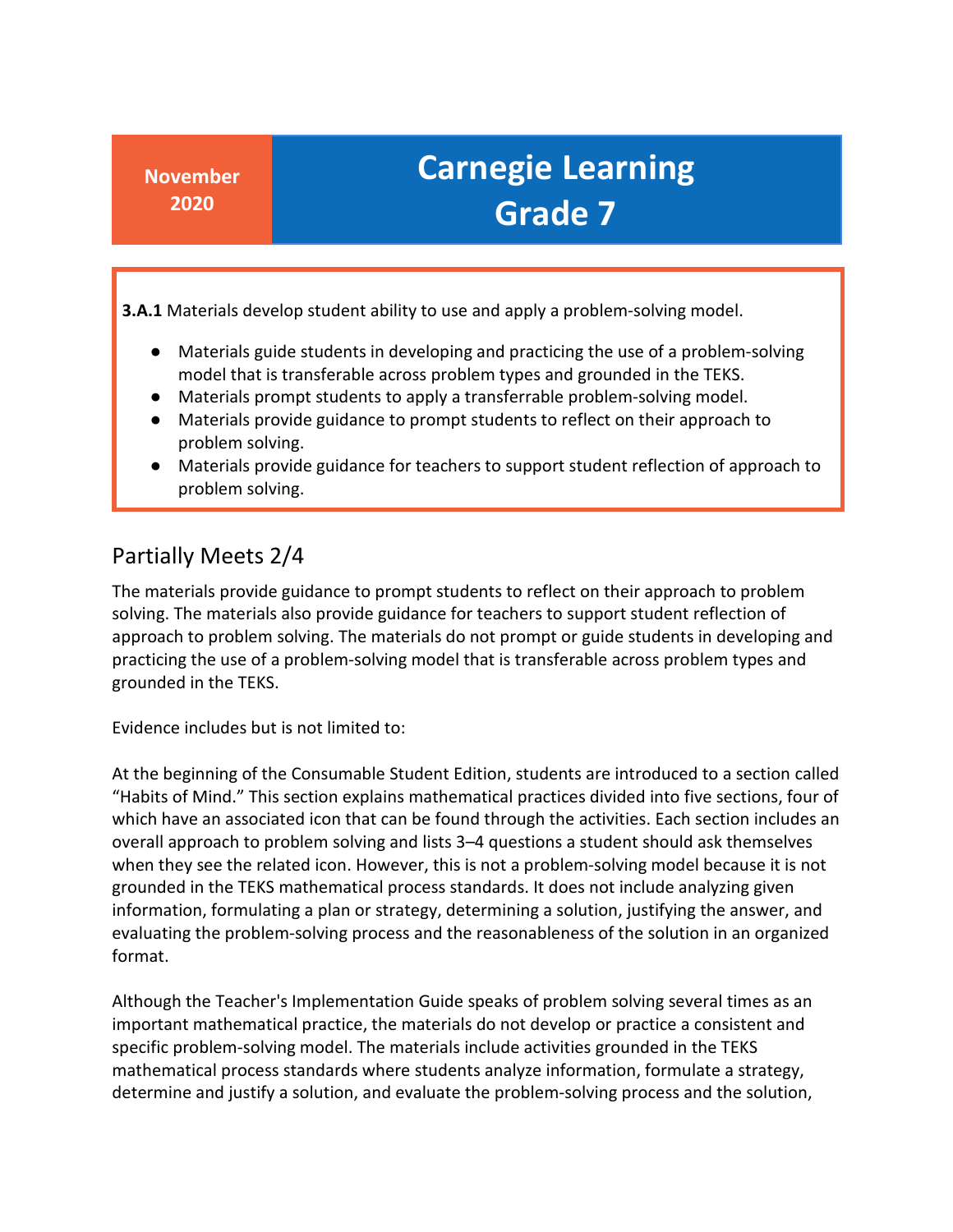**3.A.1** Materials develop student ability to use and apply a problem-solving model.

- Materials guide students in developing and practicing the use of a problem-solving model that is transferable across problem types and grounded in the TEKS.
- Materials prompt students to apply a transferrable problem-solving model.
- Materials provide guidance to prompt students to reflect on their approach to problem solving.
- Materials provide guidance for teachers to support student reflection of approach to problem solving.

#### Partially Meets 2/4

 approach to problem solving. The materials do not prompt or guide students in developing and practicing the use of a problem-solving model that is transferable across problem types and grounded in the TEKS. The materials provide guidance to prompt students to reflect on their approach to problem solving. The materials also provide guidance for teachers to support student reflection of

Evidence includes but is not limited to:

 "Habits of Mind." This section explains mathematical practices divided into five sections, four of evaluating the problem-solving process and the reasonableness of the solution in an organized At the beginning of the Consumable Student Edition, students are introduced to a section called which have an associated icon that can be found through the activities. Each section includes an overall approach to problem solving and lists 3–4 questions a student should ask themselves when they see the related icon. However, this is not a problem-solving model because it is not grounded in the TEKS mathematical process standards. It does not include analyzing given information, formulating a plan or strategy, determining a solution, justifying the answer, and format.

 important mathematical practice, the materials do not develop or practice a consistent and specific problem-solving model. The materials include activities grounded in the TEKS Although the Teacher's Implementation Guide speaks of problem solving several times as an mathematical process standards where students analyze information, formulate a strategy, determine and justify a solution, and evaluate the problem-solving process and the solution,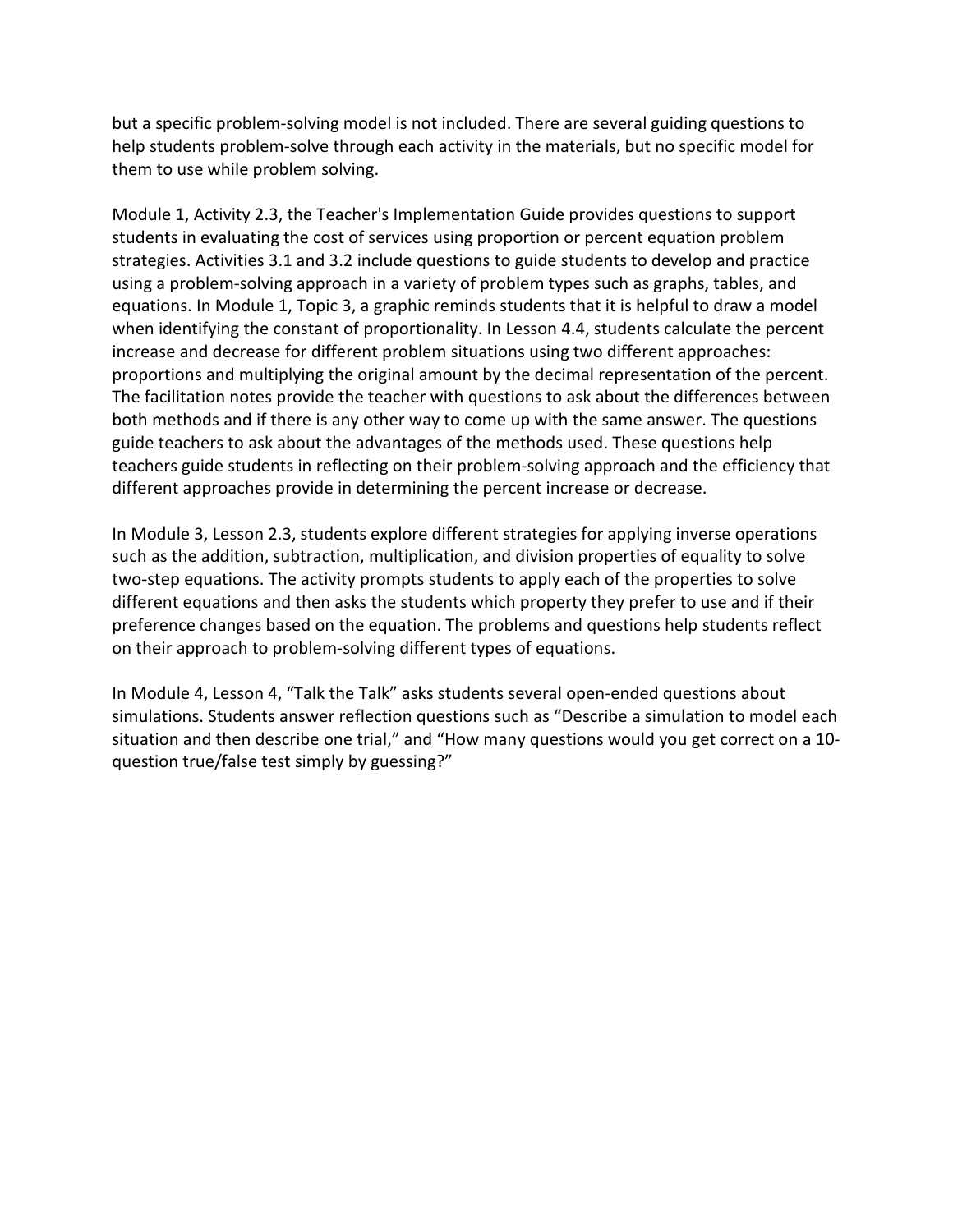but a specific problem-solving model is not included. There are several guiding questions to help students problem-solve through each activity in the materials, but no specific model for them to use while problem solving.

 Module 1, Activity 2.3, the Teacher's Implementation Guide provides questions to support using a problem-solving approach in a variety of problem types such as graphs, tables, and when identifying the constant of proportionality. In Lesson 4.4, students calculate the percent increase and decrease for different problem situations using two different approaches: proportions and multiplying the original amount by the decimal representation of the percent. both methods and if there is any other way to come up with the same answer. The questions guide teachers to ask about the advantages of the methods used. These questions help students in evaluating the cost of services using proportion or percent equation problem strategies. Activities 3.1 and 3.2 include questions to guide students to develop and practice equations. In Module 1, Topic 3, a graphic reminds students that it is helpful to draw a model The facilitation notes provide the teacher with questions to ask about the differences between teachers guide students in reflecting on their problem-solving approach and the efficiency that different approaches provide in determining the percent increase or decrease.

 In Module 3, Lesson 2.3, students explore different strategies for applying inverse operations two-step equations. The activity prompts students to apply each of the properties to solve such as the addition, subtraction, multiplication, and division properties of equality to solve different equations and then asks the students which property they prefer to use and if their preference changes based on the equation. The problems and questions help students reflect on their approach to problem-solving different types of equations.

 simulations. Students answer reflection questions such as "Describe a simulation to model each In Module 4, Lesson 4, "Talk the Talk" asks students several open-ended questions about situation and then describe one trial," and "How many questions would you get correct on a 10 question true/false test simply by guessing?"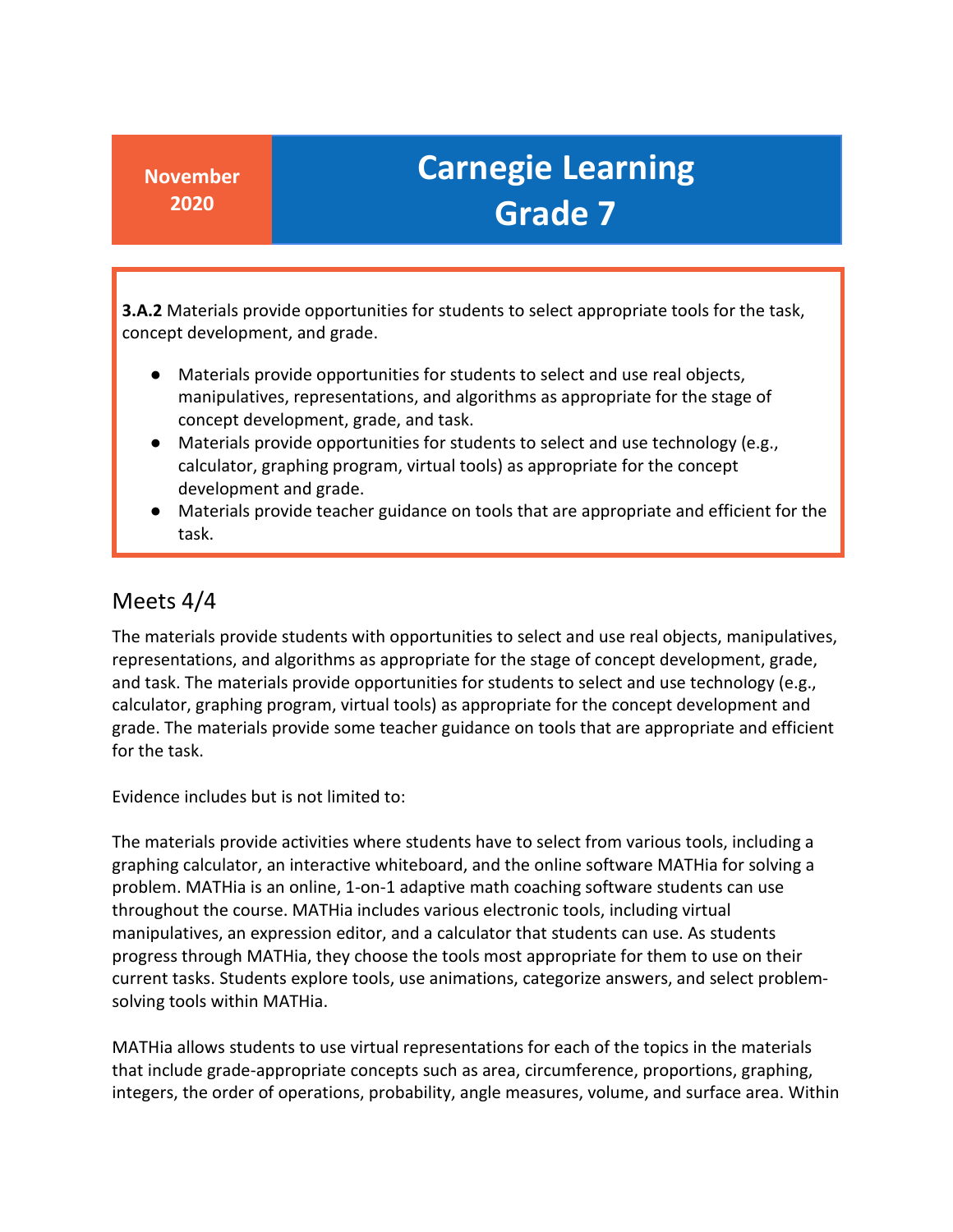**3.A.2** Materials provide opportunities for students to select appropriate tools for the task, concept development, and grade.

- ● Materials provide opportunities for students to select and use real objects, manipulatives, representations, and algorithms as appropriate for the stage of concept development, grade, and task.
- ● Materials provide opportunities for students to select and use technology (e.g., calculator, graphing program, virtual tools) as appropriate for the concept development and grade.
- ● Materials provide teacher guidance on tools that are appropriate and efficient for the task.

#### Meets 4/4

 and task. The materials provide opportunities for students to select and use technology (e.g., for the task. The materials provide students with opportunities to select and use real objects, manipulatives, representations, and algorithms as appropriate for the stage of concept development, grade, calculator, graphing program, virtual tools) as appropriate for the concept development and grade. The materials provide some teacher guidance on tools that are appropriate and efficient

Evidence includes but is not limited to:

 progress through MATHia, they choose the tools most appropriate for them to use on their current tasks. Students explore tools, use animations, categorize answers, and select problem-The materials provide activities where students have to select from various tools, including a graphing calculator, an interactive whiteboard, and the online software MATHia for solving a problem. MATHia is an online, 1-on-1 adaptive math coaching software students can use throughout the course. MATHia includes various electronic tools, including virtual manipulatives, an expression editor, and a calculator that students can use. As students solving tools within MATHia.

 MATHia allows students to use virtual representations for each of the topics in the materials that include grade-appropriate concepts such as area, circumference, proportions, graphing, integers, the order of operations, probability, angle measures, volume, and surface area. Within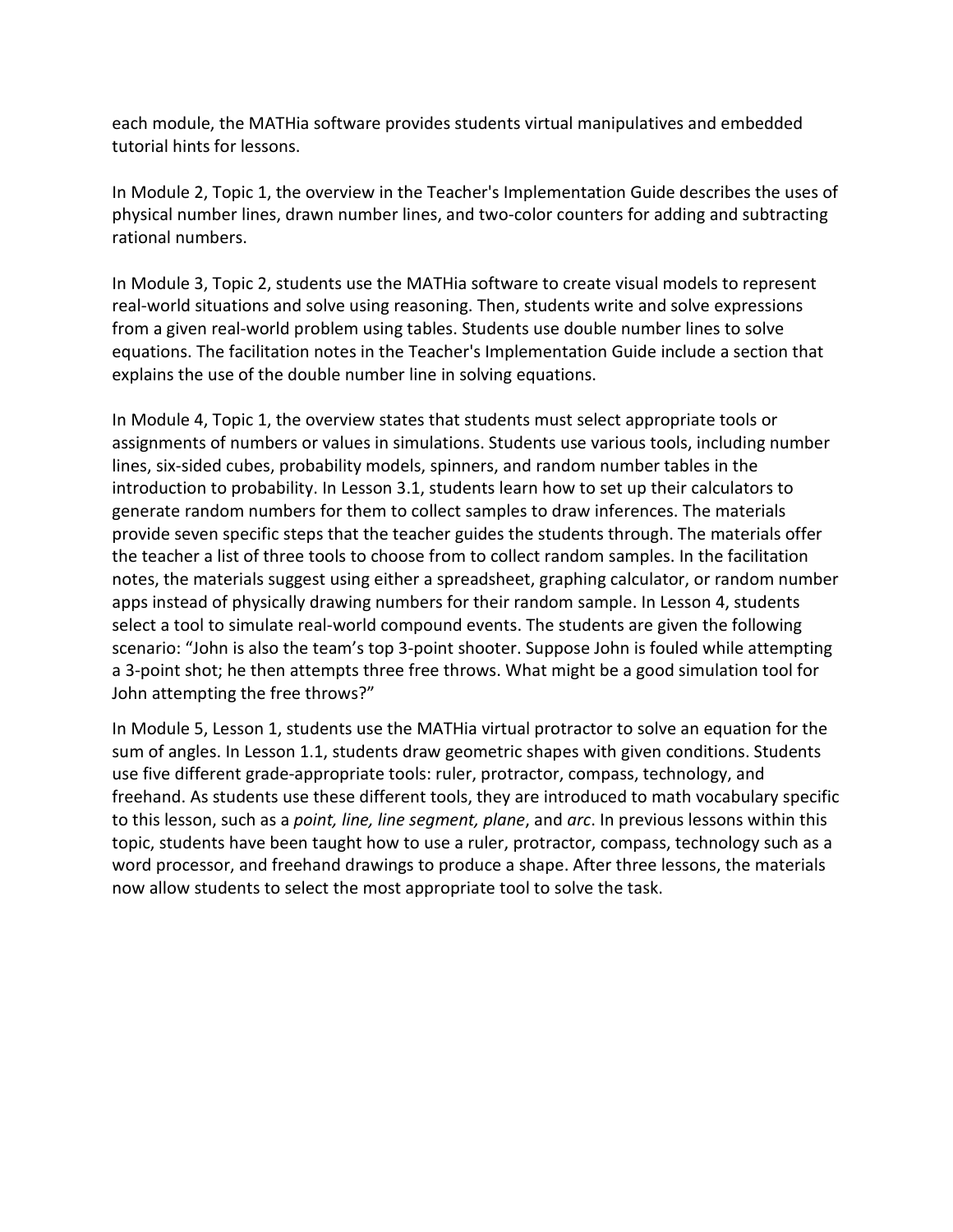each module, the MATHia software provides students virtual manipulatives and embedded tutorial hints for lessons.

 In Module 2, Topic 1, the overview in the Teacher's Implementation Guide describes the uses of physical number lines, drawn number lines, and two-color counters for adding and subtracting rational numbers.

 In Module 3, Topic 2, students use the MATHia software to create visual models to represent real-world situations and solve using reasoning. Then, students write and solve expressions from a given real-world problem using tables. Students use double number lines to solve equations. The facilitation notes in the Teacher's Implementation Guide include a section that explains the use of the double number line in solving equations.

 assignments of numbers or values in simulations. Students use various tools, including number lines, six-sided cubes, probability models, spinners, and random number tables in the generate random numbers for them to collect samples to draw inferences. The materials the teacher a list of three tools to choose from to collect random samples. In the facilitation notes, the materials suggest using either a spreadsheet, graphing calculator, or random number scenario: "John is also the team's top 3-point shooter. Suppose John is fouled while attempting In Module 4, Topic 1, the overview states that students must select appropriate tools or introduction to probability. In Lesson 3.1, students learn how to set up their calculators to provide seven specific steps that the teacher guides the students through. The materials offer apps instead of physically drawing numbers for their random sample. In Lesson 4, students select a tool to simulate real-world compound events. The students are given the following a 3-point shot; he then attempts three free throws. What might be a good simulation tool for John attempting the free throws?"

 In Module 5, Lesson 1, students use the MATHia virtual protractor to solve an equation for the use five different grade-appropriate tools: ruler, protractor, compass, technology, and topic, students have been taught how to use a ruler, protractor, compass, technology such as a word processor, and freehand drawings to produce a shape. After three lessons, the materials sum of angles. In Lesson 1.1, students draw geometric shapes with given conditions. Students freehand. As students use these different tools, they are introduced to math vocabulary specific to this lesson, such as a *point, line, line segment, plane*, and *arc*. In previous lessons within this now allow students to select the most appropriate tool to solve the task.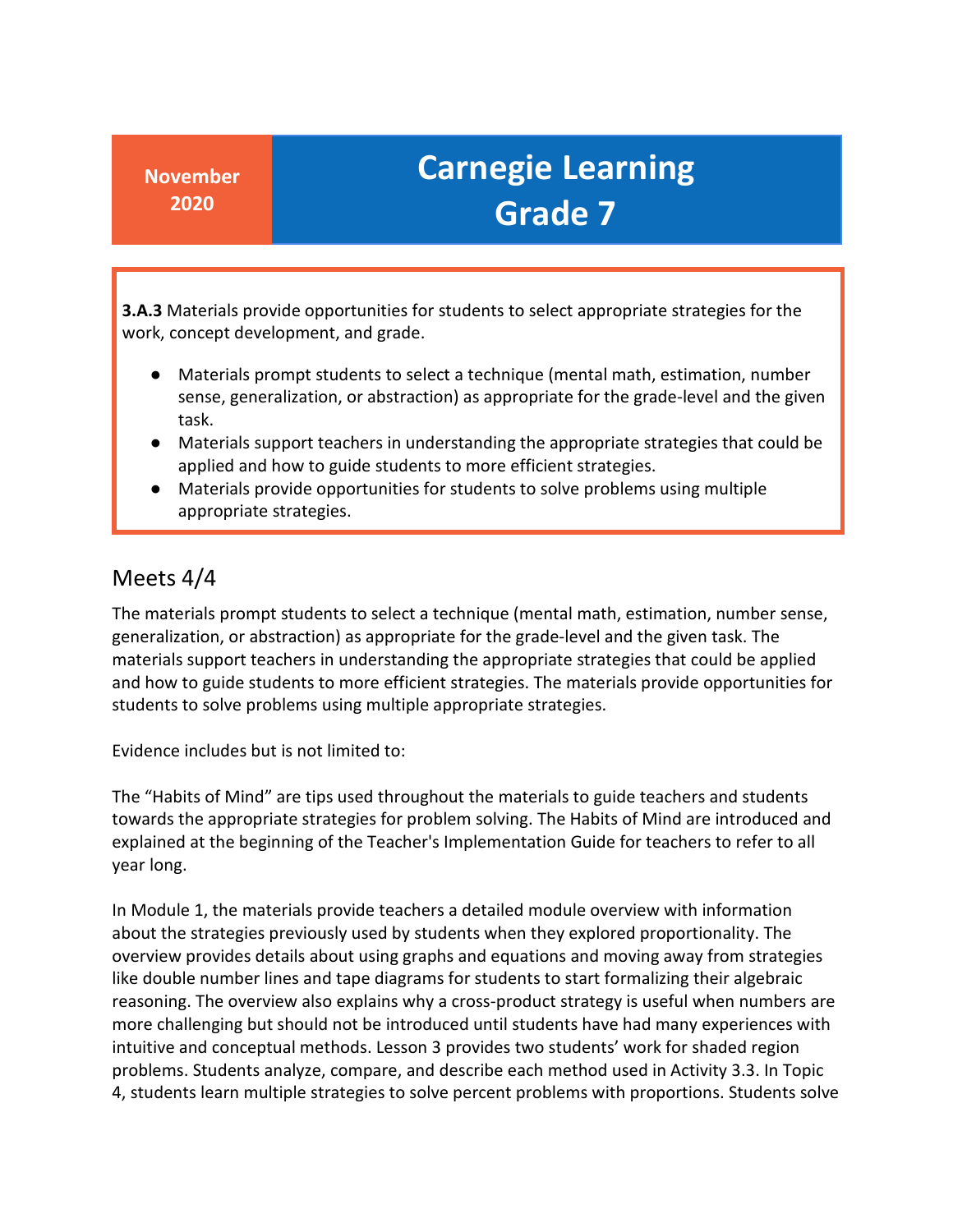**3.A.3** Materials provide opportunities for students to select appropriate strategies for the work, concept development, and grade.

- Materials prompt students to select a technique (mental math, estimation, number sense, generalization, or abstraction) as appropriate for the grade-level and the given task.
- ● Materials support teachers in understanding the appropriate strategies that could be applied and how to guide students to more efficient strategies.
- ● Materials provide opportunities for students to solve problems using multiple appropriate strategies.

#### Meets 4/4

 The materials prompt students to select a technique (mental math, estimation, number sense, materials support teachers in understanding the appropriate strategies that could be applied and how to guide students to more efficient strategies. The materials provide opportunities for generalization, or abstraction) as appropriate for the grade-level and the given task. The students to solve problems using multiple appropriate strategies.

Evidence includes but is not limited to:

 The "Habits of Mind" are tips used throughout the materials to guide teachers and students towards the appropriate strategies for problem solving. The Habits of Mind are introduced and explained at the beginning of the Teacher's Implementation Guide for teachers to refer to all year long.

 about the strategies previously used by students when they explored proportionality. The like double number lines and tape diagrams for students to start formalizing their algebraic more challenging but should not be introduced until students have had many experiences with intuitive and conceptual methods. Lesson 3 provides two students' work for shaded region problems. Students analyze, compare, and describe each method used in Activity 3.3. In Topic 4, students learn multiple strategies to solve percent problems with proportions. Students solve In Module 1, the materials provide teachers a detailed module overview with information overview provides details about using graphs and equations and moving away from strategies reasoning. The overview also explains why a cross-product strategy is useful when numbers are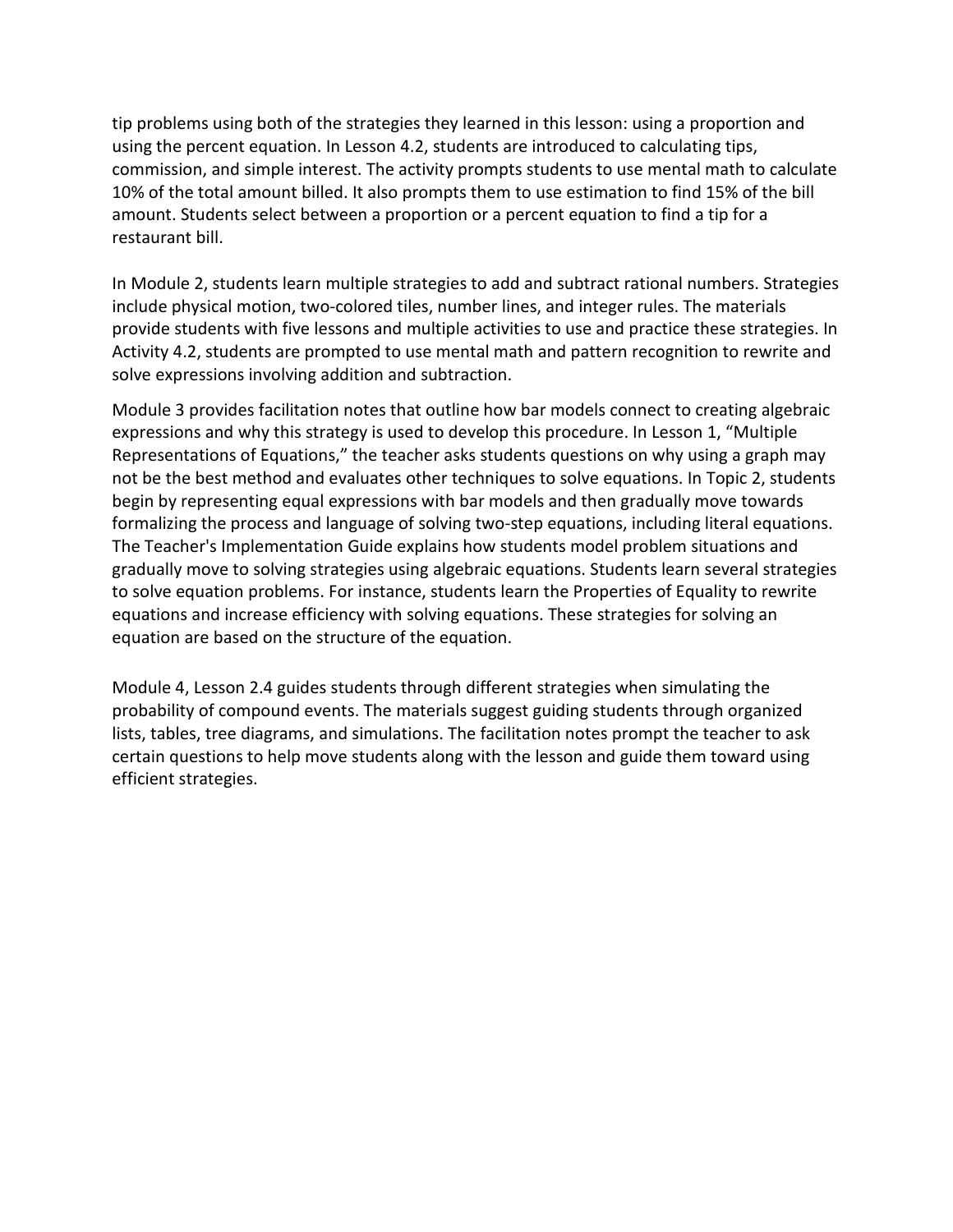tip problems using both of the strategies they learned in this lesson: using a proportion and commission, and simple interest. The activity prompts students to use mental math to calculate using the percent equation. In Lesson 4.2, students are introduced to calculating tips, 10% of the total amount billed. It also prompts them to use estimation to find 15% of the bill amount. Students select between a proportion or a percent equation to find a tip for a restaurant bill.

 include physical motion, two-colored tiles, number lines, and integer rules. The materials In Module 2, students learn multiple strategies to add and subtract rational numbers. Strategies provide students with five lessons and multiple activities to use and practice these strategies. In Activity 4.2, students are prompted to use mental math and pattern recognition to rewrite and solve expressions involving addition and subtraction.

 Module 3 provides facilitation notes that outline how bar models connect to creating algebraic begin by representing equal expressions with bar models and then gradually move towards formalizing the process and language of solving two-step equations, including literal equations. equations and increase efficiency with solving equations. These strategies for solving an expressions and why this strategy is used to develop this procedure. In Lesson 1, "Multiple Representations of Equations," the teacher asks students questions on why using a graph may not be the best method and evaluates other techniques to solve equations. In Topic 2, students The Teacher's Implementation Guide explains how students model problem situations and gradually move to solving strategies using algebraic equations. Students learn several strategies to solve equation problems. For instance, students learn the Properties of Equality to rewrite equation are based on the structure of the equation.

 Module 4, Lesson 2.4 guides students through different strategies when simulating the lists, tables, tree diagrams, and simulations. The facilitation notes prompt the teacher to ask certain questions to help move students along with the lesson and guide them toward using probability of compound events. The materials suggest guiding students through organized efficient strategies.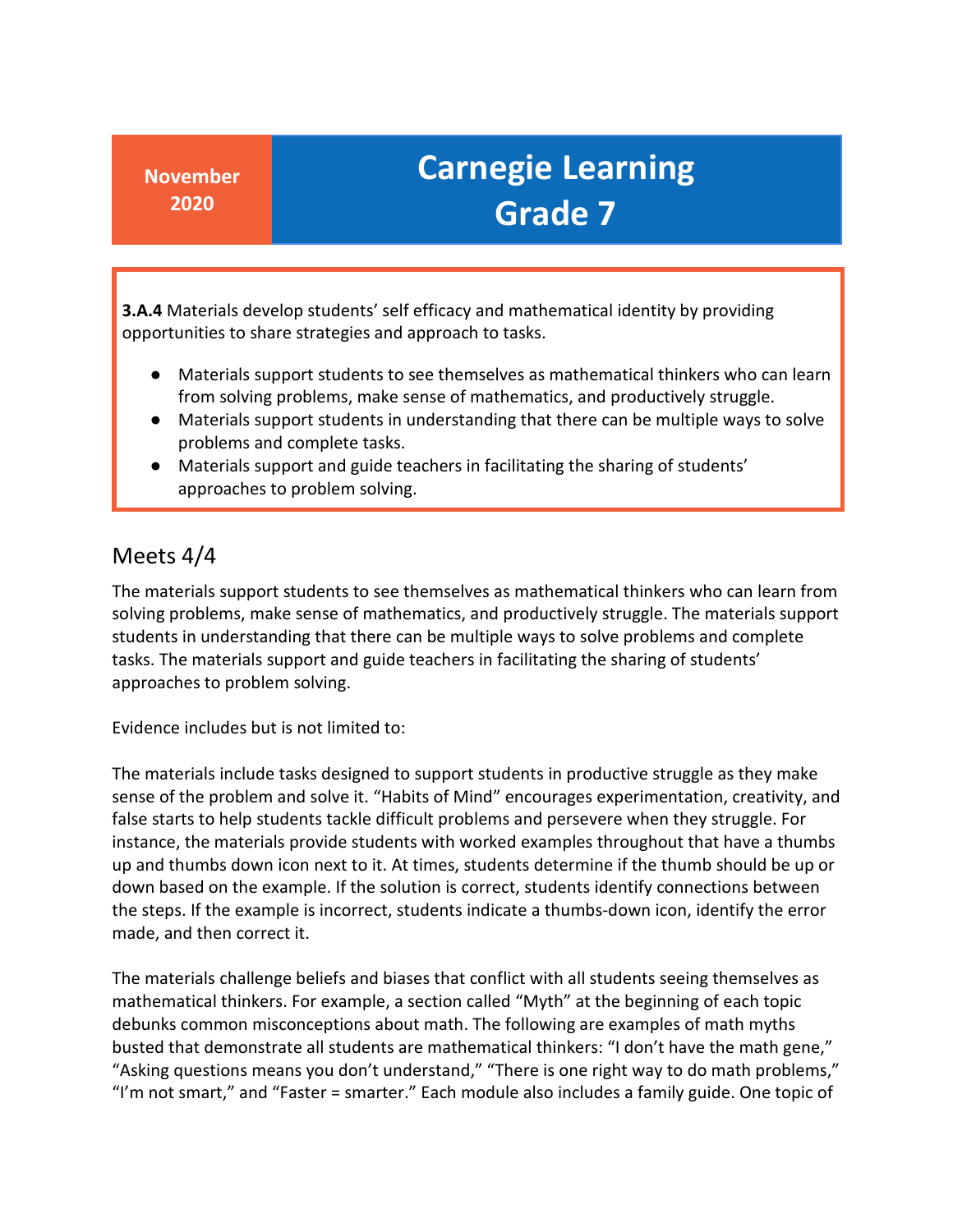**3.A.4** Materials develop students' self efficacy and mathematical identity by providing opportunities to share strategies and approach to tasks.

- ● Materials support students to see themselves as mathematical thinkers who can learn from solving problems, make sense of mathematics, and productively struggle.
- Materials support students in understanding that there can be multiple ways to solve problems and complete tasks.
- ● Materials support and guide teachers in facilitating the sharing of students' approaches to problem solving.

#### Meets 4/4

 The materials support students to see themselves as mathematical thinkers who can learn from tasks. The materials support and guide teachers in facilitating the sharing of students' approaches to problem solving. solving problems, make sense of mathematics, and productively struggle. The materials support students in understanding that there can be multiple ways to solve problems and complete

Evidence includes but is not limited to:

 instance, the materials provide students with worked examples throughout that have a thumbs up and thumbs down icon next to it. At times, students determine if the thumb should be up or The materials include tasks designed to support students in productive struggle as they make sense of the problem and solve it. "Habits of Mind" encourages experimentation, creativity, and false starts to help students tackle difficult problems and persevere when they struggle. For down based on the example. If the solution is correct, students identify connections between the steps. If the example is incorrect, students indicate a thumbs-down icon, identify the error made, and then correct it.

 "Asking questions means you don't understand," "There is one right way to do math problems," "I'm not smart," and "Faster = smarter." Each module also includes a family guide. One topic of The materials challenge beliefs and biases that conflict with all students seeing themselves as mathematical thinkers. For example, a section called "Myth" at the beginning of each topic debunks common misconceptions about math. The following are examples of math myths busted that demonstrate all students are mathematical thinkers: "I don't have the math gene,"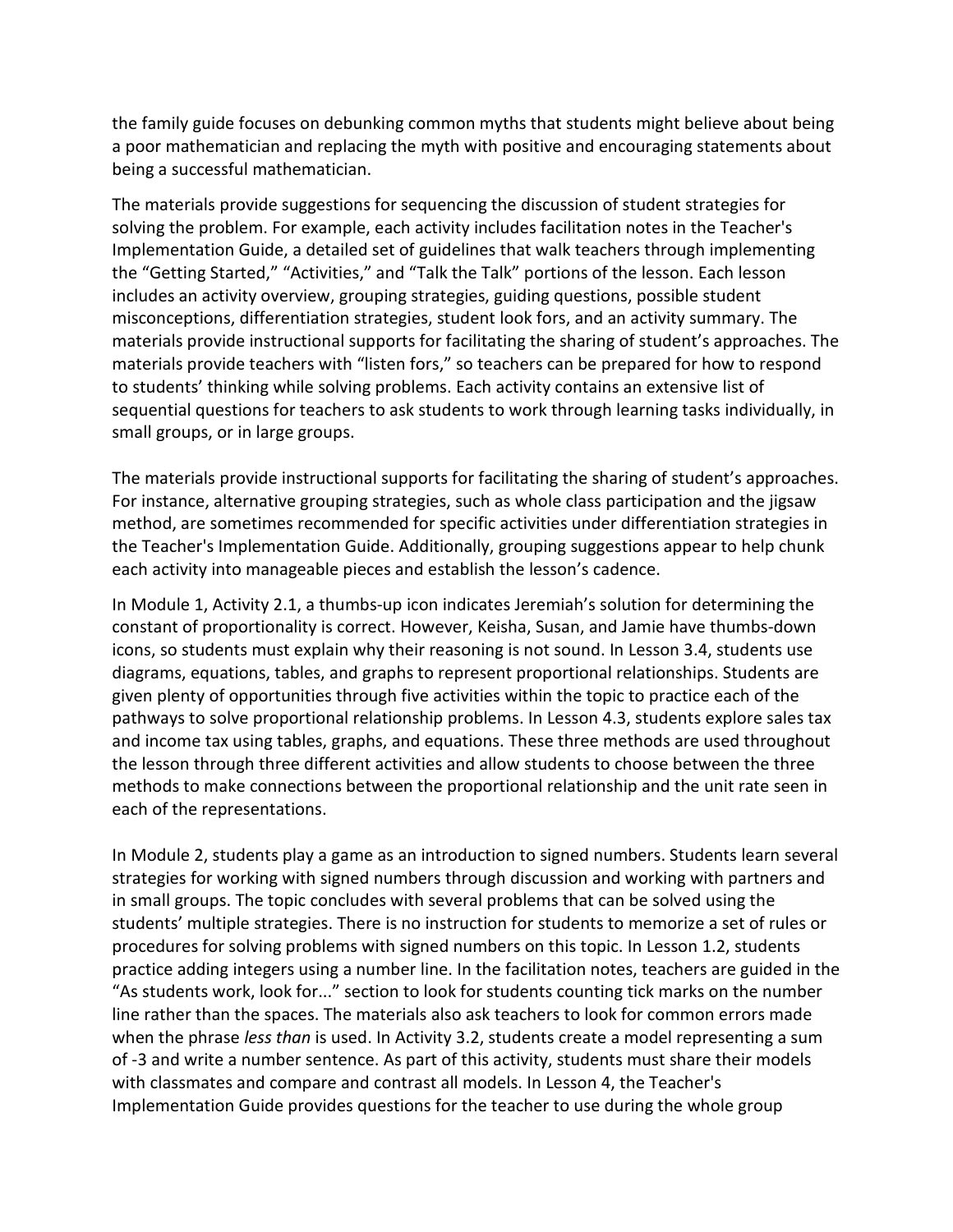the family guide focuses on debunking common myths that students might believe about being a poor mathematician and replacing the myth with positive and encouraging statements about being a successful mathematician.

 solving the problem. For example, each activity includes facilitation notes in the Teacher's the "Getting Started," "Activities," and "Talk the Talk" portions of the lesson. Each lesson materials provide instructional supports for facilitating the sharing of student's approaches. The materials provide teachers with "listen fors," so teachers can be prepared for how to respond sequential questions for teachers to ask students to work through learning tasks individually, in The materials provide suggestions for sequencing the discussion of student strategies for Implementation Guide, a detailed set of guidelines that walk teachers through implementing includes an activity overview, grouping strategies, guiding questions, possible student misconceptions, differentiation strategies, student look fors, and an activity summary. The to students' thinking while solving problems. Each activity contains an extensive list of small groups, or in large groups.

 The materials provide instructional supports for facilitating the sharing of student's approaches. each activity into manageable pieces and establish the lesson's cadence. For instance, alternative grouping strategies, such as whole class participation and the jigsaw method, are sometimes recommended for specific activities under differentiation strategies in the Teacher's Implementation Guide. Additionally, grouping suggestions appear to help chunk

 constant of proportionality is correct. However, Keisha, Susan, and Jamie have thumbs-down pathways to solve proportional relationship problems. In Lesson 4.3, students explore sales tax and income tax using tables, graphs, and equations. These three methods are used throughout the lesson through three different activities and allow students to choose between the three In Module 1, Activity 2.1, a thumbs-up icon indicates Jeremiah's solution for determining the icons, so students must explain why their reasoning is not sound. In Lesson 3.4, students use diagrams, equations, tables, and graphs to represent proportional relationships. Students are given plenty of opportunities through five activities within the topic to practice each of the methods to make connections between the proportional relationship and the unit rate seen in each of the representations.

 strategies for working with signed numbers through discussion and working with partners and in small groups. The topic concludes with several problems that can be solved using the "As students work, look for..." section to look for students counting tick marks on the number line rather than the spaces. The materials also ask teachers to look for common errors made when the phrase *less than* is used. In Activity 3.2, students create a model representing a sum of -3 and write a number sentence. As part of this activity, students must share their models with classmates and compare and contrast all models. In Lesson 4, the Teacher's Implementation Guide provides questions for the teacher to use during the whole group In Module 2, students play a game as an introduction to signed numbers. Students learn several students' multiple strategies. There is no instruction for students to memorize a set of rules or procedures for solving problems with signed numbers on this topic. In Lesson 1.2, students practice adding integers using a number line. In the facilitation notes, teachers are guided in the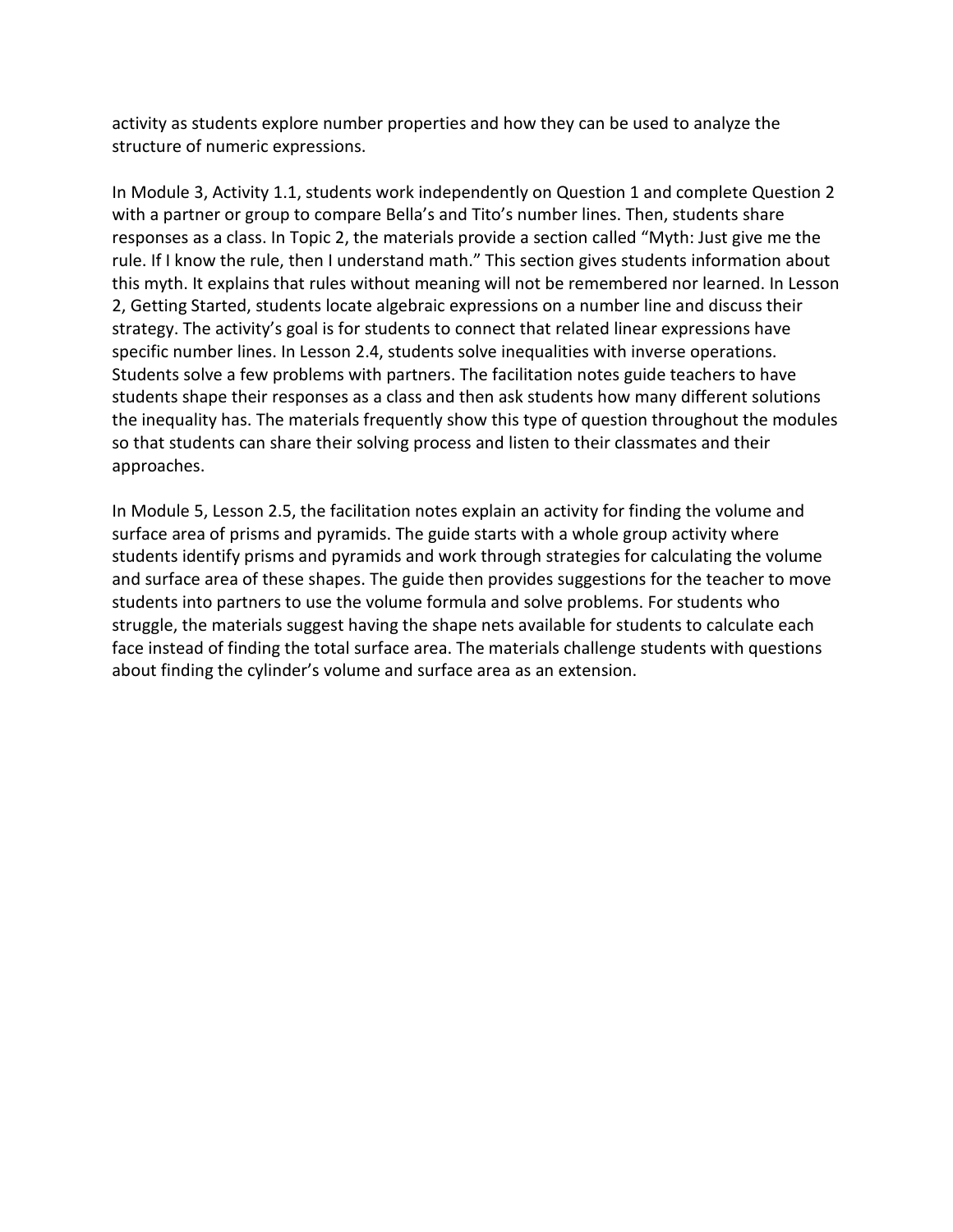activity as students explore number properties and how they can be used to analyze the structure of numeric expressions.

 responses as a class. In Topic 2, the materials provide a section called "Myth: Just give me the this myth. It explains that rules without meaning will not be remembered nor learned. In Lesson strategy. The activity's goal is for students to connect that related linear expressions have Students solve a few problems with partners. The facilitation notes guide teachers to have the inequality has. The materials frequently show this type of question throughout the modules In Module 3, Activity 1.1, students work independently on Question 1 and complete Question 2 with a partner or group to compare Bella's and Tito's number lines. Then, students share rule. If I know the rule, then I understand math." This section gives students information about 2, Getting Started, students locate algebraic expressions on a number line and discuss their specific number lines. In Lesson 2.4, students solve inequalities with inverse operations. students shape their responses as a class and then ask students how many different solutions so that students can share their solving process and listen to their classmates and their approaches.

 students identify prisms and pyramids and work through strategies for calculating the volume students into partners to use the volume formula and solve problems. For students who struggle, the materials suggest having the shape nets available for students to calculate each face instead of finding the total surface area. The materials challenge students with questions about finding the cylinder's volume and surface area as an extension. In Module 5, Lesson 2.5, the facilitation notes explain an activity for finding the volume and surface area of prisms and pyramids. The guide starts with a whole group activity where and surface area of these shapes. The guide then provides suggestions for the teacher to move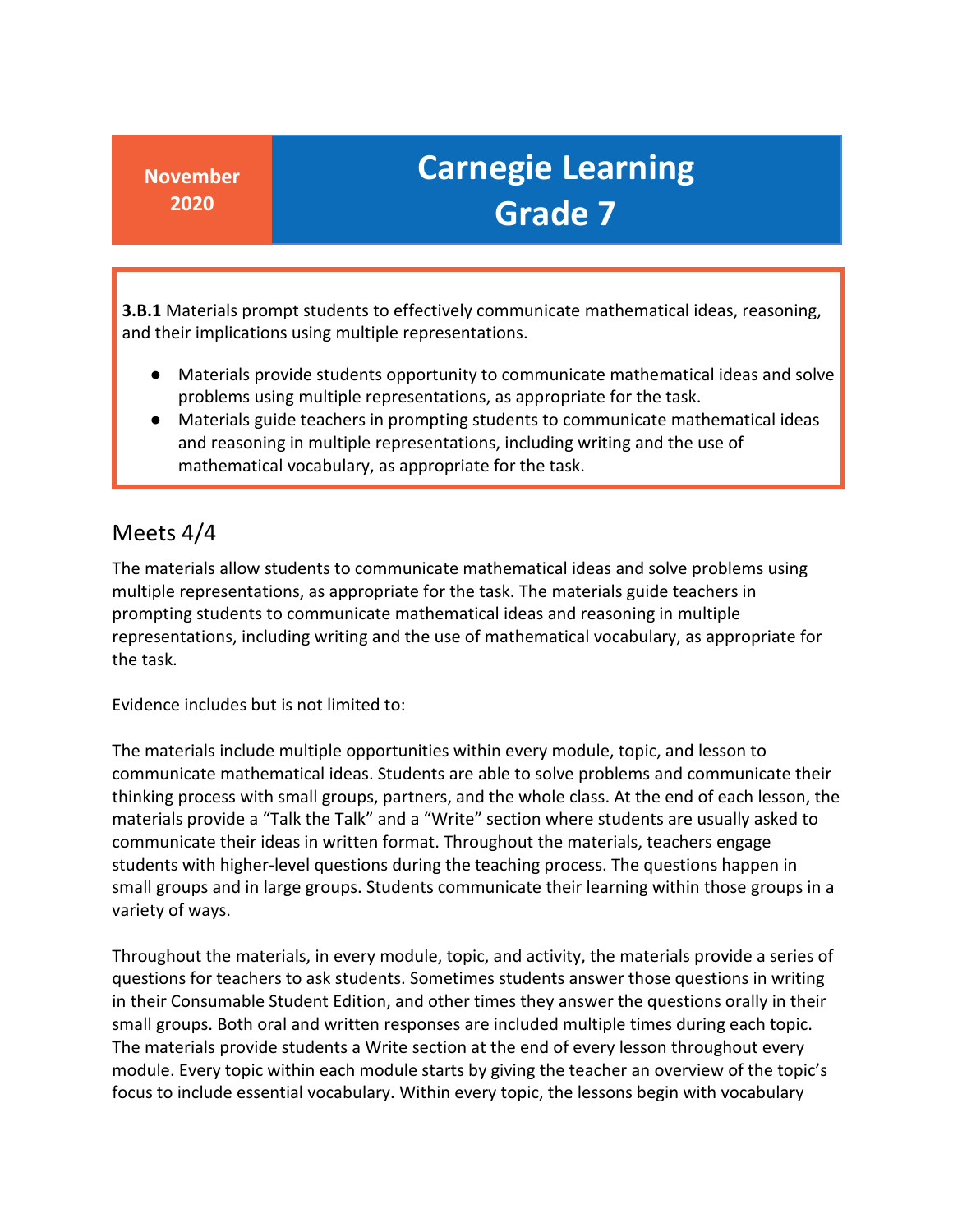**3.B.1** Materials prompt students to effectively communicate mathematical ideas, reasoning, and their implications using multiple representations.

- Materials provide students opportunity to communicate mathematical ideas and solve problems using multiple representations, as appropriate for the task.
- ● Materials guide teachers in prompting students to communicate mathematical ideas mathematical vocabulary, as appropriate for the task. and reasoning in multiple representations, including writing and the use of

### Meets 4/4

 The materials allow students to communicate mathematical ideas and solve problems using multiple representations, as appropriate for the task. The materials guide teachers in representations, including writing and the use of mathematical vocabulary, as appropriate for prompting students to communicate mathematical ideas and reasoning in multiple the task.

Evidence includes but is not limited to:

 thinking process with small groups, partners, and the whole class. At the end of each lesson, the materials provide a "Talk the Talk" and a "Write" section where students are usually asked to communicate their ideas in written format. Throughout the materials, teachers engage small groups and in large groups. Students communicate their learning within those groups in a The materials include multiple opportunities within every module, topic, and lesson to communicate mathematical ideas. Students are able to solve problems and communicate their students with higher-level questions during the teaching process. The questions happen in variety of ways.

 Throughout the materials, in every module, topic, and activity, the materials provide a series of small groups. Both oral and written responses are included multiple times during each topic. module. Every topic within each module starts by giving the teacher an overview of the topic's questions for teachers to ask students. Sometimes students answer those questions in writing in their Consumable Student Edition, and other times they answer the questions orally in their The materials provide students a Write section at the end of every lesson throughout every focus to include essential vocabulary. Within every topic, the lessons begin with vocabulary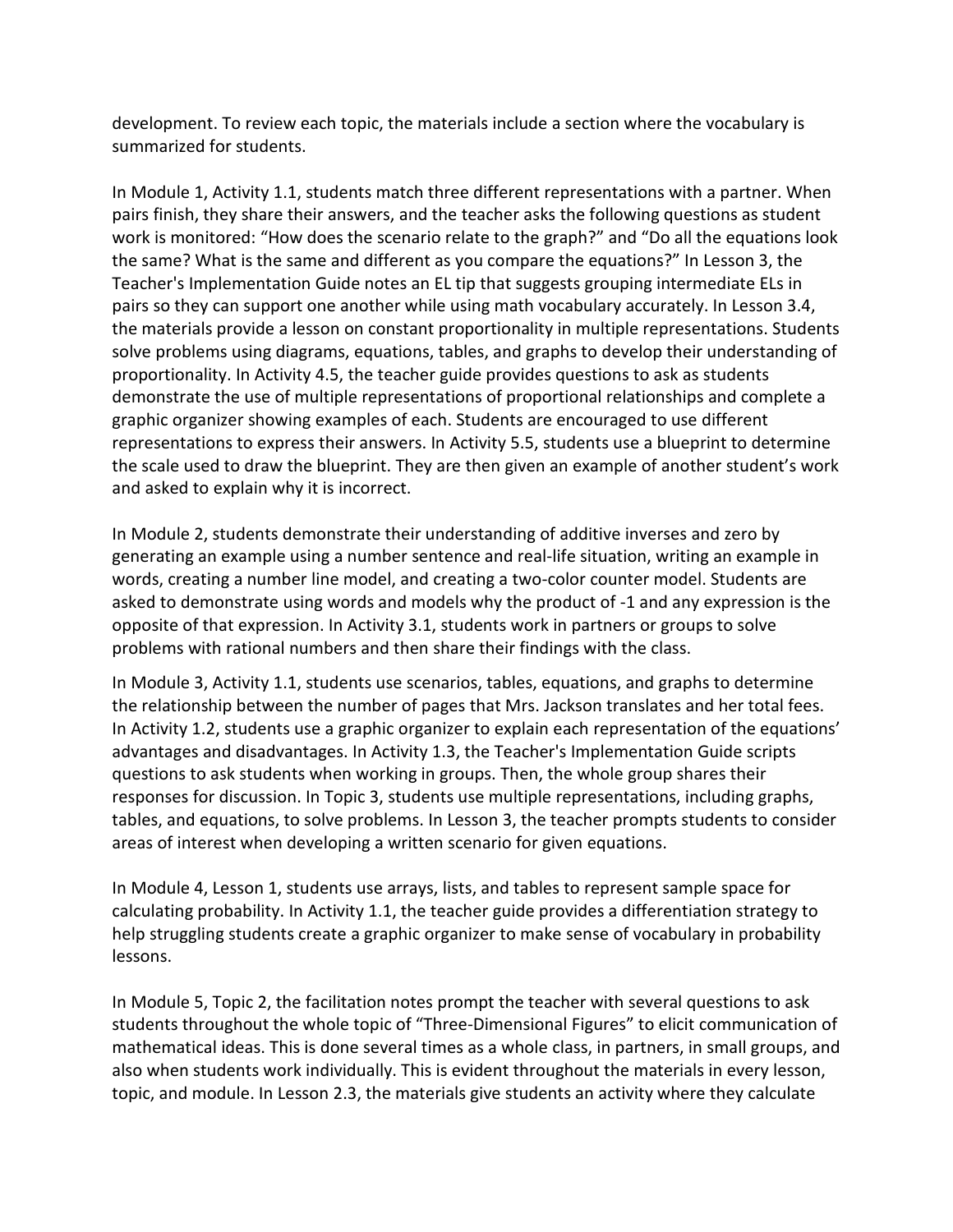development. To review each topic, the materials include a section where the vocabulary is summarized for students.

 In Module 1, Activity 1.1, students match three different representations with a partner. When the same? What is the same and different as you compare the equations?" In Lesson 3, the Teacher's Implementation Guide notes an EL tip that suggests grouping intermediate ELs in pairs so they can support one another while using math vocabulary accurately. In Lesson 3.4, solve problems using diagrams, equations, tables, and graphs to develop their understanding of proportionality. In Activity 4.5, the teacher guide provides questions to ask as students demonstrate the use of multiple representations of proportional relationships and complete a graphic organizer showing examples of each. Students are encouraged to use different the scale used to draw the blueprint. They are then given an example of another student's work pairs finish, they share their answers, and the teacher asks the following questions as student work is monitored: "How does the scenario relate to the graph?" and "Do all the equations look the materials provide a lesson on constant proportionality in multiple representations. Students representations to express their answers. In Activity 5.5, students use a blueprint to determine and asked to explain why it is incorrect.

 In Module 2, students demonstrate their understanding of additive inverses and zero by generating an example using a number sentence and real-life situation, writing an example in asked to demonstrate using words and models why the product of -1 and any expression is the problems with rational numbers and then share their findings with the class. words, creating a number line model, and creating a two-color counter model. Students are opposite of that expression. In Activity 3.1, students work in partners or groups to solve

 In Module 3, Activity 1.1, students use scenarios, tables, equations, and graphs to determine the relationship between the number of pages that Mrs. Jackson translates and her total fees. In Activity 1.2, students use a graphic organizer to explain each representation of the equations' tables, and equations, to solve problems. In Lesson 3, the teacher prompts students to consider advantages and disadvantages. In Activity 1.3, the Teacher's Implementation Guide scripts questions to ask students when working in groups. Then, the whole group shares their responses for discussion. In Topic 3, students use multiple representations, including graphs, areas of interest when developing a written scenario for given equations.

 In Module 4, Lesson 1, students use arrays, lists, and tables to represent sample space for calculating probability. In Activity 1.1, the teacher guide provides a differentiation strategy to help struggling students create a graphic organizer to make sense of vocabulary in probability lessons.

 In Module 5, Topic 2, the facilitation notes prompt the teacher with several questions to ask students throughout the whole topic of "Three-Dimensional Figures" to elicit communication of mathematical ideas. This is done several times as a whole class, in partners, in small groups, and topic, and module. In Lesson 2.3, the materials give students an activity where they calculate also when students work individually. This is evident throughout the materials in every lesson,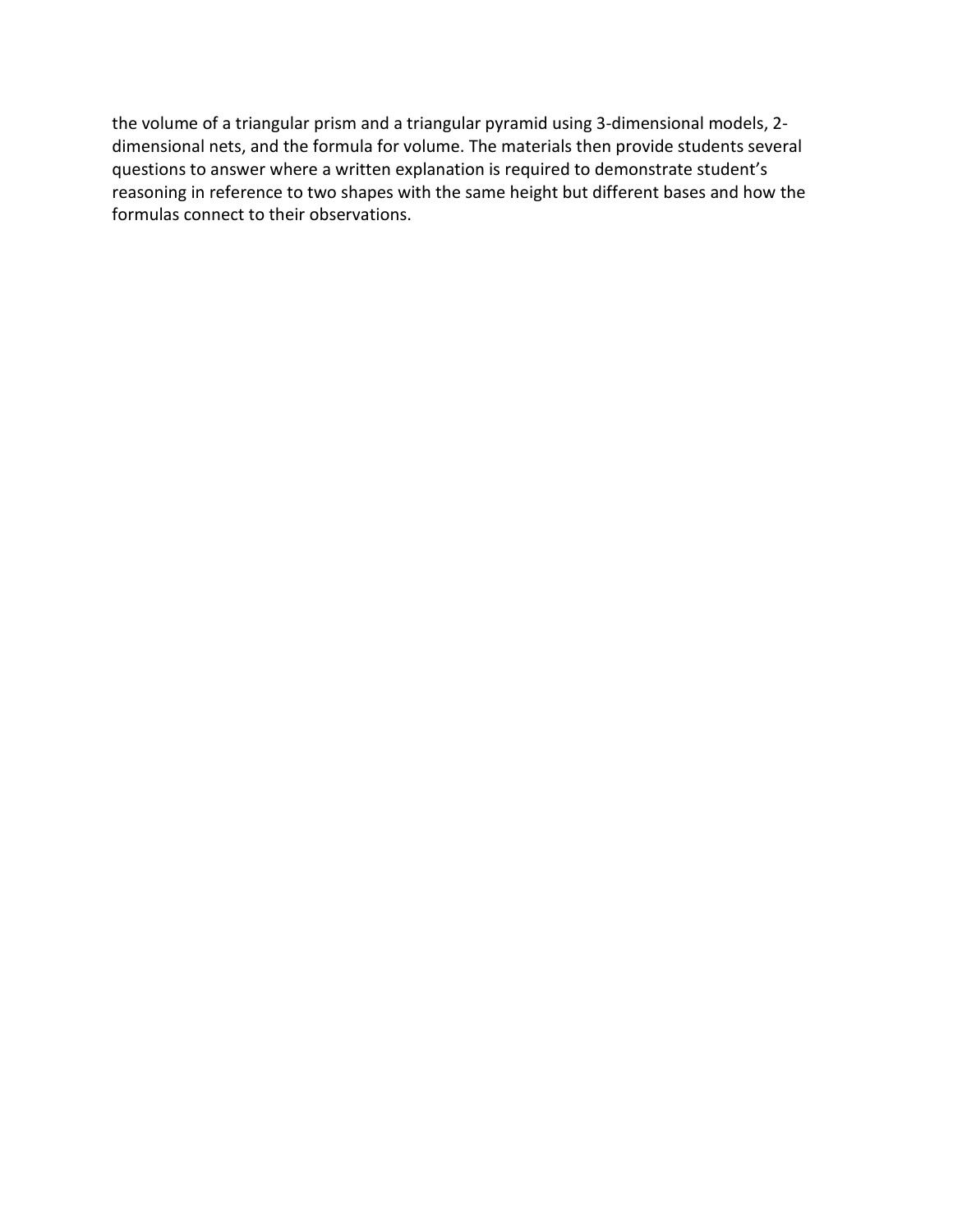the volume of a triangular prism and a triangular pyramid using 3-dimensional models, 2- dimensional nets, and the formula for volume. The materials then provide students several questions to answer where a written explanation is required to demonstrate student's reasoning in reference to two shapes with the same height but different bases and how the formulas connect to their observations.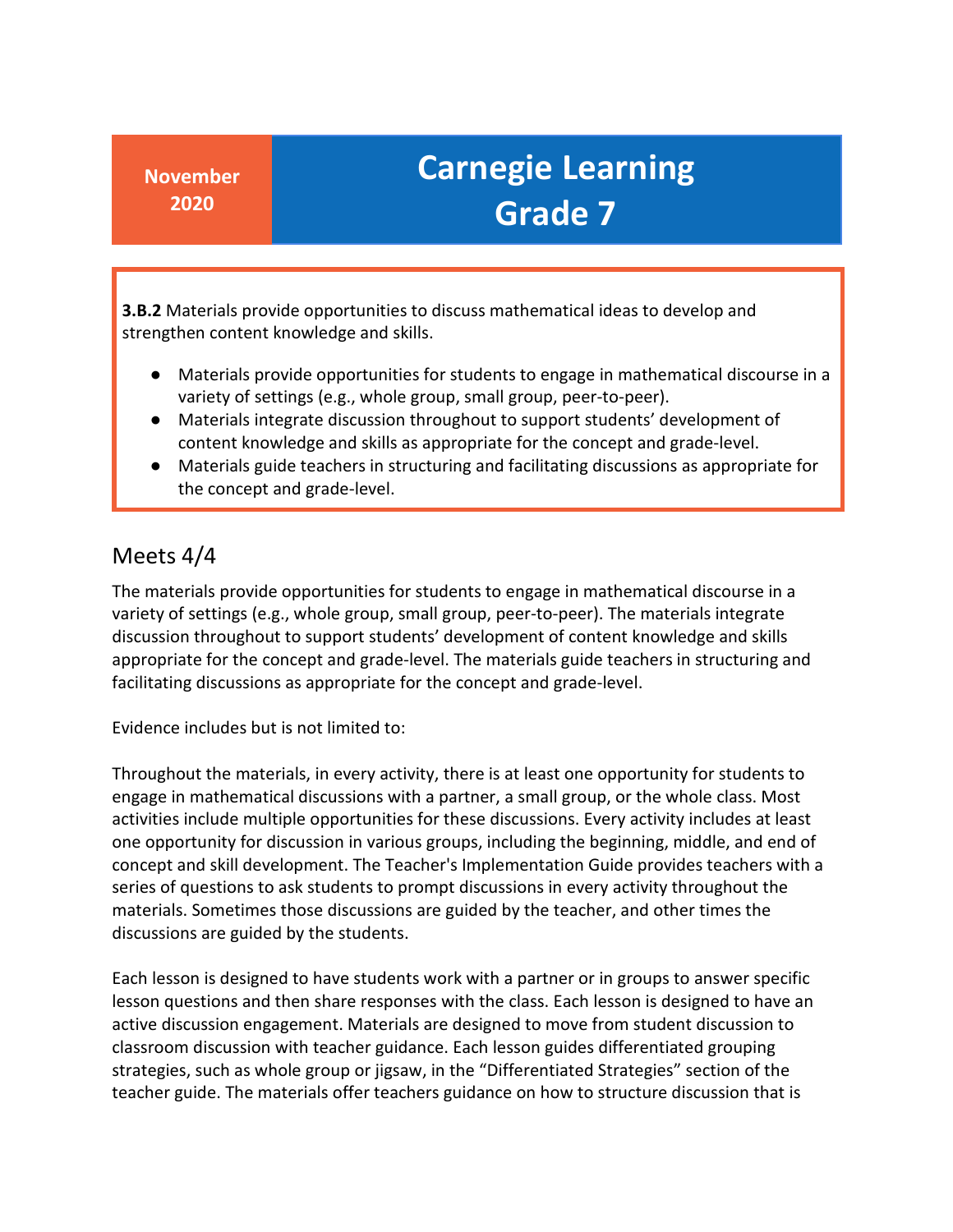**3.B.2** Materials provide opportunities to discuss mathematical ideas to develop and strengthen content knowledge and skills.

- ● Materials provide opportunities for students to engage in mathematical discourse in a variety of settings (e.g., whole group, small group, peer-to-peer).
- Materials integrate discussion throughout to support students' development of content knowledge and skills as appropriate for the concept and grade-level.
- ● Materials guide teachers in structuring and facilitating discussions as appropriate for the concept and grade-level.

#### Meets 4/4

 The materials provide opportunities for students to engage in mathematical discourse in a appropriate for the concept and grade-level. The materials guide teachers in structuring and variety of settings (e.g., whole group, small group, peer-to-peer). The materials integrate discussion throughout to support students' development of content knowledge and skills facilitating discussions as appropriate for the concept and grade-level.

Evidence includes but is not limited to:

 Throughout the materials, in every activity, there is at least one opportunity for students to engage in mathematical discussions with a partner, a small group, or the whole class. Most concept and skill development. The Teacher's Implementation Guide provides teachers with a series of questions to ask students to prompt discussions in every activity throughout the materials. Sometimes those discussions are guided by the teacher, and other times the activities include multiple opportunities for these discussions. Every activity includes at least one opportunity for discussion in various groups, including the beginning, middle, and end of discussions are guided by the students.

 Each lesson is designed to have students work with a partner or in groups to answer specific active discussion engagement. Materials are designed to move from student discussion to strategies, such as whole group or jigsaw, in the "Differentiated Strategies" section of the lesson questions and then share responses with the class. Each lesson is designed to have an classroom discussion with teacher guidance. Each lesson guides differentiated grouping teacher guide. The materials offer teachers guidance on how to structure discussion that is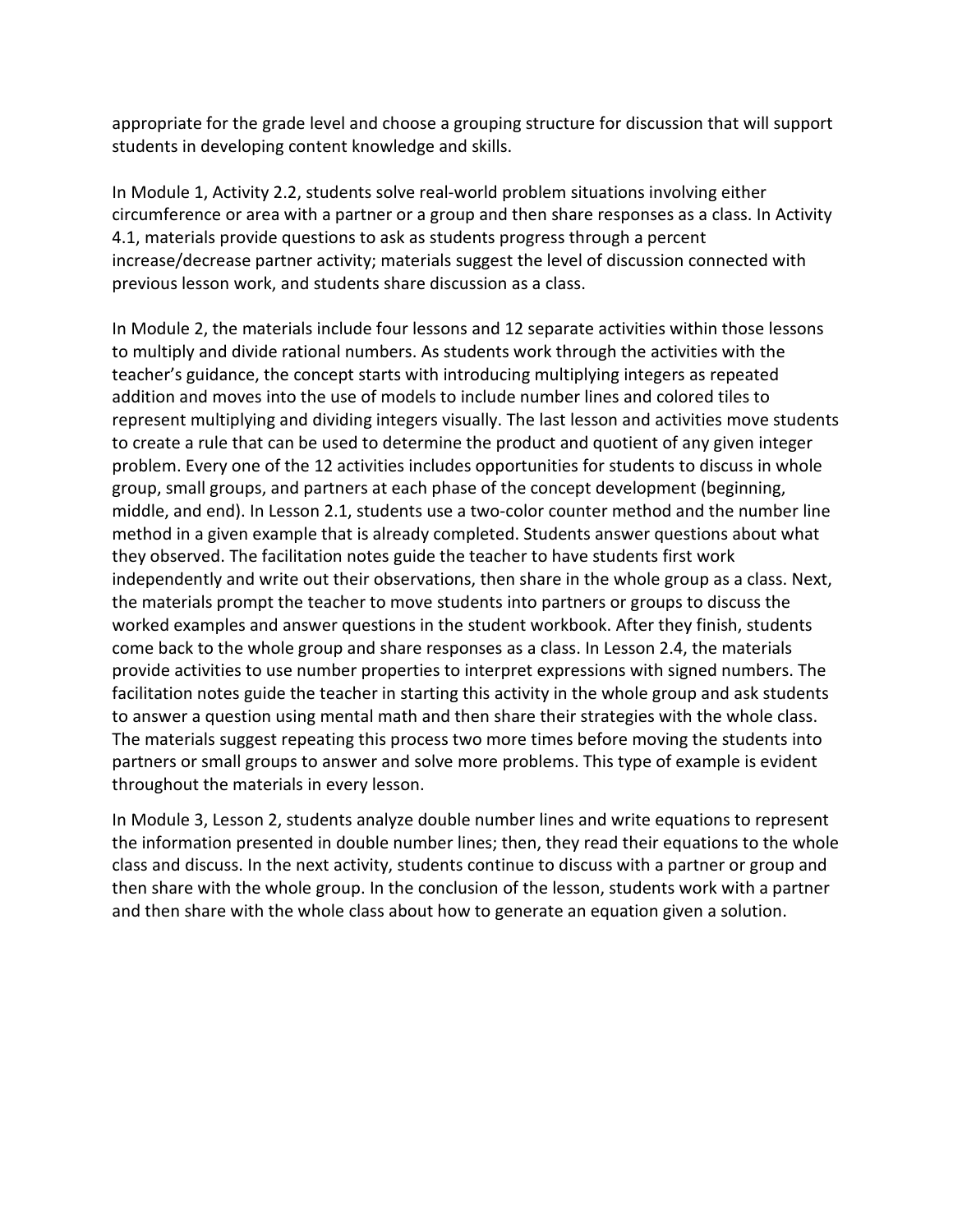appropriate for the grade level and choose a grouping structure for discussion that will support students in developing content knowledge and skills.

 4.1, materials provide questions to ask as students progress through a percent In Module 1, Activity 2.2, students solve real-world problem situations involving either circumference or area with a partner or a group and then share responses as a class. In Activity increase/decrease partner activity; materials suggest the level of discussion connected with previous lesson work, and students share discussion as a class.

 In Module 2, the materials include four lessons and 12 separate activities within those lessons to multiply and divide rational numbers. As students work through the activities with the to create a rule that can be used to determine the product and quotient of any given integer method in a given example that is already completed. Students answer questions about what they observed. The facilitation notes guide the teacher to have students first work independently and write out their observations, then share in the whole group as a class. Next, provide activities to use number properties to interpret expressions with signed numbers. The to answer a question using mental math and then share their strategies with the whole class. The materials suggest repeating this process two more times before moving the students into partners or small groups to answer and solve more problems. This type of example is evident teacher's guidance, the concept starts with introducing multiplying integers as repeated addition and moves into the use of models to include number lines and colored tiles to represent multiplying and dividing integers visually. The last lesson and activities move students problem. Every one of the 12 activities includes opportunities for students to discuss in whole group, small groups, and partners at each phase of the concept development (beginning, middle, and end). In Lesson 2.1, students use a two-color counter method and the number line the materials prompt the teacher to move students into partners or groups to discuss the worked examples and answer questions in the student workbook. After they finish, students come back to the whole group and share responses as a class. In Lesson 2.4, the materials facilitation notes guide the teacher in starting this activity in the whole group and ask students throughout the materials in every lesson.

 class and discuss. In the next activity, students continue to discuss with a partner or group and then share with the whole group. In the conclusion of the lesson, students work with a partner In Module 3, Lesson 2, students analyze double number lines and write equations to represent the information presented in double number lines; then, they read their equations to the whole and then share with the whole class about how to generate an equation given a solution.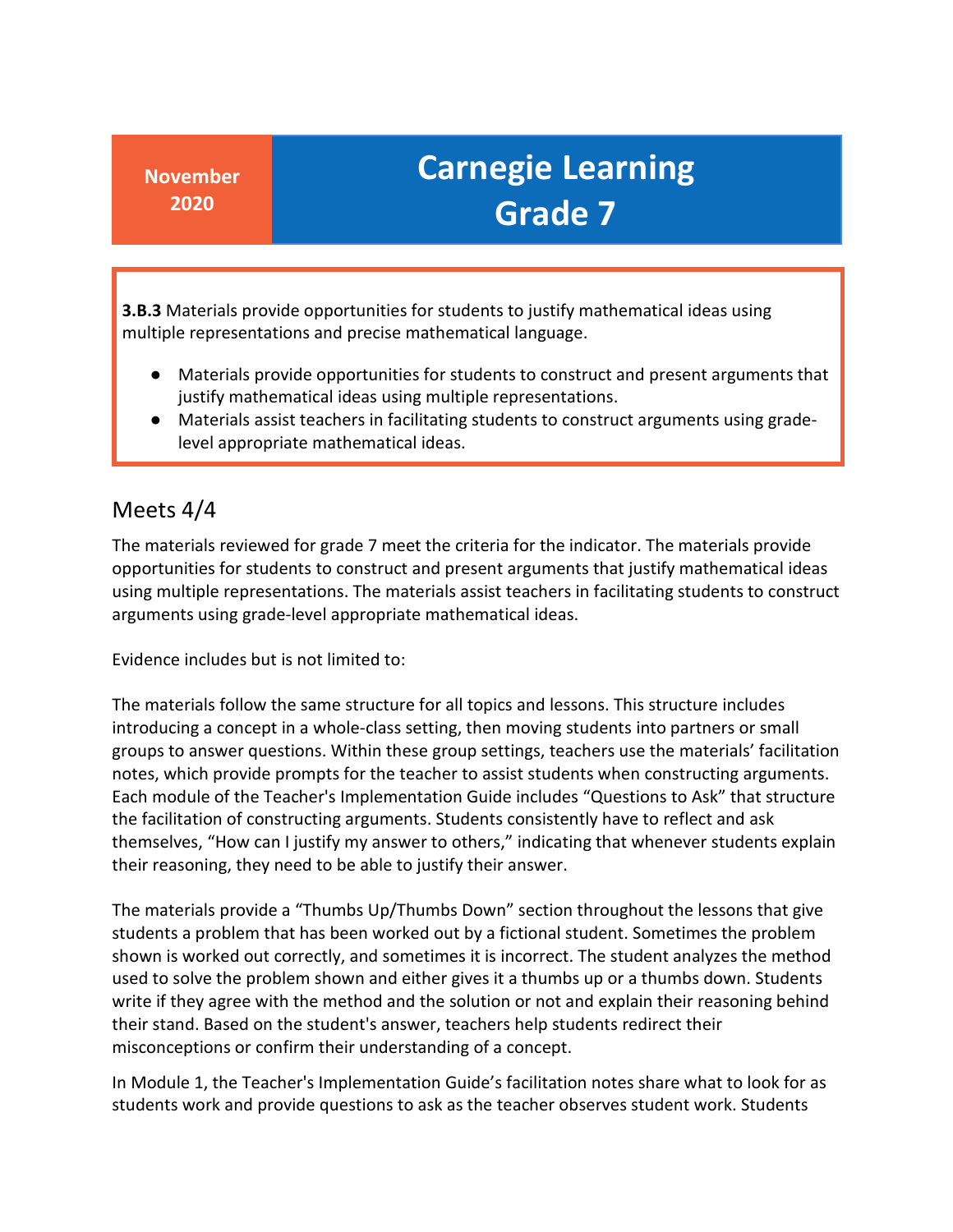**3.B.3** Materials provide opportunities for students to justify mathematical ideas using multiple representations and precise mathematical language.

- ● Materials provide opportunities for students to construct and present arguments that justify mathematical ideas using multiple representations.
- Materials assist teachers in facilitating students to construct arguments using gradelevel appropriate mathematical ideas.

### Meets 4/4

 The materials reviewed for grade 7 meet the criteria for the indicator. The materials provide opportunities for students to construct and present arguments that justify mathematical ideas using multiple representations. The materials assist teachers in facilitating students to construct arguments using grade-level appropriate mathematical ideas.

Evidence includes but is not limited to:

 introducing a concept in a whole-class setting, then moving students into partners or small notes, which provide prompts for the teacher to assist students when constructing arguments. the facilitation of constructing arguments. Students consistently have to reflect and ask their reasoning, they need to be able to justify their answer. The materials follow the same structure for all topics and lessons. This structure includes groups to answer questions. Within these group settings, teachers use the materials' facilitation Each module of the Teacher's Implementation Guide includes "Questions to Ask" that structure themselves, "How can I justify my answer to others," indicating that whenever students explain

 students a problem that has been worked out by a fictional student. Sometimes the problem shown is worked out correctly, and sometimes it is incorrect. The student analyzes the method write if they agree with the method and the solution or not and explain their reasoning behind The materials provide a "Thumbs Up/Thumbs Down" section throughout the lessons that give used to solve the problem shown and either gives it a thumbs up or a thumbs down. Students their stand. Based on the student's answer, teachers help students redirect their misconceptions or confirm their understanding of a concept.

 students work and provide questions to ask as the teacher observes student work. Students In Module 1, the Teacher's Implementation Guide's facilitation notes share what to look for as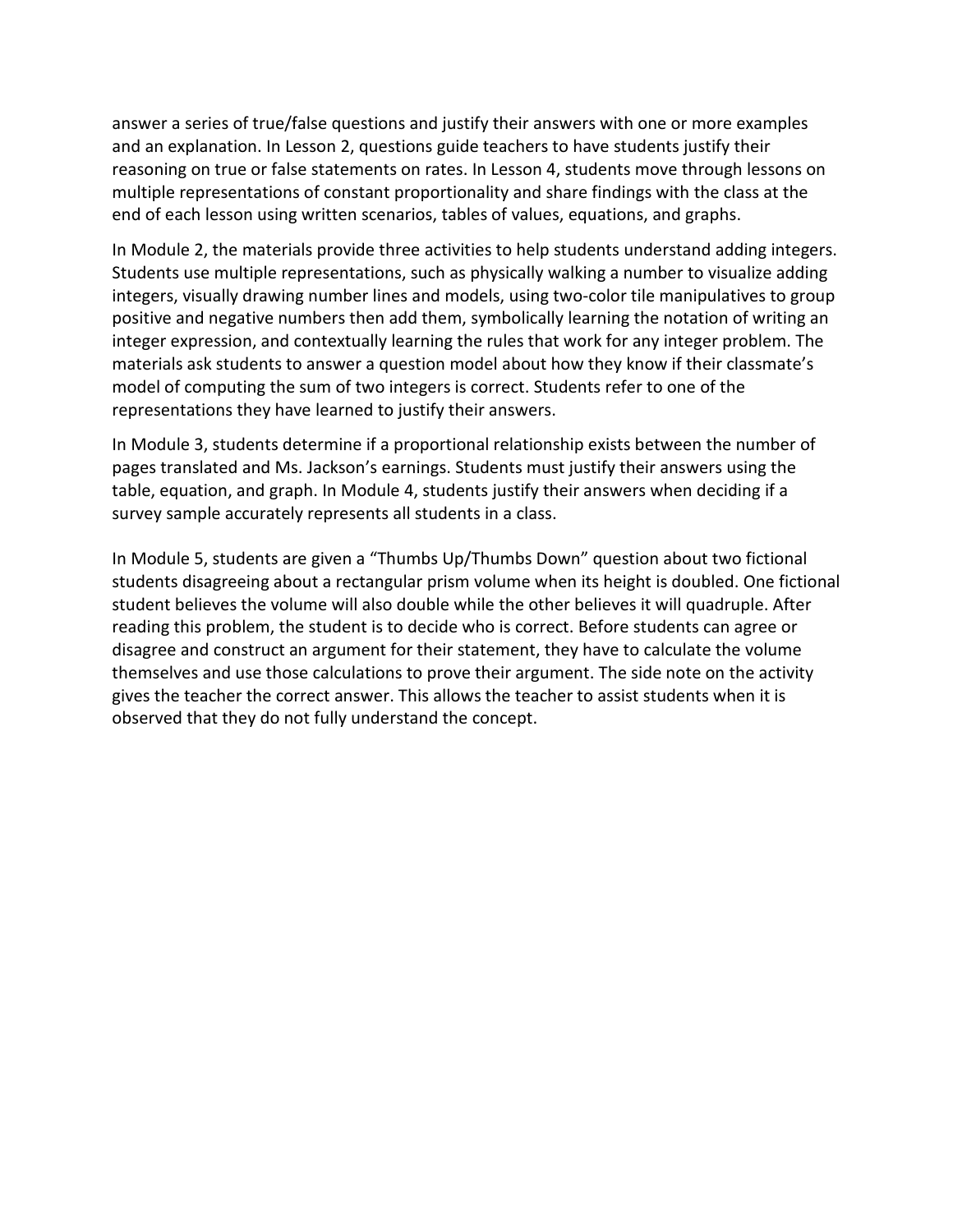and an explanation. In Lesson 2, questions guide teachers to have students justify their multiple representations of constant proportionality and share findings with the class at the answer a series of true/false questions and justify their answers with one or more examples reasoning on true or false statements on rates. In Lesson 4, students move through lessons on end of each lesson using written scenarios, tables of values, equations, and graphs.

 Students use multiple representations, such as physically walking a number to visualize adding integers, visually drawing number lines and models, using two-color tile manipulatives to group integer expression, and contextually learning the rules that work for any integer problem. The materials ask students to answer a question model about how they know if their classmate's representations they have learned to justify their answers. In Module 2, the materials provide three activities to help students understand adding integers. positive and negative numbers then add them, symbolically learning the notation of writing an model of computing the sum of two integers is correct. Students refer to one of the

 pages translated and Ms. Jackson's earnings. Students must justify their answers using the In Module 3, students determine if a proportional relationship exists between the number of table, equation, and graph. In Module 4, students justify their answers when deciding if a survey sample accurately represents all students in a class.

 students disagreeing about a rectangular prism volume when its height is doubled. One fictional student believes the volume will also double while the other believes it will quadruple. After disagree and construct an argument for their statement, they have to calculate the volume themselves and use those calculations to prove their argument. The side note on the activity gives the teacher the correct answer. This allows the teacher to assist students when it is observed that they do not fully understand the concept. In Module 5, students are given a "Thumbs Up/Thumbs Down" question about two fictional reading this problem, the student is to decide who is correct. Before students can agree or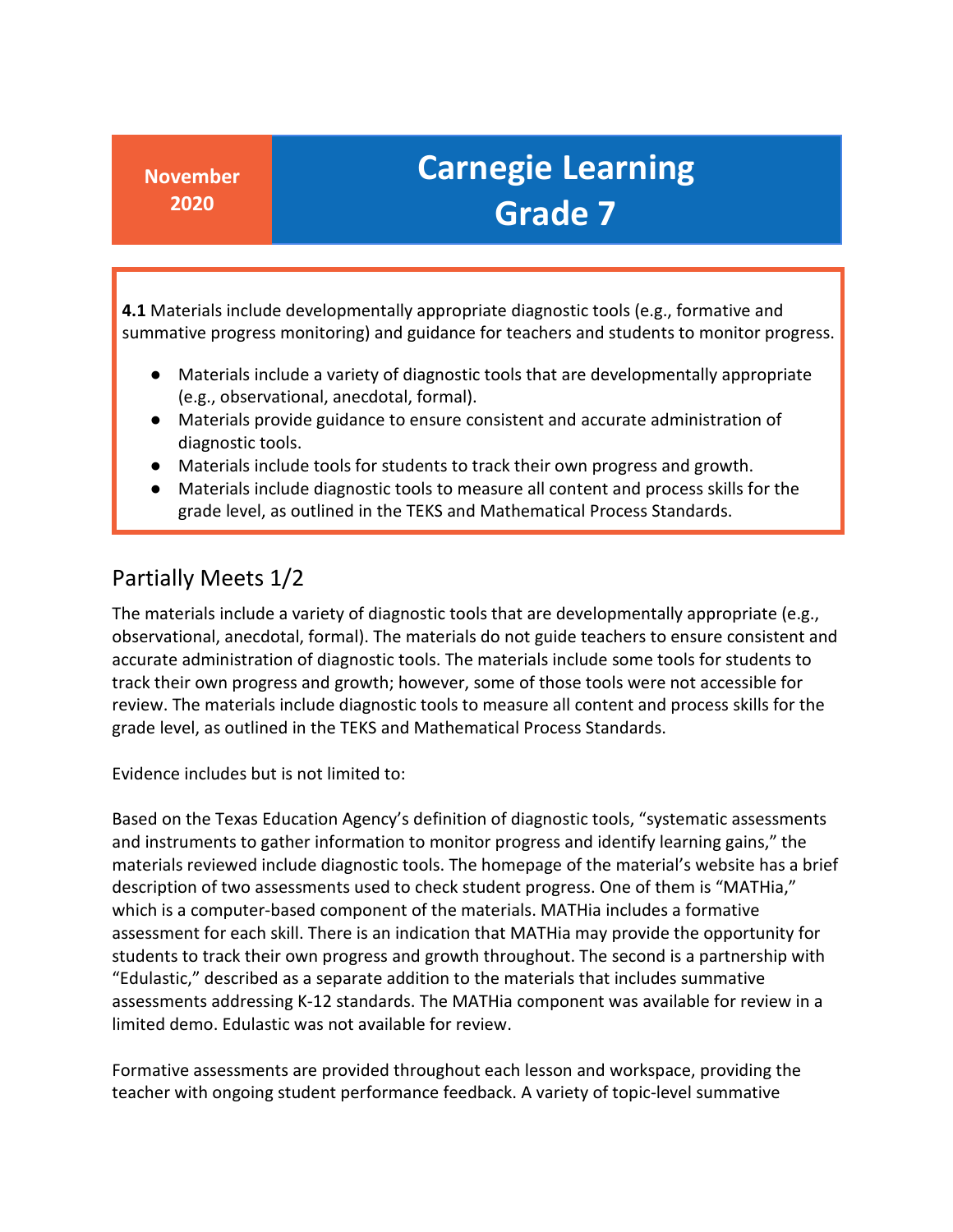**4.1** Materials include developmentally appropriate diagnostic tools (e.g., formative and summative progress monitoring) and guidance for teachers and students to monitor progress.

- Materials include a variety of diagnostic tools that are developmentally appropriate (e.g., observational, anecdotal, formal).
- Materials provide guidance to ensure consistent and accurate administration of diagnostic tools.
- Materials include tools for students to track their own progress and growth.
- Materials include diagnostic tools to measure all content and process skills for the grade level, as outlined in the TEKS and Mathematical Process Standards.

### Partially Meets 1/2

 The materials include a variety of diagnostic tools that are developmentally appropriate (e.g., accurate administration of diagnostic tools. The materials include some tools for students to review. The materials include diagnostic tools to measure all content and process skills for the observational, anecdotal, formal). The materials do not guide teachers to ensure consistent and track their own progress and growth; however, some of those tools were not accessible for grade level, as outlined in the TEKS and Mathematical Process Standards.

Evidence includes but is not limited to:

 "Edulastic," described as a separate addition to the materials that includes summative limited demo. Edulastic was not available for review. Based on the Texas Education Agency's definition of diagnostic tools, "systematic assessments and instruments to gather information to monitor progress and identify learning gains," the materials reviewed include diagnostic tools. The homepage of the material's website has a brief description of two assessments used to check student progress. One of them is "MATHia," which is a computer-based component of the materials. MATHia includes a formative assessment for each skill. There is an indication that MATHia may provide the opportunity for students to track their own progress and growth throughout. The second is a partnership with assessments addressing K-12 standards. The MATHia component was available for review in a

Formative assessments are provided throughout each lesson and workspace, providing the teacher with ongoing student performance feedback. A variety of topic-level summative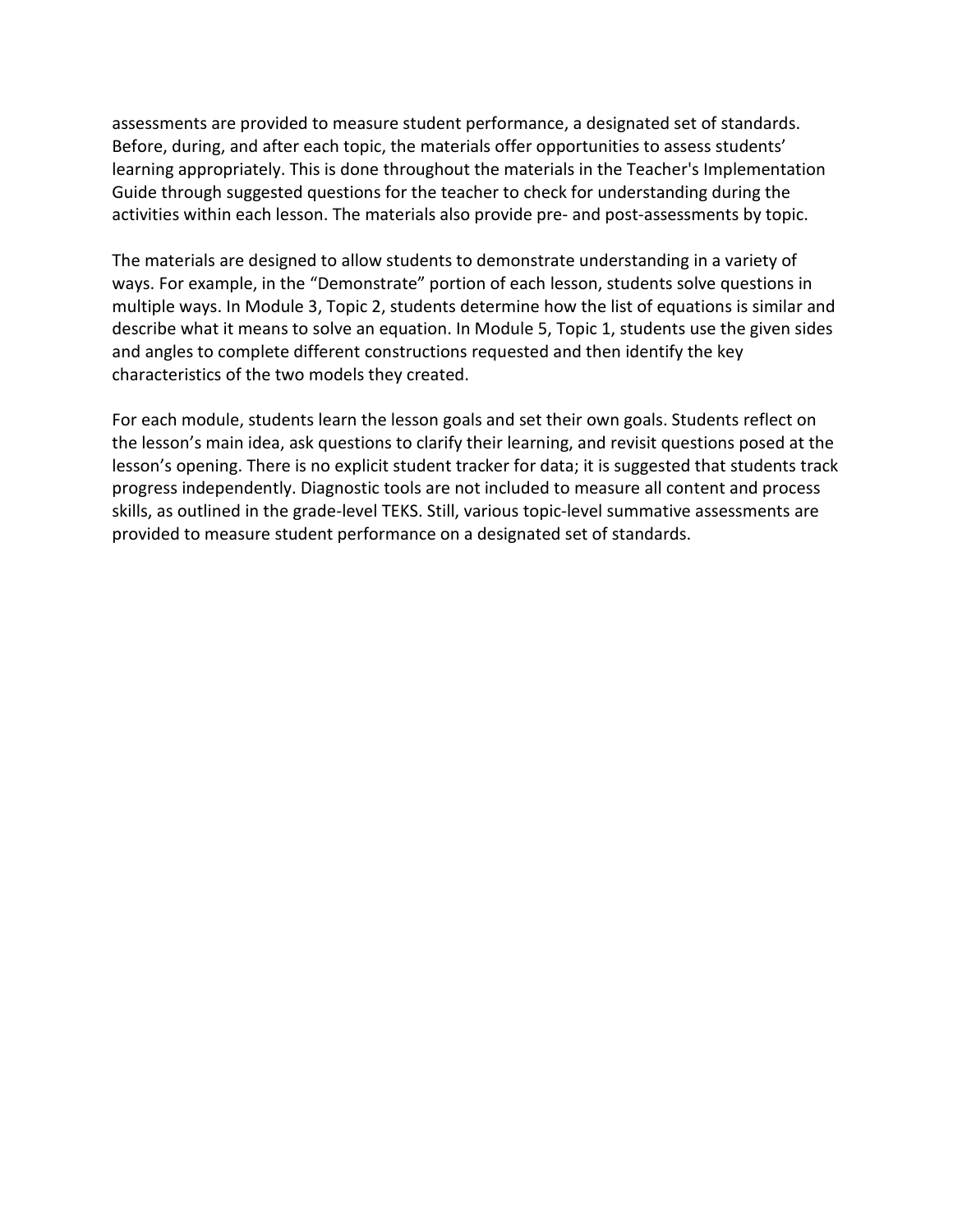assessments are provided to measure student performance, a designated set of standards. Guide through suggested questions for the teacher to check for understanding during the Before, during, and after each topic, the materials offer opportunities to assess students' learning appropriately. This is done throughout the materials in the Teacher's Implementation activities within each lesson. The materials also provide pre- and post-assessments by topic.

 multiple ways. In Module 3, Topic 2, students determine how the list of equations is similar and describe what it means to solve an equation. In Module 5, Topic 1, students use the given sides and angles to complete different constructions requested and then identify the key characteristics of the two models they created. The materials are designed to allow students to demonstrate understanding in a variety of ways. For example, in the "Demonstrate" portion of each lesson, students solve questions in

 For each module, students learn the lesson goals and set their own goals. Students reflect on the lesson's main idea, ask questions to clarify their learning, and revisit questions posed at the lesson's opening. There is no explicit student tracker for data; it is suggested that students track provided to measure student performance on a designated set of standards. progress independently. Diagnostic tools are not included to measure all content and process skills, as outlined in the grade-level TEKS. Still, various topic-level summative assessments are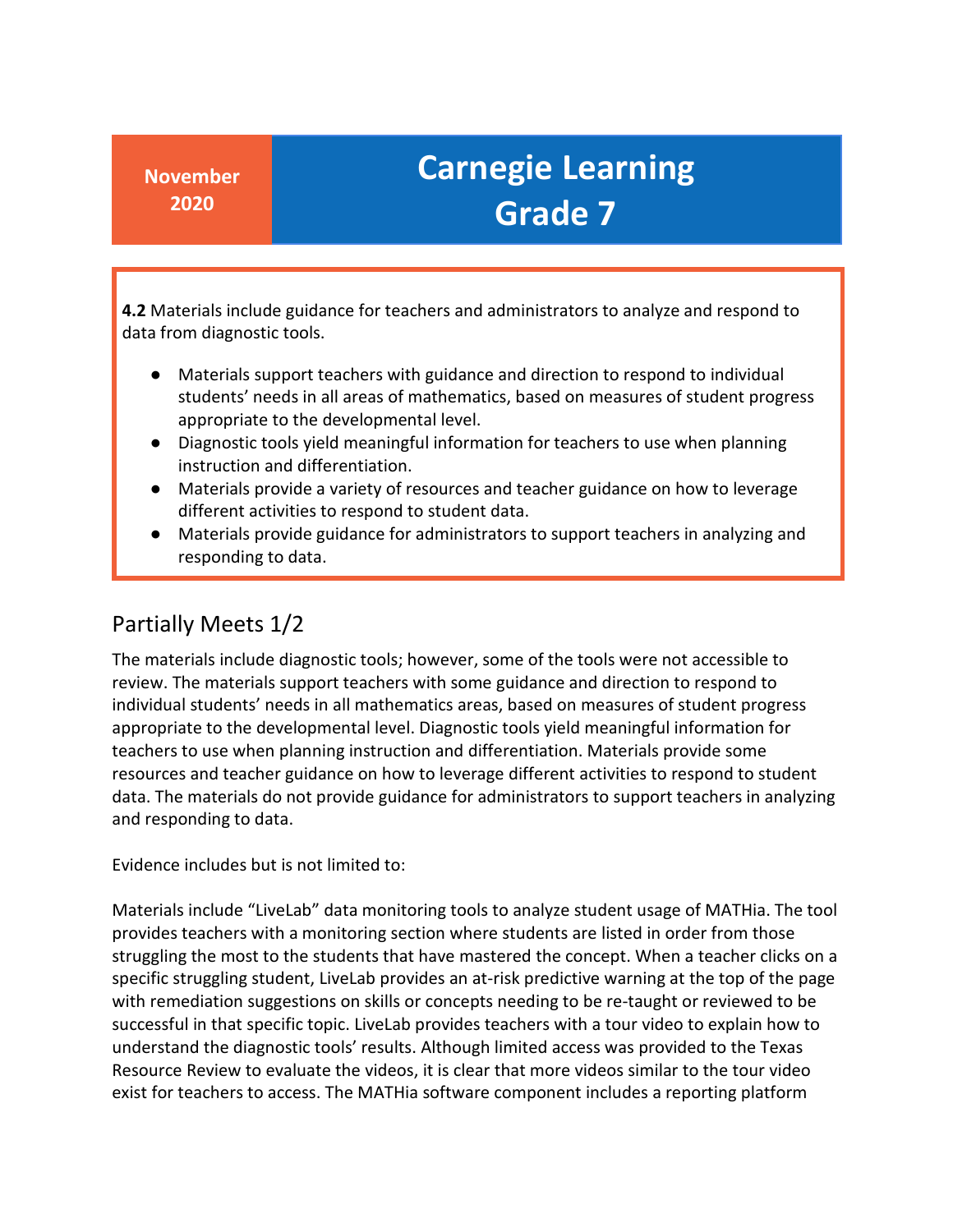**4.2** Materials include guidance for teachers and administrators to analyze and respond to data from diagnostic tools.

- Materials support teachers with guidance and direction to respond to individual students' needs in all areas of mathematics, based on measures of student progress appropriate to the developmental level.
- Diagnostic tools yield meaningful information for teachers to use when planning instruction and differentiation.
- different activities to respond to student data. ● Materials provide a variety of resources and teacher guidance on how to leverage
- Materials provide guidance for administrators to support teachers in analyzing and responding to data.

### Partially Meets 1/2

 individual students' needs in all mathematics areas, based on measures of student progress appropriate to the developmental level. Diagnostic tools yield meaningful information for data. The materials do not provide guidance for administrators to support teachers in analyzing The materials include diagnostic tools; however, some of the tools were not accessible to review. The materials support teachers with some guidance and direction to respond to teachers to use when planning instruction and differentiation. Materials provide some resources and teacher guidance on how to leverage different activities to respond to student and responding to data.

Evidence includes but is not limited to:

 Materials include "LiveLab" data monitoring tools to analyze student usage of MATHia. The tool provides teachers with a monitoring section where students are listed in order from those successful in that specific topic. LiveLab provides teachers with a tour video to explain how to understand the diagnostic tools' results. Although limited access was provided to the Texas Resource Review to evaluate the videos, it is clear that more videos similar to the tour video struggling the most to the students that have mastered the concept. When a teacher clicks on a specific struggling student, LiveLab provides an at-risk predictive warning at the top of the page with remediation suggestions on skills or concepts needing to be re-taught or reviewed to be exist for teachers to access. The MATHia software component includes a reporting platform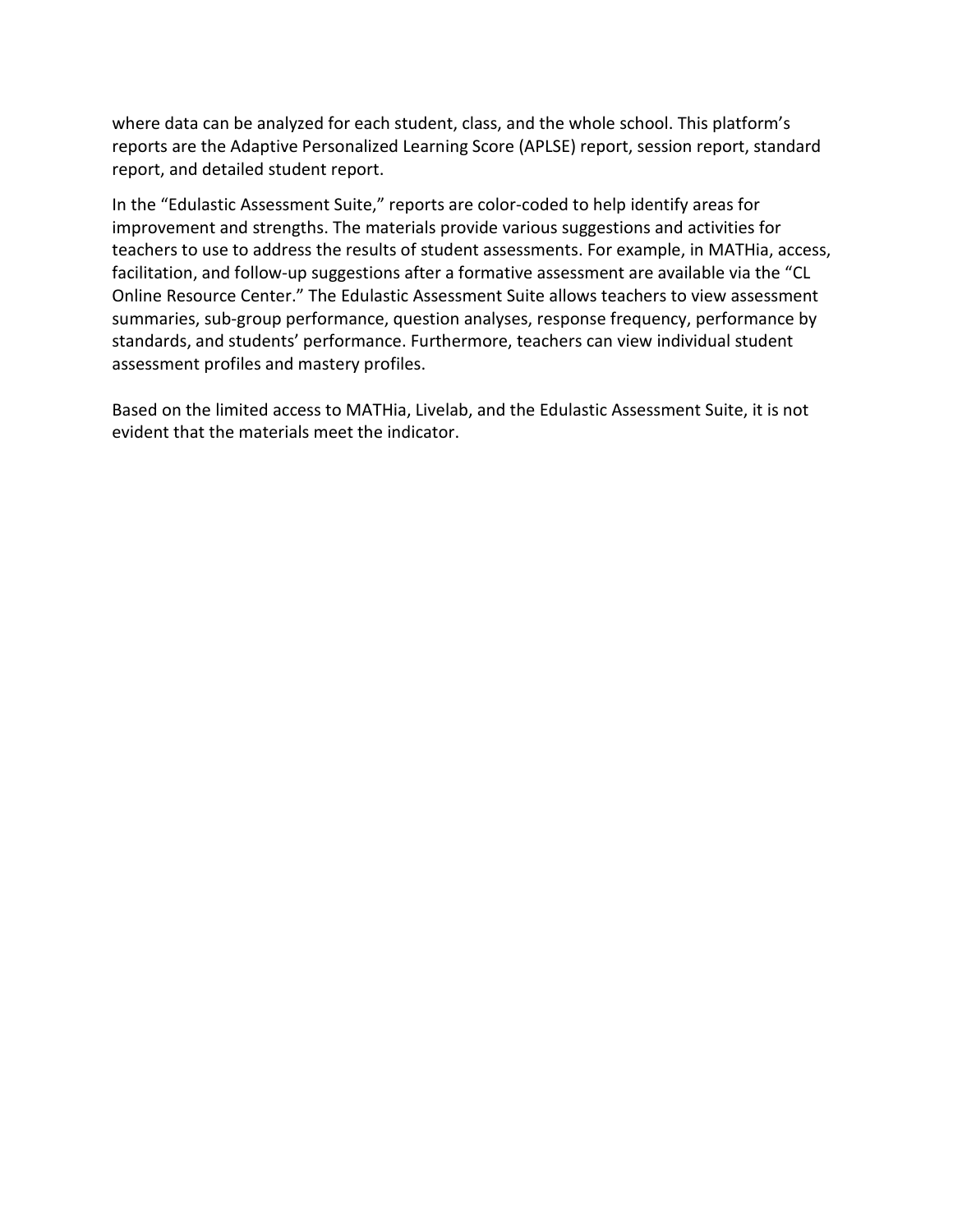where data can be analyzed for each student, class, and the whole school. This platform's reports are the Adaptive Personalized Learning Score (APLSE) report, session report, standard report, and detailed student report.

 teachers to use to address the results of student assessments. For example, in MATHia, access, assessment profiles and mastery profiles. In the "Edulastic Assessment Suite," reports are color-coded to help identify areas for improvement and strengths. The materials provide various suggestions and activities for facilitation, and follow-up suggestions after a formative assessment are available via the "CL Online Resource Center." The Edulastic Assessment Suite allows teachers to view assessment summaries, sub-group performance, question analyses, response frequency, performance by standards, and students' performance. Furthermore, teachers can view individual student

Based on the limited access to MATHia, Livelab, and the Edulastic Assessment Suite, it is not evident that the materials meet the indicator.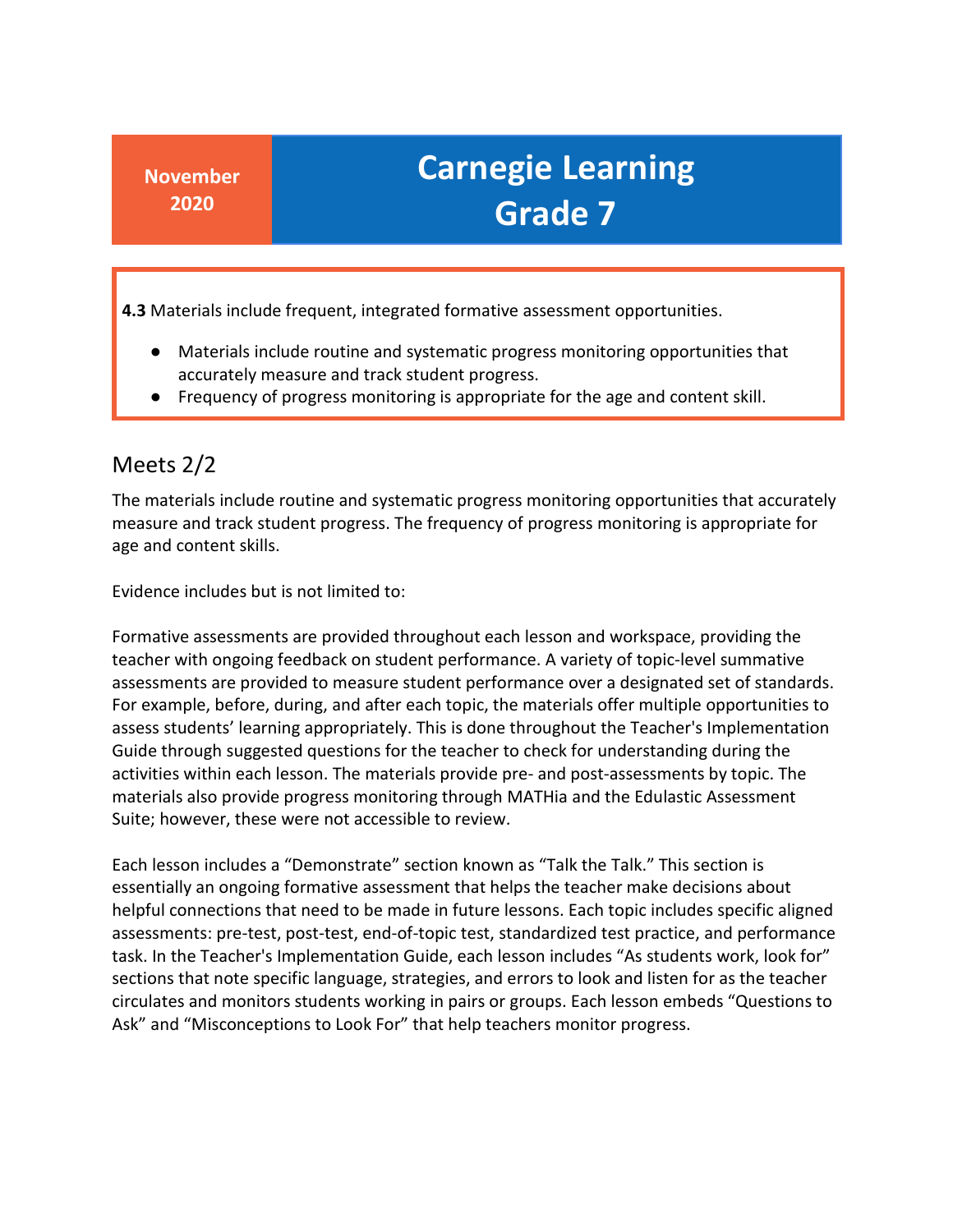**4.3** Materials include frequent, integrated formative assessment opportunities.

- Materials include routine and systematic progress monitoring opportunities that accurately measure and track student progress.
- Frequency of progress monitoring is appropriate for the age and content skill.

### Meets 2/2

The materials include routine and systematic progress monitoring opportunities that accurately measure and track student progress. The frequency of progress monitoring is appropriate for age and content skills.

Evidence includes but is not limited to:

 Formative assessments are provided throughout each lesson and workspace, providing the assessments are provided to measure student performance over a designated set of standards. For example, before, during, and after each topic, the materials offer multiple opportunities to Guide through suggested questions for the teacher to check for understanding during the materials also provide progress monitoring through MATHia and the Edulastic Assessment teacher with ongoing feedback on student performance. A variety of topic-level summative assess students' learning appropriately. This is done throughout the Teacher's Implementation activities within each lesson. The materials provide pre- and post-assessments by topic. The Suite; however, these were not accessible to review.

 essentially an ongoing formative assessment that helps the teacher make decisions about helpful connections that need to be made in future lessons. Each topic includes specific aligned task. In the Teacher's Implementation Guide, each lesson includes "As students work, look for" sections that note specific language, strategies, and errors to look and listen for as the teacher circulates and monitors students working in pairs or groups. Each lesson embeds "Questions to Ask" and "Misconceptions to Look For" that help teachers monitor progress. Each lesson includes a "Demonstrate" section known as "Talk the Talk." This section is assessments: pre-test, post-test, end-of-topic test, standardized test practice, and performance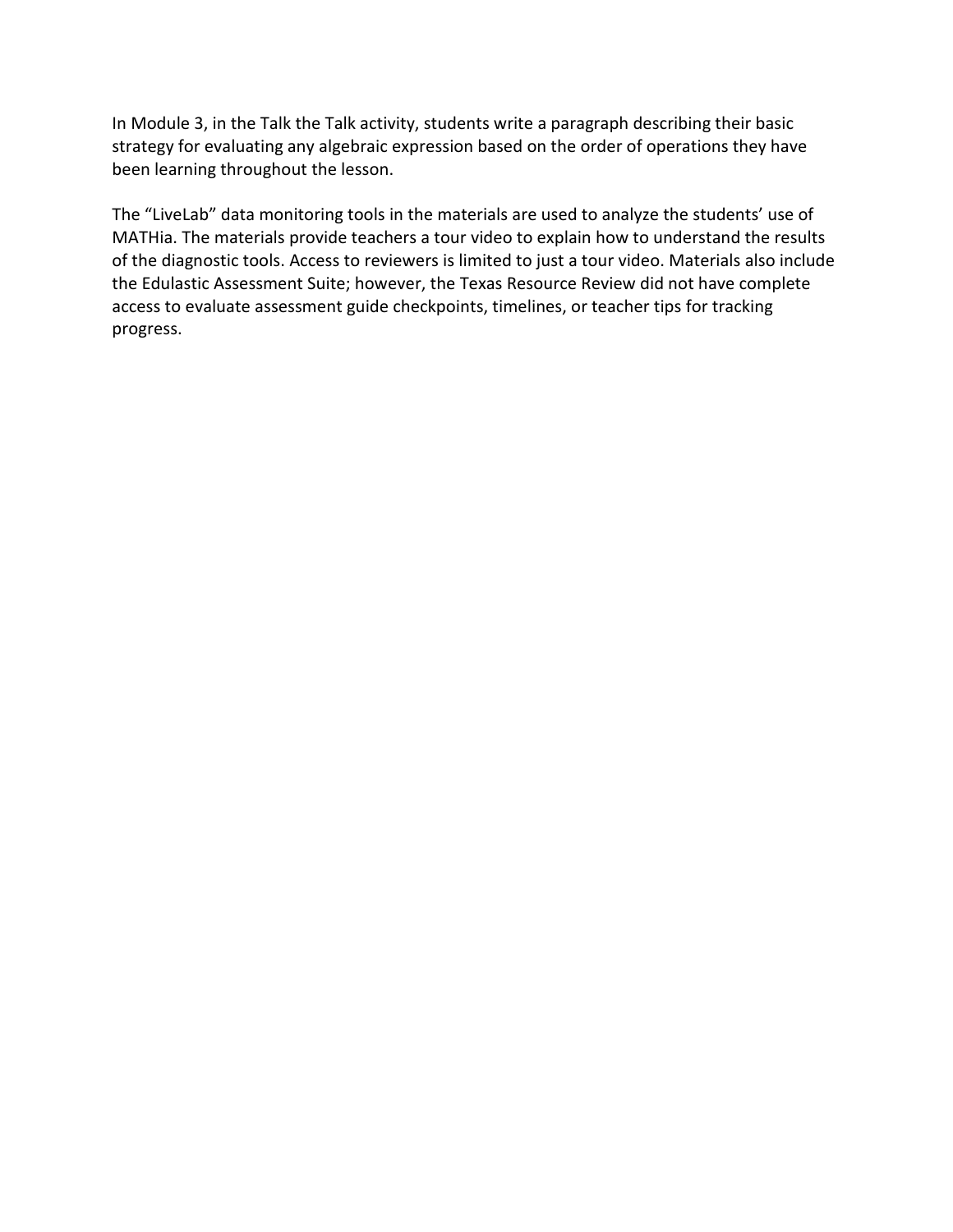In Module 3, in the Talk the Talk activity, students write a paragraph describing their basic strategy for evaluating any algebraic expression based on the order of operations they have been learning throughout the lesson.

 the Edulastic Assessment Suite; however, the Texas Resource Review did not have complete The "LiveLab" data monitoring tools in the materials are used to analyze the students' use of MATHia. The materials provide teachers a tour video to explain how to understand the results of the diagnostic tools. Access to reviewers is limited to just a tour video. Materials also include access to evaluate assessment guide checkpoints, timelines, or teacher tips for tracking progress.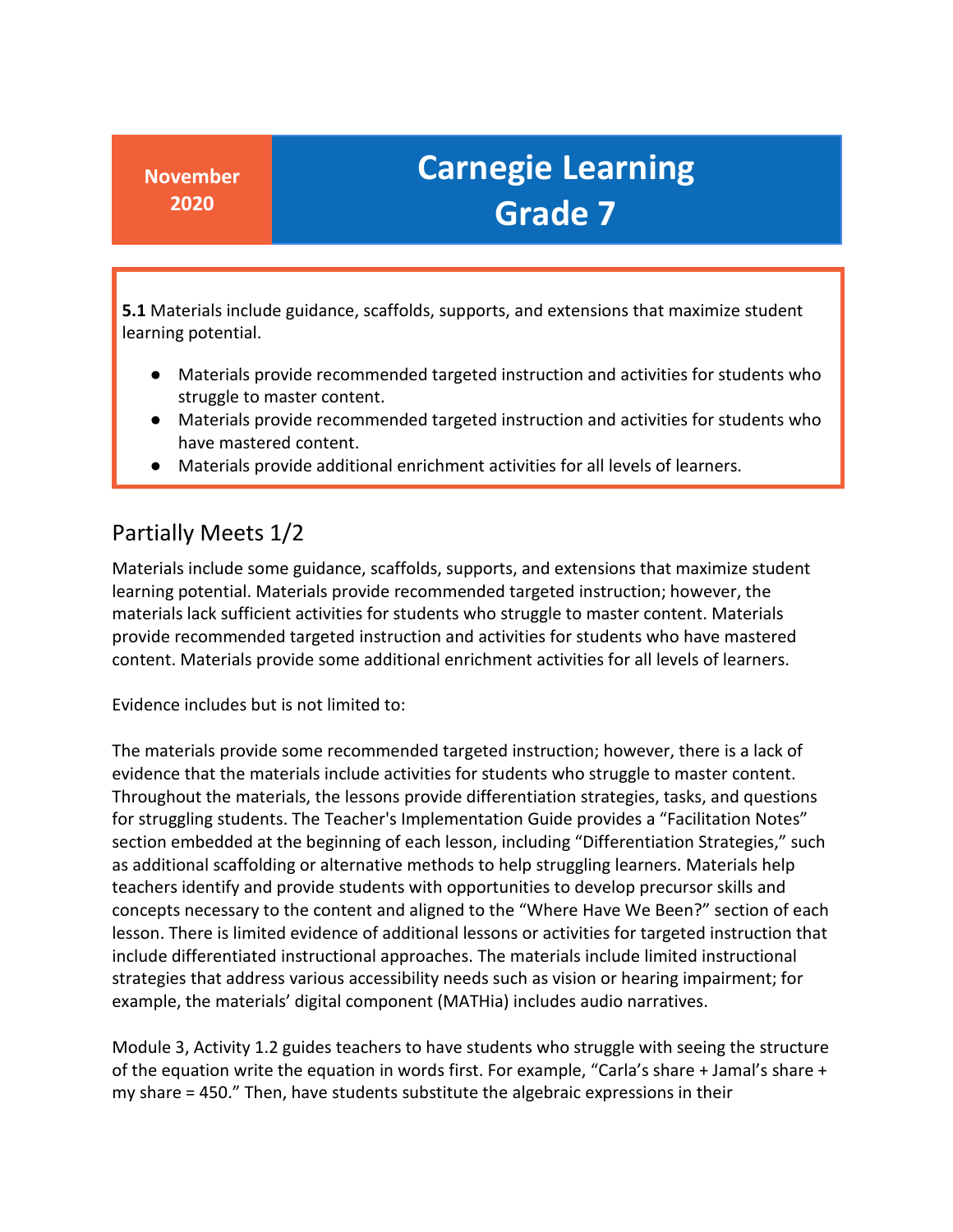**5.1** Materials include guidance, scaffolds, supports, and extensions that maximize student learning potential.

- Materials provide recommended targeted instruction and activities for students who struggle to master content.
- ● Materials provide recommended targeted instruction and activities for students who have mastered content.
- Materials provide additional enrichment activities for all levels of learners.

### Partially Meets 1/2

 learning potential. Materials provide recommended targeted instruction; however, the materials lack sufficient activities for students who struggle to master content. Materials provide recommended targeted instruction and activities for students who have mastered content. Materials provide some additional enrichment activities for all levels of learners. Materials include some guidance, scaffolds, supports, and extensions that maximize student

Evidence includes but is not limited to:

 The materials provide some recommended targeted instruction; however, there is a lack of evidence that the materials include activities for students who struggle to master content. for struggling students. The Teacher's Implementation Guide provides a "Facilitation Notes" Throughout the materials, the lessons provide differentiation strategies, tasks, and questions section embedded at the beginning of each lesson, including "Differentiation Strategies," such as additional scaffolding or alternative methods to help struggling learners. Materials help teachers identify and provide students with opportunities to develop precursor skills and concepts necessary to the content and aligned to the "Where Have We Been?" section of each lesson. There is limited evidence of additional lessons or activities for targeted instruction that include differentiated instructional approaches. The materials include limited instructional strategies that address various accessibility needs such as vision or hearing impairment; for example, the materials' digital component (MATHia) includes audio narratives.

 Module 3, Activity 1.2 guides teachers to have students who struggle with seeing the structure of the equation write the equation in words first. For example, "Carla's share + Jamal's share + my share = 450." Then, have students substitute the algebraic expressions in their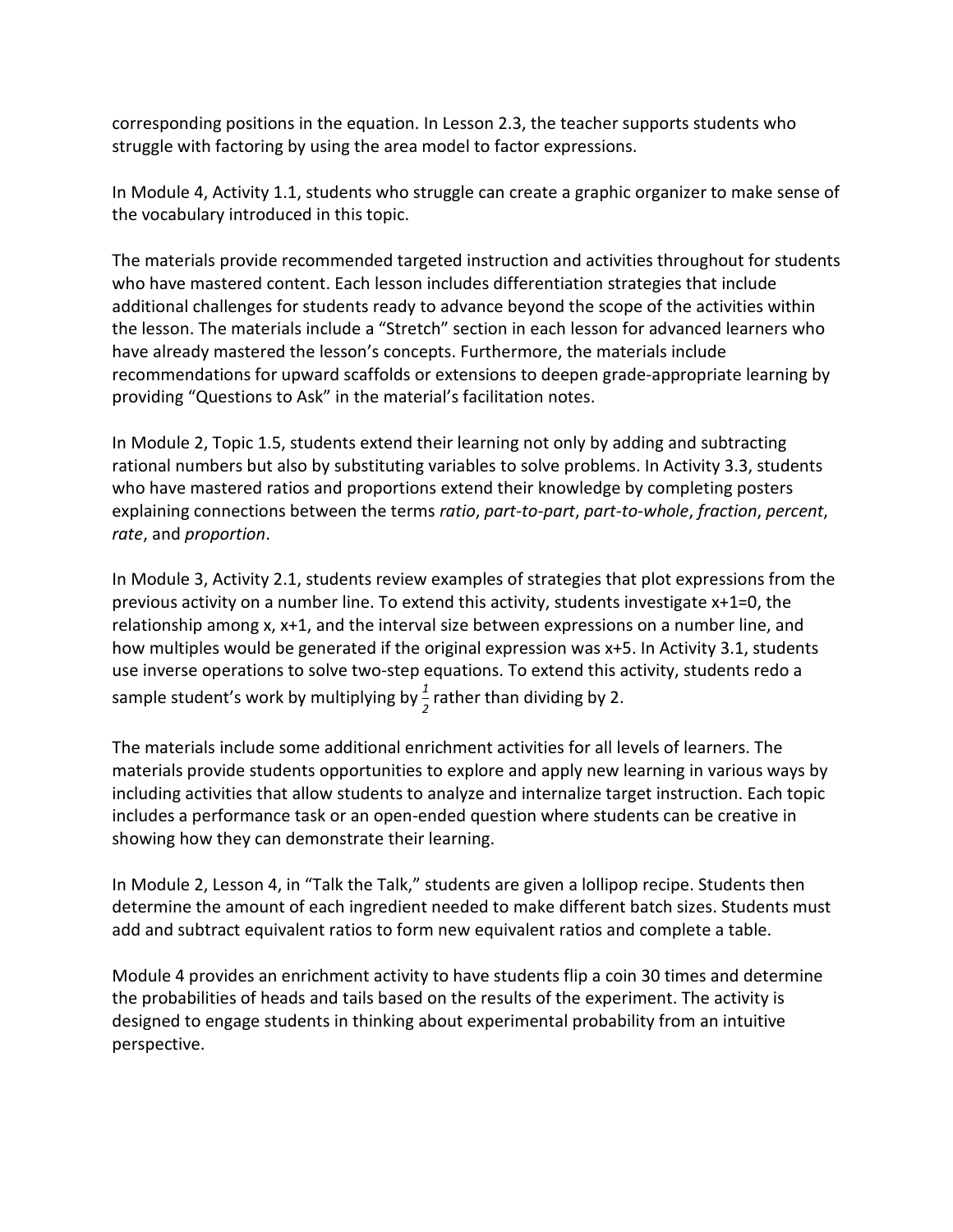corresponding positions in the equation. In Lesson 2.3, the teacher supports students who struggle with factoring by using the area model to factor expressions.

 In Module 4, Activity 1.1, students who struggle can create a graphic organizer to make sense of the vocabulary introduced in this topic.

 additional challenges for students ready to advance beyond the scope of the activities within recommendations for upward scaffolds or extensions to deepen grade-appropriate learning by providing "Questions to Ask" in the material's facilitation notes. The materials provide recommended targeted instruction and activities throughout for students who have mastered content. Each lesson includes differentiation strategies that include the lesson. The materials include a "Stretch" section in each lesson for advanced learners who have already mastered the lesson's concepts. Furthermore, the materials include

 who have mastered ratios and proportions extend their knowledge by completing posters explaining connections between the terms *ratio*, *part-to-part*, *part-to-whole*, *fraction*, *percent*, In Module 2, Topic 1.5, students extend their learning not only by adding and subtracting rational numbers but also by substituting variables to solve problems. In Activity 3.3, students *rate*, and *proportion*.

 previous activity on a number line. To extend this activity, students investigate x+1=0, the use inverse operations to solve two-step equations. To extend this activity, students redo a sample student's work by multiplying by  $\frac{1}{2}$  rather than dividing by 2. In Module 3, Activity 2.1, students review examples of strategies that plot expressions from the relationship among x, x+1, and the interval size between expressions on a number line, and how multiples would be generated if the original expression was x+5. In Activity 3.1, students

 The materials include some additional enrichment activities for all levels of learners. The materials provide students opportunities to explore and apply new learning in various ways by including activities that allow students to analyze and internalize target instruction. Each topic includes a performance task or an open-ended question where students can be creative in showing how they can demonstrate their learning.

 In Module 2, Lesson 4, in "Talk the Talk," students are given a lollipop recipe. Students then add and subtract equivalent ratios to form new equivalent ratios and complete a table. determine the amount of each ingredient needed to make different batch sizes. Students must

 Module 4 provides an enrichment activity to have students flip a coin 30 times and determine designed to engage students in thinking about experimental probability from an intuitive the probabilities of heads and tails based on the results of the experiment. The activity is perspective.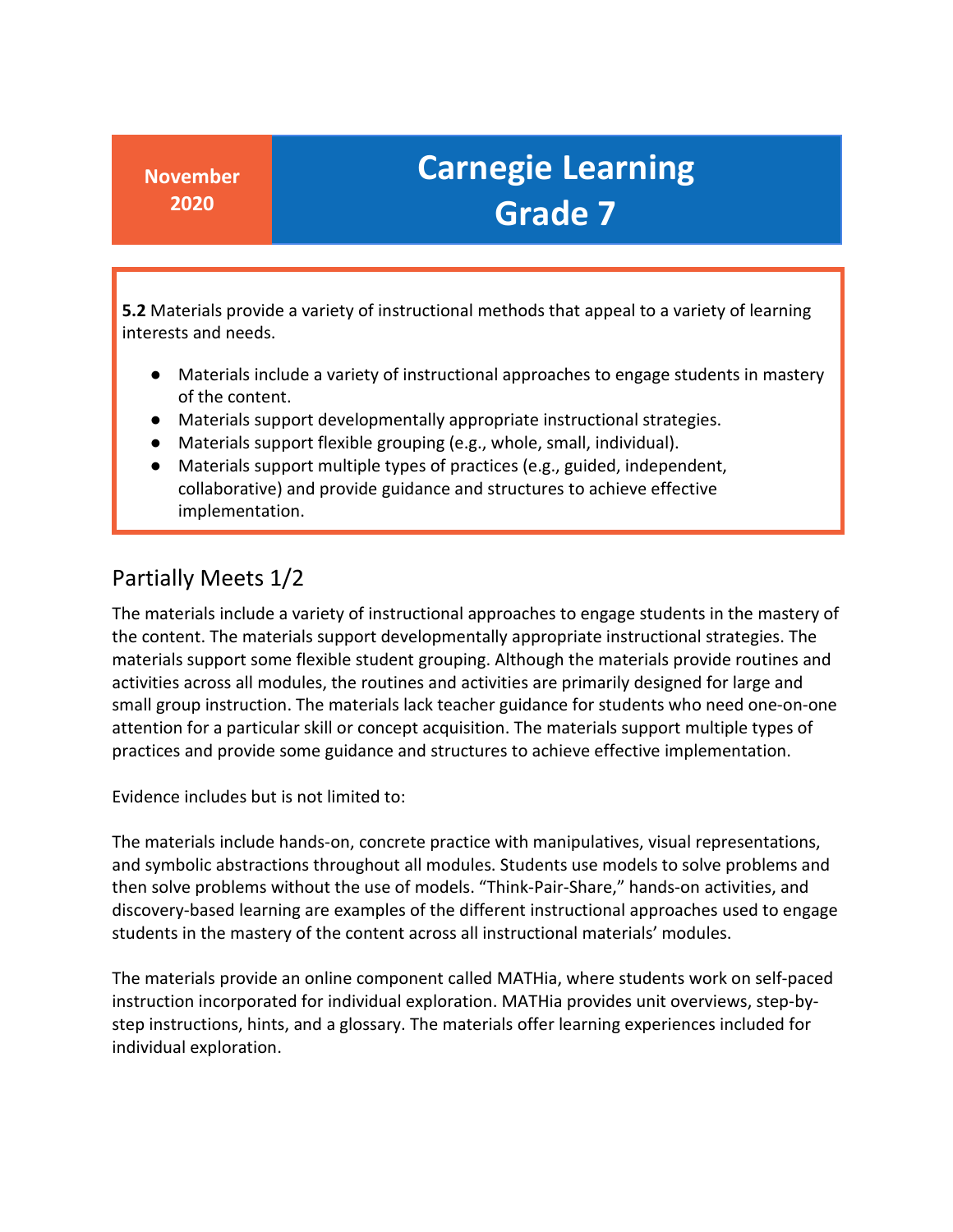**5.2** Materials provide a variety of instructional methods that appeal to a variety of learning interests and needs.

- of the content. ● Materials include a variety of instructional approaches to engage students in mastery
- Materials support developmentally appropriate instructional strategies.
- Materials support flexible grouping (e.g., whole, small, individual).
- collaborative) and provide guidance and structures to achieve effective ● Materials support multiple types of practices (e.g., guided, independent, implementation.

### Partially Meets 1/2

 The materials include a variety of instructional approaches to engage students in the mastery of attention for a particular skill or concept acquisition. The materials support multiple types of the content. The materials support developmentally appropriate instructional strategies. The materials support some flexible student grouping. Although the materials provide routines and activities across all modules, the routines and activities are primarily designed for large and small group instruction. The materials lack teacher guidance for students who need one-on-one practices and provide some guidance and structures to achieve effective implementation.

Evidence includes but is not limited to:

 and symbolic abstractions throughout all modules. Students use models to solve problems and discovery-based learning are examples of the different instructional approaches used to engage students in the mastery of the content across all instructional materials' modules. The materials include hands-on, concrete practice with manipulatives, visual representations, then solve problems without the use of models. "Think-Pair-Share," hands-on activities, and

The materials provide an online component called MATHia, where students work on self-paced instruction incorporated for individual exploration. MATHia provides unit overviews, step-bystep instructions, hints, and a glossary. The materials offer learning experiences included for individual exploration.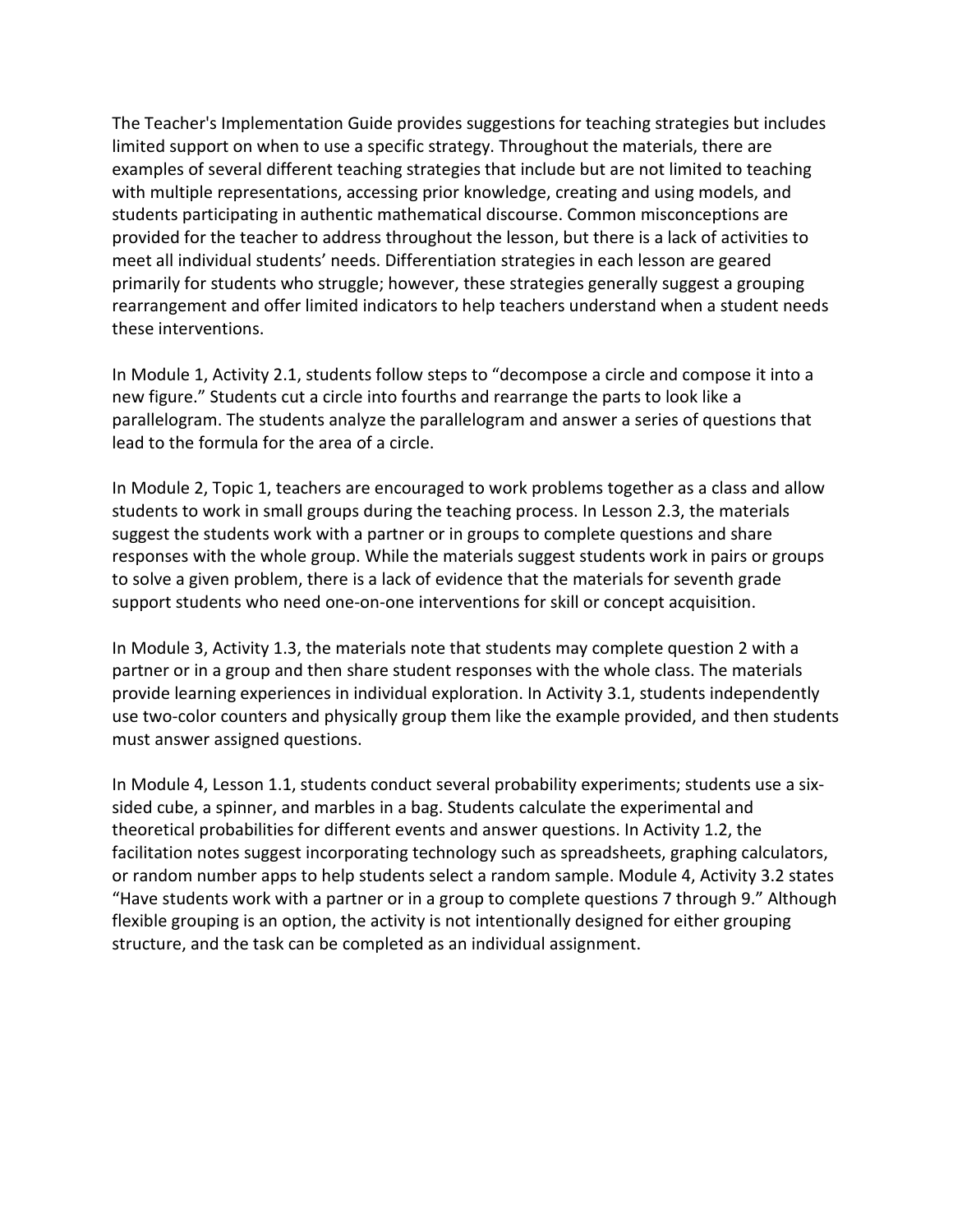The Teacher's Implementation Guide provides suggestions for teaching strategies but includes limited support on when to use a specific strategy. Throughout the materials, there are examples of several different teaching strategies that include but are not limited to teaching provided for the teacher to address throughout the lesson, but there is a lack of activities to rearrangement and offer limited indicators to help teachers understand when a student needs with multiple representations, accessing prior knowledge, creating and using models, and students participating in authentic mathematical discourse. Common misconceptions are meet all individual students' needs. Differentiation strategies in each lesson are geared primarily for students who struggle; however, these strategies generally suggest a grouping these interventions.

 new figure." Students cut a circle into fourths and rearrange the parts to look like a lead to the formula for the area of a circle. In Module 1, Activity 2.1, students follow steps to "decompose a circle and compose it into a parallelogram. The students analyze the parallelogram and answer a series of questions that

 In Module 2, Topic 1, teachers are encouraged to work problems together as a class and allow students to work in small groups during the teaching process. In Lesson 2.3, the materials suggest the students work with a partner or in groups to complete questions and share responses with the whole group. While the materials suggest students work in pairs or groups to solve a given problem, there is a lack of evidence that the materials for seventh grade support students who need one-on-one interventions for skill or concept acquisition.

 use two-color counters and physically group them like the example provided, and then students must answer assigned questions. In Module 3, Activity 1.3, the materials note that students may complete question 2 with a partner or in a group and then share student responses with the whole class. The materials provide learning experiences in individual exploration. In Activity 3.1, students independently

 theoretical probabilities for different events and answer questions. In Activity 1.2, the or random number apps to help students select a random sample. Module 4, Activity 3.2 states "Have students work with a partner or in a group to complete questions 7 through 9." Although structure, and the task can be completed as an individual assignment. In Module 4, Lesson 1.1, students conduct several probability experiments; students use a sixsided cube, a spinner, and marbles in a bag. Students calculate the experimental and facilitation notes suggest incorporating technology such as spreadsheets, graphing calculators, flexible grouping is an option, the activity is not intentionally designed for either grouping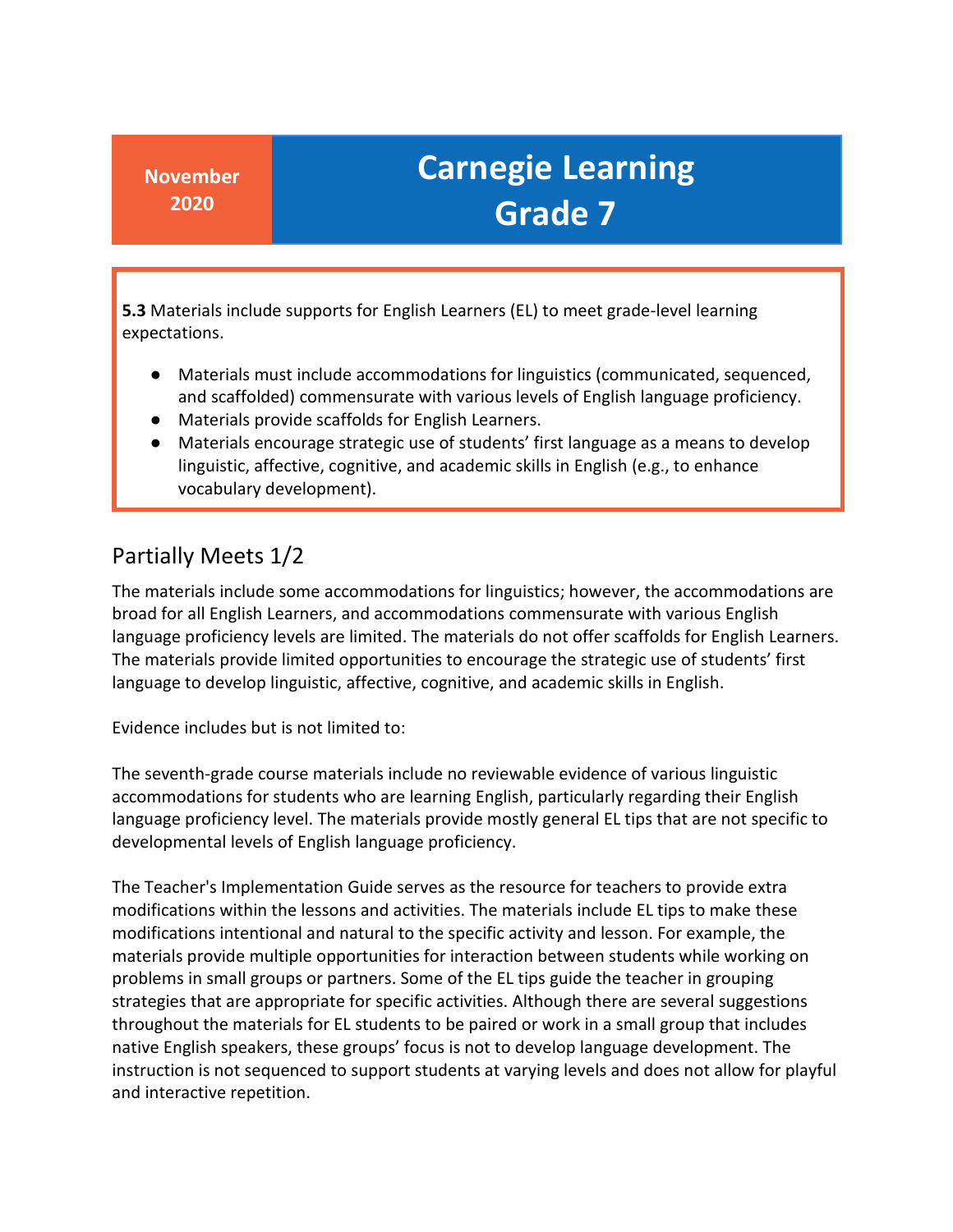**5.3** Materials include supports for English Learners (EL) to meet grade-level learning expectations.

- Materials must include accommodations for linguistics (communicated, sequenced, and scaffolded) commensurate with various levels of English language proficiency.
- Materials provide scaffolds for English Learners.
- linguistic, affective, cognitive, and academic skills in English (e.g., to enhance ● Materials encourage strategic use of students' first language as a means to develop vocabulary development).

### Partially Meets 1/2

 language to develop linguistic, affective, cognitive, and academic skills in English. The materials include some accommodations for linguistics; however, the accommodations are broad for all English Learners, and accommodations commensurate with various English language proficiency levels are limited. The materials do not offer scaffolds for English Learners. The materials provide limited opportunities to encourage the strategic use of students' first

Evidence includes but is not limited to:

 language proficiency level. The materials provide mostly general EL tips that are not specific to The seventh-grade course materials include no reviewable evidence of various linguistic accommodations for students who are learning English, particularly regarding their English developmental levels of English language proficiency.

 The Teacher's Implementation Guide serves as the resource for teachers to provide extra modifications within the lessons and activities. The materials include EL tips to make these materials provide multiple opportunities for interaction between students while working on problems in small groups or partners. Some of the EL tips guide the teacher in grouping throughout the materials for EL students to be paired or work in a small group that includes native English speakers, these groups' focus is not to develop language development. The modifications intentional and natural to the specific activity and lesson. For example, the strategies that are appropriate for specific activities. Although there are several suggestions instruction is not sequenced to support students at varying levels and does not allow for playful and interactive repetition.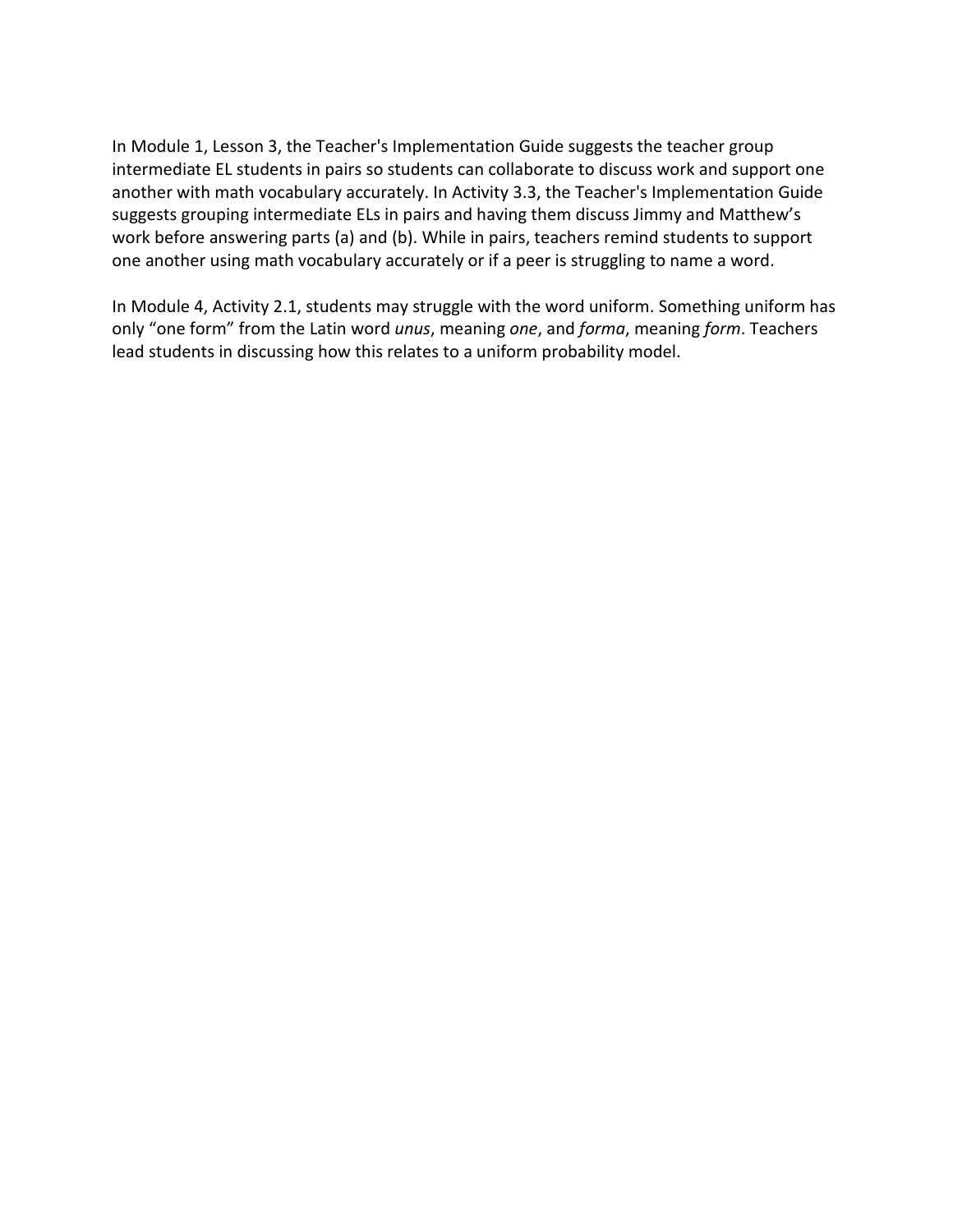intermediate EL students in pairs so students can collaborate to discuss work and support one another with math vocabulary accurately. In Activity 3.3, the Teacher's Implementation Guide suggests grouping intermediate ELs in pairs and having them discuss Jimmy and Matthew's one another using math vocabulary accurately or if a peer is struggling to name a word. In Module 1, Lesson 3, the Teacher's Implementation Guide suggests the teacher group work before answering parts (a) and (b). While in pairs, teachers remind students to support

 In Module 4, Activity 2.1, students may struggle with the word uniform. Something uniform has only "one form" from the Latin word *unus*, meaning *one*, and *forma*, meaning *form*. Teachers lead students in discussing how this relates to a uniform probability model.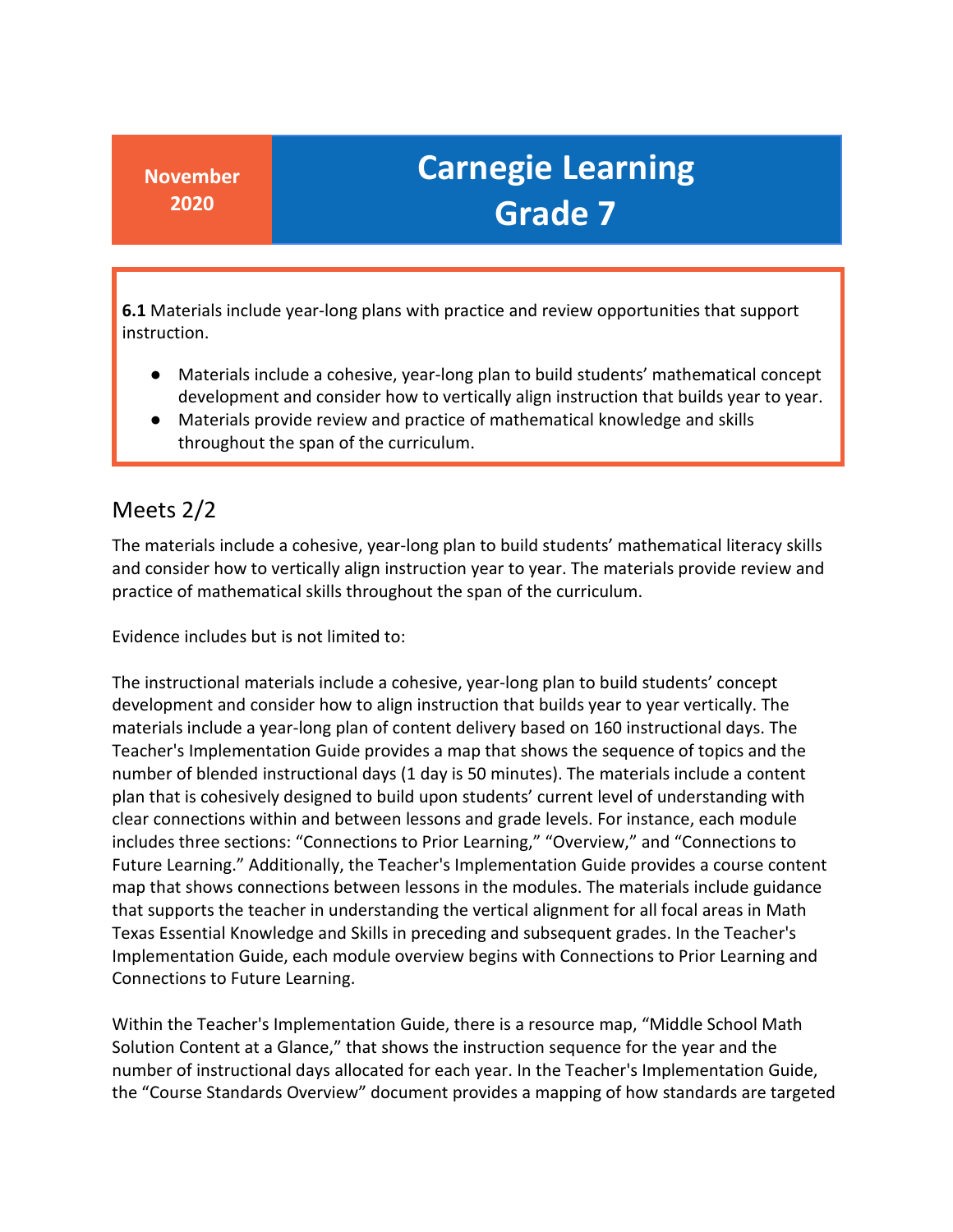**6.1** Materials include year-long plans with practice and review opportunities that support instruction.

- Materials include a cohesive, year-long plan to build students' mathematical concept development and consider how to vertically align instruction that builds year to year.
- Materials provide review and practice of mathematical knowledge and skills throughout the span of the curriculum.

### Meets 2/2

 and consider how to vertically align instruction year to year. The materials provide review and The materials include a cohesive, year-long plan to build students' mathematical literacy skills practice of mathematical skills throughout the span of the curriculum.

Evidence includes but is not limited to:

 includes three sections: "Connections to Prior Learning," "Overview," and "Connections to that supports the teacher in understanding the vertical alignment for all focal areas in Math Texas Essential Knowledge and Skills in preceding and subsequent grades. In the Teacher's The instructional materials include a cohesive, year-long plan to build students' concept development and consider how to align instruction that builds year to year vertically. The materials include a year-long plan of content delivery based on 160 instructional days. The Teacher's Implementation Guide provides a map that shows the sequence of topics and the number of blended instructional days (1 day is 50 minutes). The materials include a content plan that is cohesively designed to build upon students' current level of understanding with clear connections within and between lessons and grade levels. For instance, each module Future Learning." Additionally, the Teacher's Implementation Guide provides a course content map that shows connections between lessons in the modules. The materials include guidance Implementation Guide, each module overview begins with Connections to Prior Learning and Connections to Future Learning.

 Solution Content at a Glance," that shows the instruction sequence for the year and the Within the Teacher's Implementation Guide, there is a resource map, "Middle School Math number of instructional days allocated for each year. In the Teacher's Implementation Guide, the "Course Standards Overview" document provides a mapping of how standards are targeted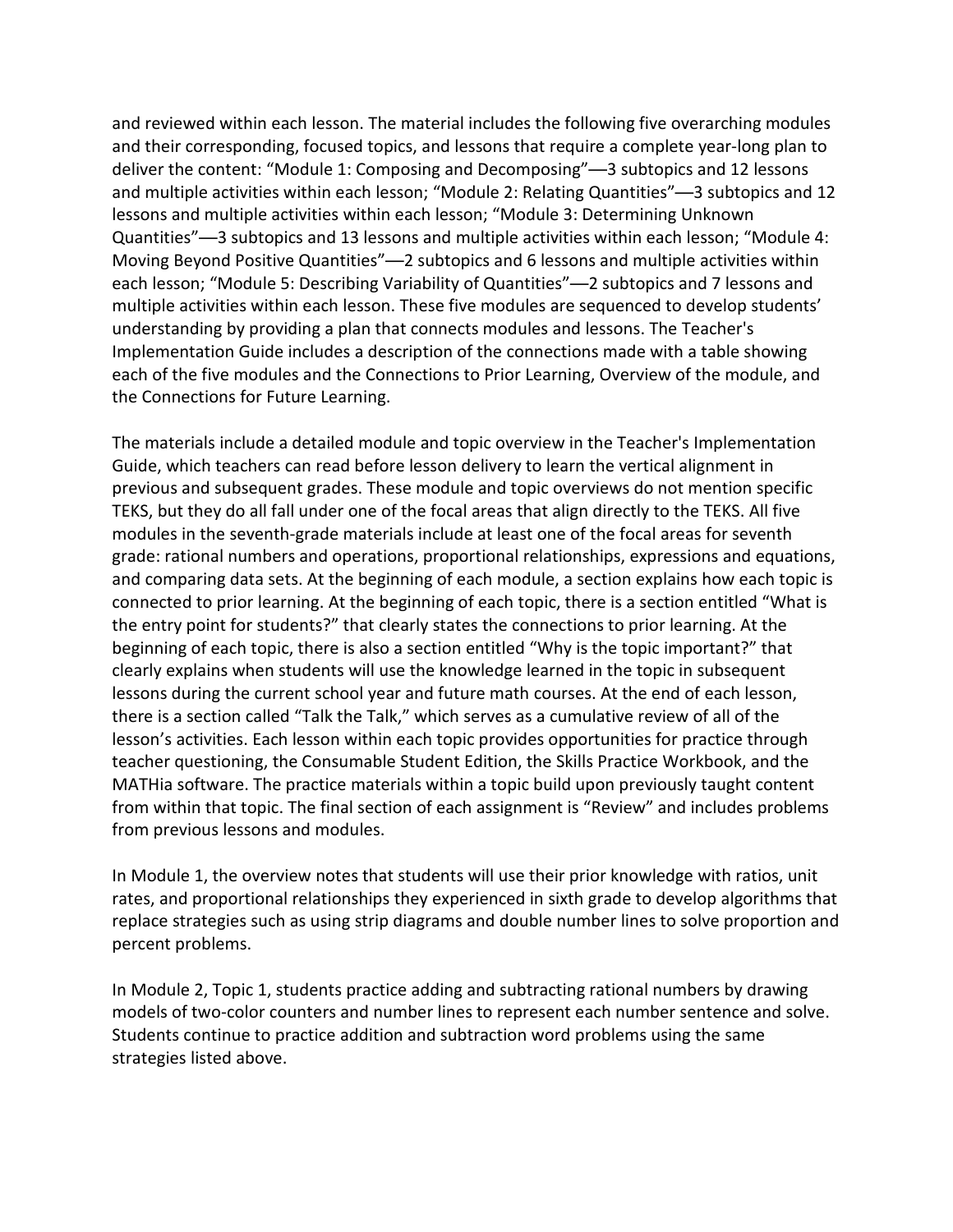and reviewed within each lesson. The material includes the following five overarching modules and their corresponding, focused topics, and lessons that require a complete year-long plan to deliver the content: "Module 1: Composing and Decomposing"—3 subtopics and 12 lessons Quantities"—3 subtopics and 13 lessons and multiple activities within each lesson; "Module 4: Moving Beyond Positive Quantities"—2 subtopics and 6 lessons and multiple activities within multiple activities within each lesson. These five modules are sequenced to develop students' Implementation Guide includes a description of the connections made with a table showing each of the five modules and the Connections to Prior Learning, Overview of the module, and and multiple activities within each lesson; "Module 2: Relating Quantities"—3 subtopics and 12 lessons and multiple activities within each lesson; "Module 3: Determining Unknown each lesson; "Module 5: Describing Variability of Quantities"—2 subtopics and 7 lessons and understanding by providing a plan that connects modules and lessons. The Teacher's the Connections for Future Learning.

 previous and subsequent grades. These module and topic overviews do not mention specific TEKS, but they do all fall under one of the focal areas that align directly to the TEKS. All five modules in the seventh-grade materials include at least one of the focal areas for seventh lesson's activities. Each lesson within each topic provides opportunities for practice through teacher questioning, the Consumable Student Edition, the Skills Practice Workbook, and the MATHia software. The practice materials within a topic build upon previously taught content The materials include a detailed module and topic overview in the Teacher's Implementation Guide, which teachers can read before lesson delivery to learn the vertical alignment in grade: rational numbers and operations, proportional relationships, expressions and equations, and comparing data sets. At the beginning of each module, a section explains how each topic is connected to prior learning. At the beginning of each topic, there is a section entitled "What is the entry point for students?" that clearly states the connections to prior learning. At the beginning of each topic, there is also a section entitled "Why is the topic important?" that clearly explains when students will use the knowledge learned in the topic in subsequent lessons during the current school year and future math courses. At the end of each lesson, there is a section called "Talk the Talk," which serves as a cumulative review of all of the from within that topic. The final section of each assignment is "Review" and includes problems from previous lessons and modules.

 In Module 1, the overview notes that students will use their prior knowledge with ratios, unit replace strategies such as using strip diagrams and double number lines to solve proportion and rates, and proportional relationships they experienced in sixth grade to develop algorithms that percent problems.

 In Module 2, Topic 1, students practice adding and subtracting rational numbers by drawing models of two-color counters and number lines to represent each number sentence and solve. Students continue to practice addition and subtraction word problems using the same strategies listed above.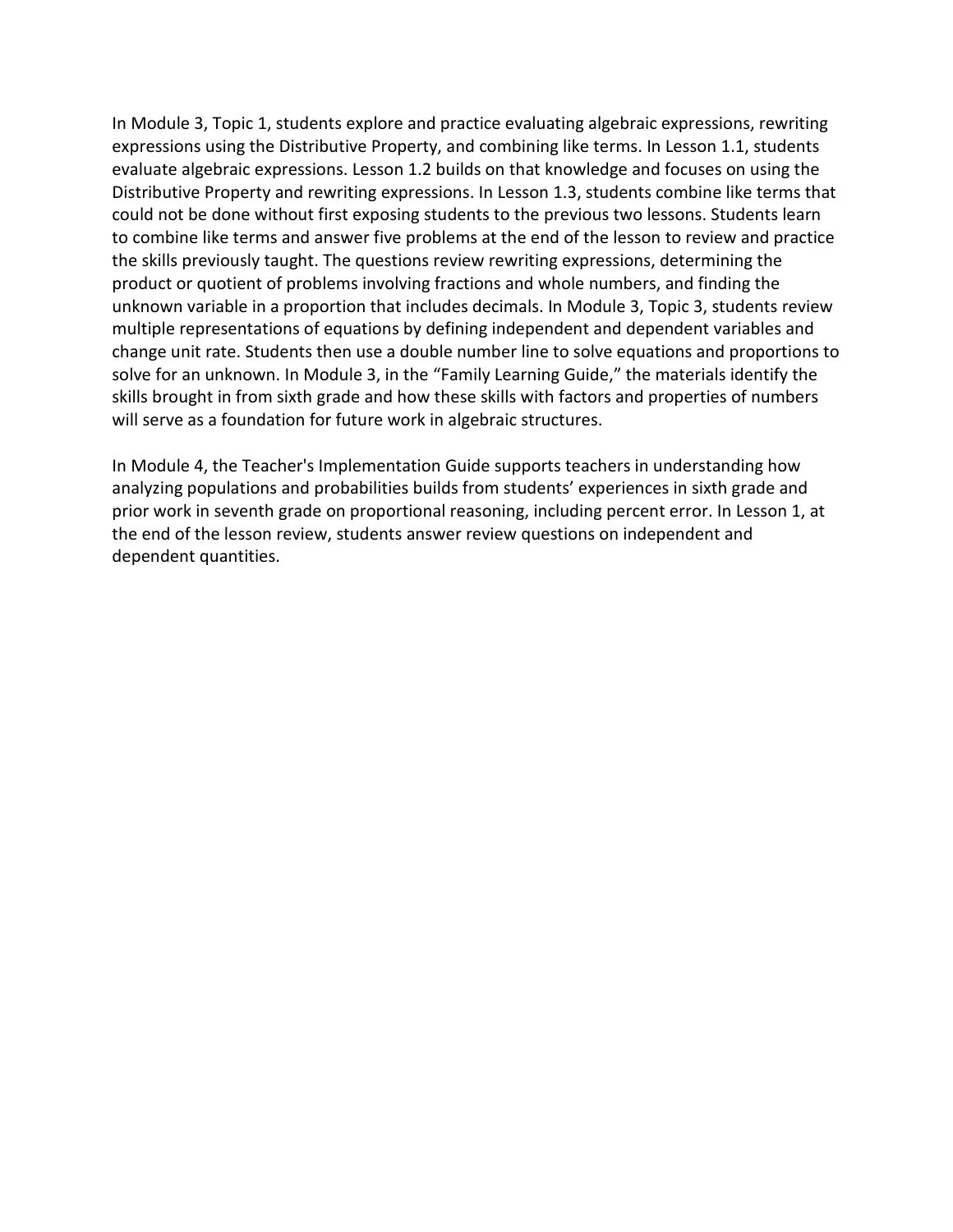In Module 3, Topic 1, students explore and practice evaluating algebraic expressions, rewriting evaluate algebraic expressions. Lesson 1.2 builds on that knowledge and focuses on using the solve for an unknown. In Module 3, in the "Family Learning Guide," the materials identify the expressions using the Distributive Property, and combining like terms. In Lesson 1.1, students Distributive Property and rewriting expressions. In Lesson 1.3, students combine like terms that could not be done without first exposing students to the previous two lessons. Students learn to combine like terms and answer five problems at the end of the lesson to review and practice the skills previously taught. The questions review rewriting expressions, determining the product or quotient of problems involving fractions and whole numbers, and finding the unknown variable in a proportion that includes decimals. In Module 3, Topic 3, students review multiple representations of equations by defining independent and dependent variables and change unit rate. Students then use a double number line to solve equations and proportions to skills brought in from sixth grade and how these skills with factors and properties of numbers will serve as a foundation for future work in algebraic structures.

 In Module 4, the Teacher's Implementation Guide supports teachers in understanding how analyzing populations and probabilities builds from students' experiences in sixth grade and prior work in seventh grade on proportional reasoning, including percent error. In Lesson 1, at the end of the lesson review, students answer review questions on independent and dependent quantities.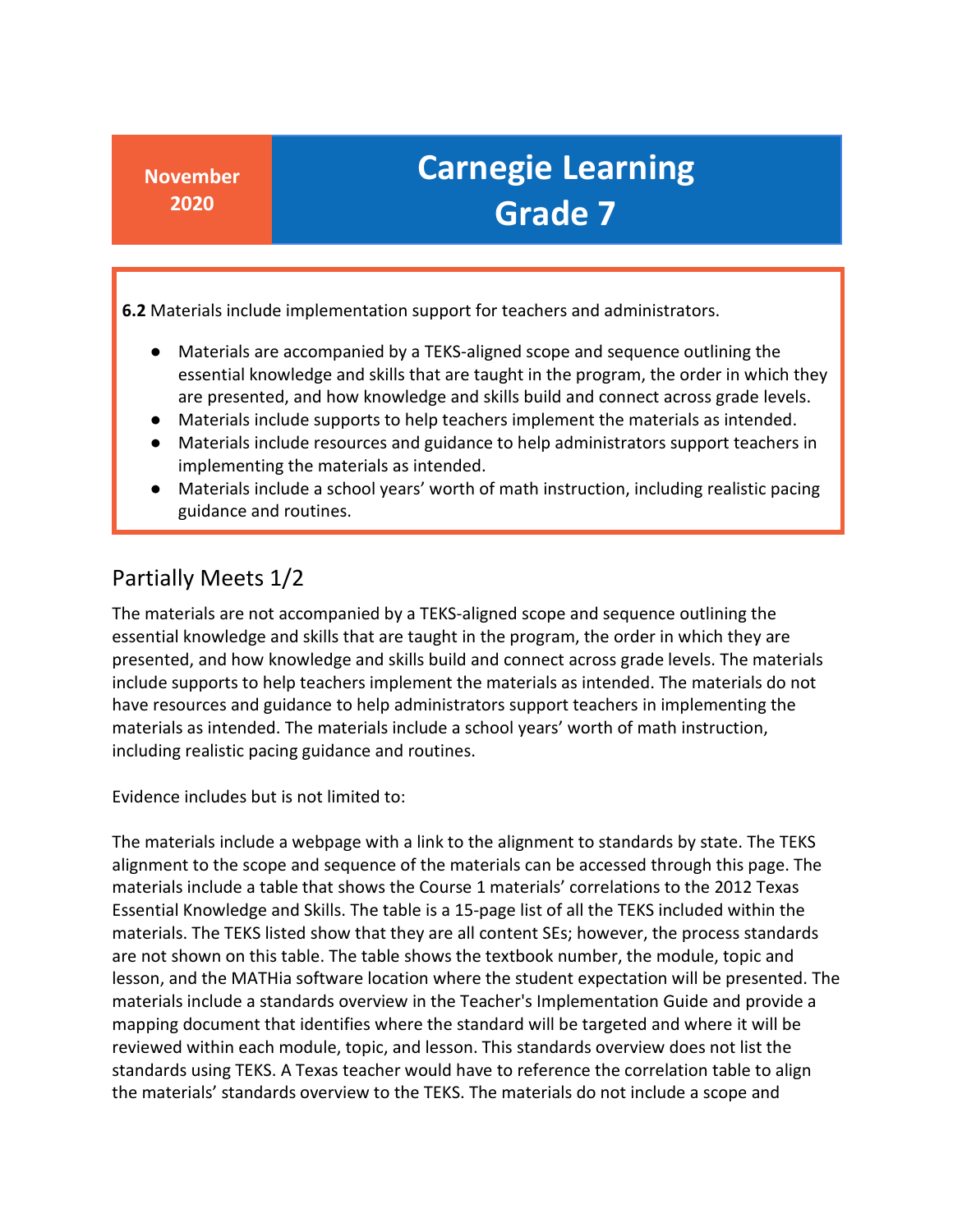**6.2** Materials include implementation support for teachers and administrators.

- Materials are accompanied by a TEKS-aligned scope and sequence outlining the essential knowledge and skills that are taught in the program, the order in which they are presented, and how knowledge and skills build and connect across grade levels.
- Materials include supports to help teachers implement the materials as intended.
- Materials include resources and guidance to help administrators support teachers in implementing the materials as intended.
- ● Materials include a school years' worth of math instruction, including realistic pacing guidance and routines.

#### Partially Meets 1/2

 The materials are not accompanied by a TEKS-aligned scope and sequence outlining the include supports to help teachers implement the materials as intended. The materials do not including realistic pacing guidance and routines. essential knowledge and skills that are taught in the program, the order in which they are presented, and how knowledge and skills build and connect across grade levels. The materials have resources and guidance to help administrators support teachers in implementing the materials as intended. The materials include a school years' worth of math instruction,

Evidence includes but is not limited to:

 The materials include a webpage with a link to the alignment to standards by state. The TEKS materials include a table that shows the Course 1 materials' correlations to the 2012 Texas materials. The TEKS listed show that they are all content SEs; however, the process standards are not shown on this table. The table shows the textbook number, the module, topic and lesson, and the MATHia software location where the student expectation will be presented. The materials include a standards overview in the Teacher's Implementation Guide and provide a mapping document that identifies where the standard will be targeted and where it will be reviewed within each module, topic, and lesson. This standards overview does not list the standards using TEKS. A Texas teacher would have to reference the correlation table to align the materials' standards overview to the TEKS. The materials do not include a scope and alignment to the scope and sequence of the materials can be accessed through this page. The Essential Knowledge and Skills. The table is a 15-page list of all the TEKS included within the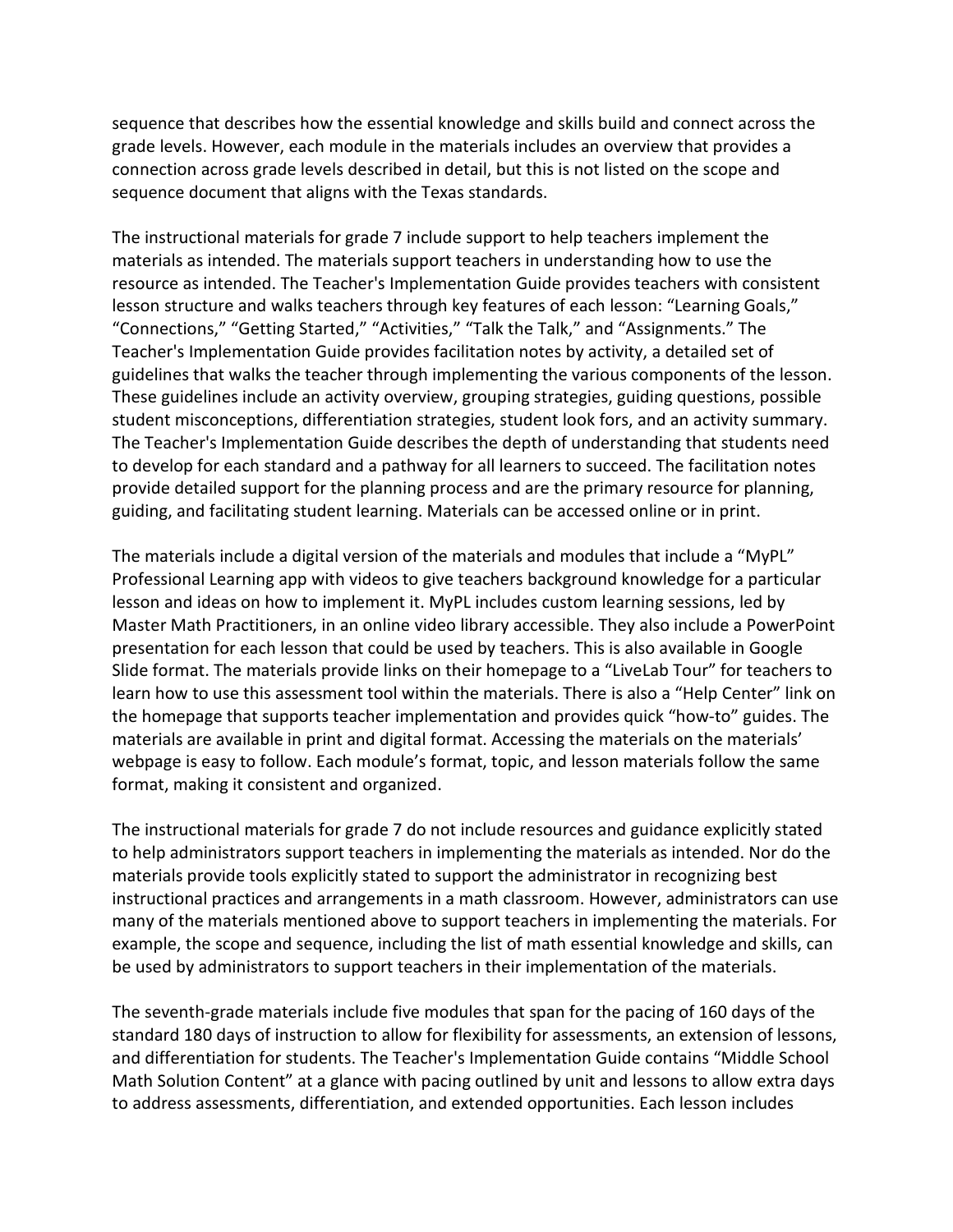sequence that describes how the essential knowledge and skills build and connect across the grade levels. However, each module in the materials includes an overview that provides a sequence document that aligns with the Texas standards. connection across grade levels described in detail, but this is not listed on the scope and

 materials as intended. The materials support teachers in understanding how to use the "Connections," "Getting Started," "Activities," "Talk the Talk," and "Assignments." The Teacher's Implementation Guide provides facilitation notes by activity, a detailed set of These guidelines include an activity overview, grouping strategies, guiding questions, possible to develop for each standard and a pathway for all learners to succeed. The facilitation notes guiding, and facilitating student learning. Materials can be accessed online or in print. The instructional materials for grade 7 include support to help teachers implement the resource as intended. The Teacher's Implementation Guide provides teachers with consistent lesson structure and walks teachers through key features of each lesson: "Learning Goals," guidelines that walks the teacher through implementing the various components of the lesson. student misconceptions, differentiation strategies, student look fors, and an activity summary. The Teacher's Implementation Guide describes the depth of understanding that students need provide detailed support for the planning process and are the primary resource for planning,

 The materials include a digital version of the materials and modules that include a "MyPL" presentation for each lesson that could be used by teachers. This is also available in Google Slide format. The materials provide links on their homepage to a "LiveLab Tour" for teachers to learn how to use this assessment tool within the materials. There is also a "Help Center" link on materials are available in print and digital format. Accessing the materials on the materials' webpage is easy to follow. Each module's format, topic, and lesson materials follow the same Professional Learning app with videos to give teachers background knowledge for a particular lesson and ideas on how to implement it. MyPL includes custom learning sessions, led by Master Math Practitioners, in an online video library accessible. They also include a PowerPoint the homepage that supports teacher implementation and provides quick "how-to" guides. The format, making it consistent and organized.

 to help administrators support teachers in implementing the materials as intended. Nor do the many of the materials mentioned above to support teachers in implementing the materials. For be used by administrators to support teachers in their implementation of the materials. The instructional materials for grade 7 do not include resources and guidance explicitly stated materials provide tools explicitly stated to support the administrator in recognizing best instructional practices and arrangements in a math classroom. However, administrators can use example, the scope and sequence, including the list of math essential knowledge and skills, can

 The seventh-grade materials include five modules that span for the pacing of 160 days of the standard 180 days of instruction to allow for flexibility for assessments, an extension of lessons, and differentiation for students. The Teacher's Implementation Guide contains "Middle School Math Solution Content" at a glance with pacing outlined by unit and lessons to allow extra days to address assessments, differentiation, and extended opportunities. Each lesson includes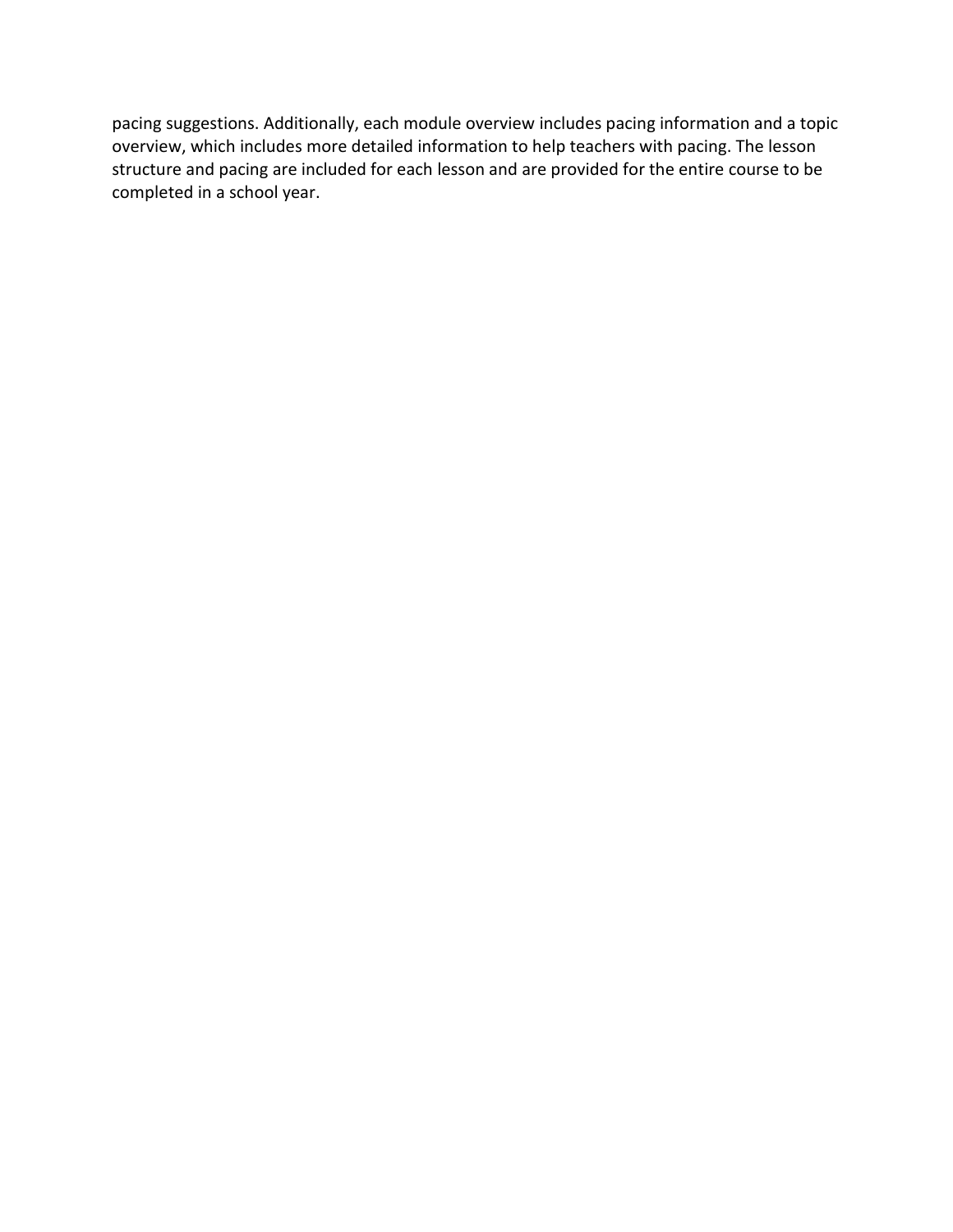structure and pacing are included for each lesson and are provided for the entire course to be pacing suggestions. Additionally, each module overview includes pacing information and a topic overview, which includes more detailed information to help teachers with pacing. The lesson completed in a school year.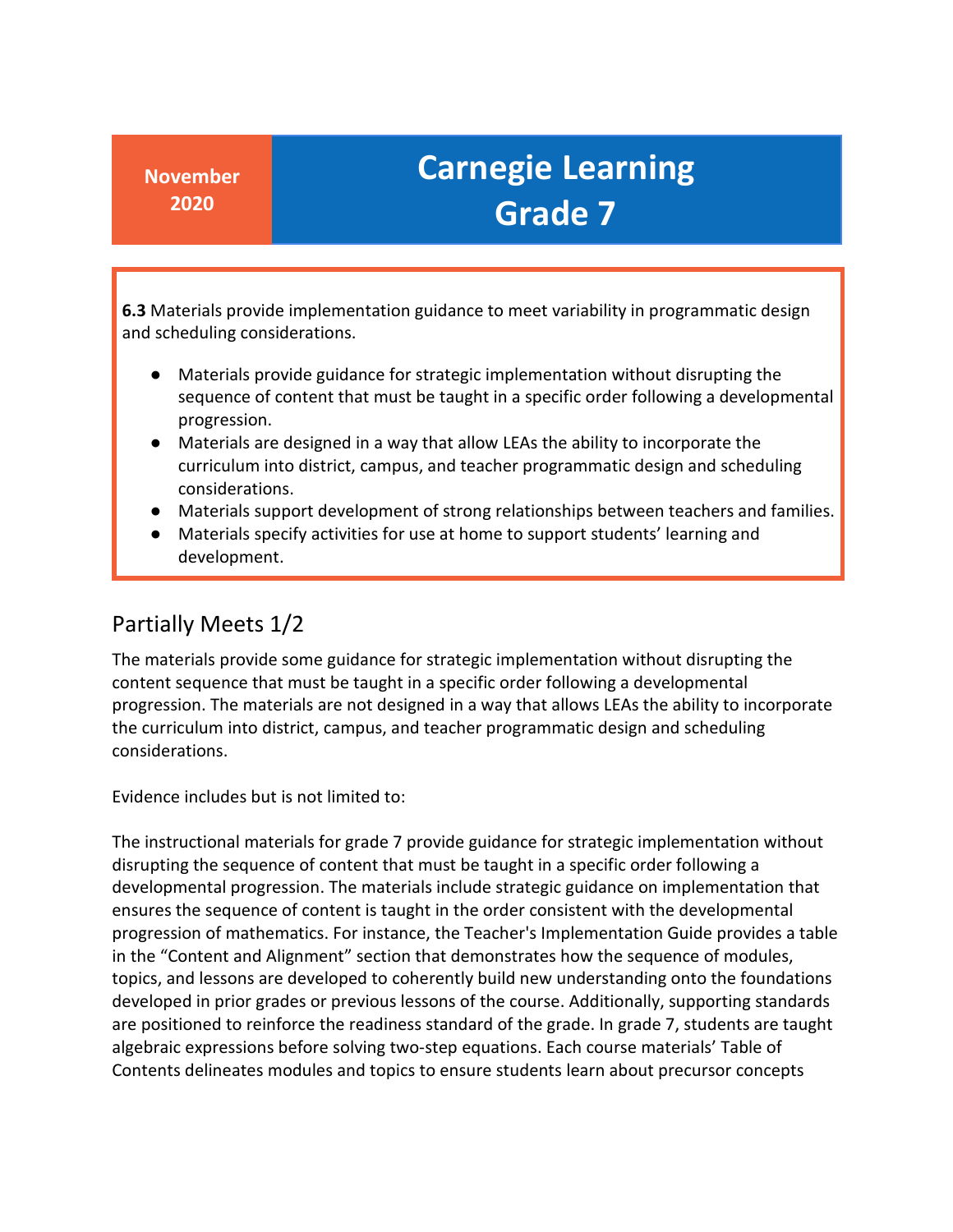**6.3** Materials provide implementation guidance to meet variability in programmatic design and scheduling considerations.

- Materials provide guidance for strategic implementation without disrupting the sequence of content that must be taught in a specific order following a developmental progression.
- ● Materials are designed in a way that allow LEAs the ability to incorporate the curriculum into district, campus, and teacher programmatic design and scheduling considerations.
- Materials support development of strong relationships between teachers and families.
- Materials specify activities for use at home to support students' learning and development.

#### Partially Meets 1/2

 The materials provide some guidance for strategic implementation without disrupting the content sequence that must be taught in a specific order following a developmental progression. The materials are not designed in a way that allows LEAs the ability to incorporate the curriculum into district, campus, and teacher programmatic design and scheduling considerations.

Evidence includes but is not limited to:

 disrupting the sequence of content that must be taught in a specific order following a are positioned to reinforce the readiness standard of the grade. In grade 7, students are taught The instructional materials for grade 7 provide guidance for strategic implementation without developmental progression. The materials include strategic guidance on implementation that ensures the sequence of content is taught in the order consistent with the developmental progression of mathematics. For instance, the Teacher's Implementation Guide provides a table in the "Content and Alignment" section that demonstrates how the sequence of modules, topics, and lessons are developed to coherently build new understanding onto the foundations developed in prior grades or previous lessons of the course. Additionally, supporting standards algebraic expressions before solving two-step equations. Each course materials' Table of Contents delineates modules and topics to ensure students learn about precursor concepts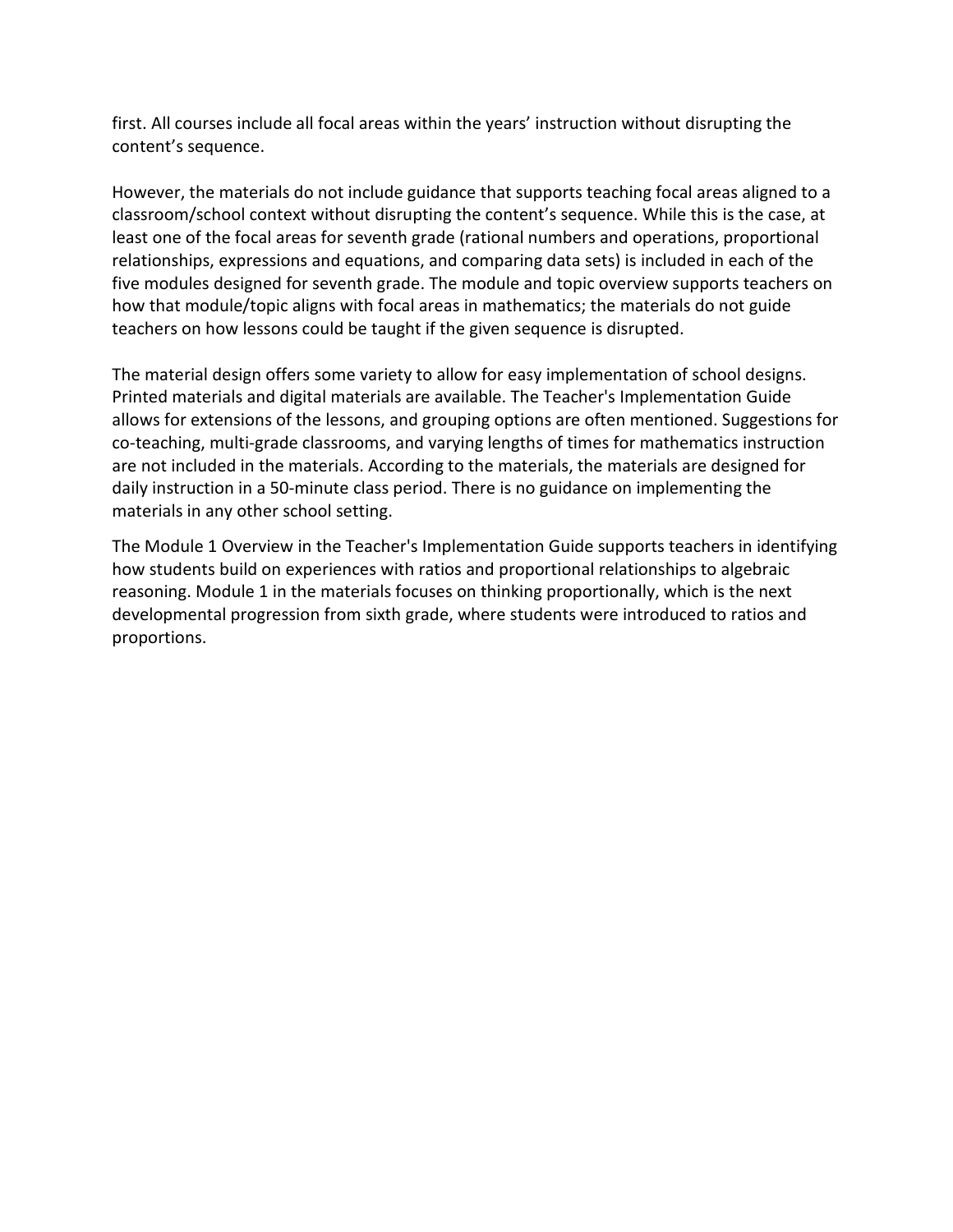first. All courses include all focal areas within the years' instruction without disrupting the content's sequence.

 However, the materials do not include guidance that supports teaching focal areas aligned to a five modules designed for seventh grade. The module and topic overview supports teachers on how that module/topic aligns with focal areas in mathematics; the materials do not guide teachers on how lessons could be taught if the given sequence is disrupted. classroom/school context without disrupting the content's sequence. While this is the case, at least one of the focal areas for seventh grade (rational numbers and operations, proportional relationships, expressions and equations, and comparing data sets) is included in each of the

 Printed materials and digital materials are available. The Teacher's Implementation Guide are not included in the materials. According to the materials, the materials are designed for daily instruction in a 50-minute class period. There is no guidance on implementing the The material design offers some variety to allow for easy implementation of school designs. allows for extensions of the lessons, and grouping options are often mentioned. Suggestions for co-teaching, multi-grade classrooms, and varying lengths of times for mathematics instruction materials in any other school setting.

The Module 1 Overview in the Teacher's Implementation Guide supports teachers in identifying how students build on experiences with ratios and proportional relationships to algebraic reasoning. Module 1 in the materials focuses on thinking proportionally, which is the next developmental progression from sixth grade, where students were introduced to ratios and proportions.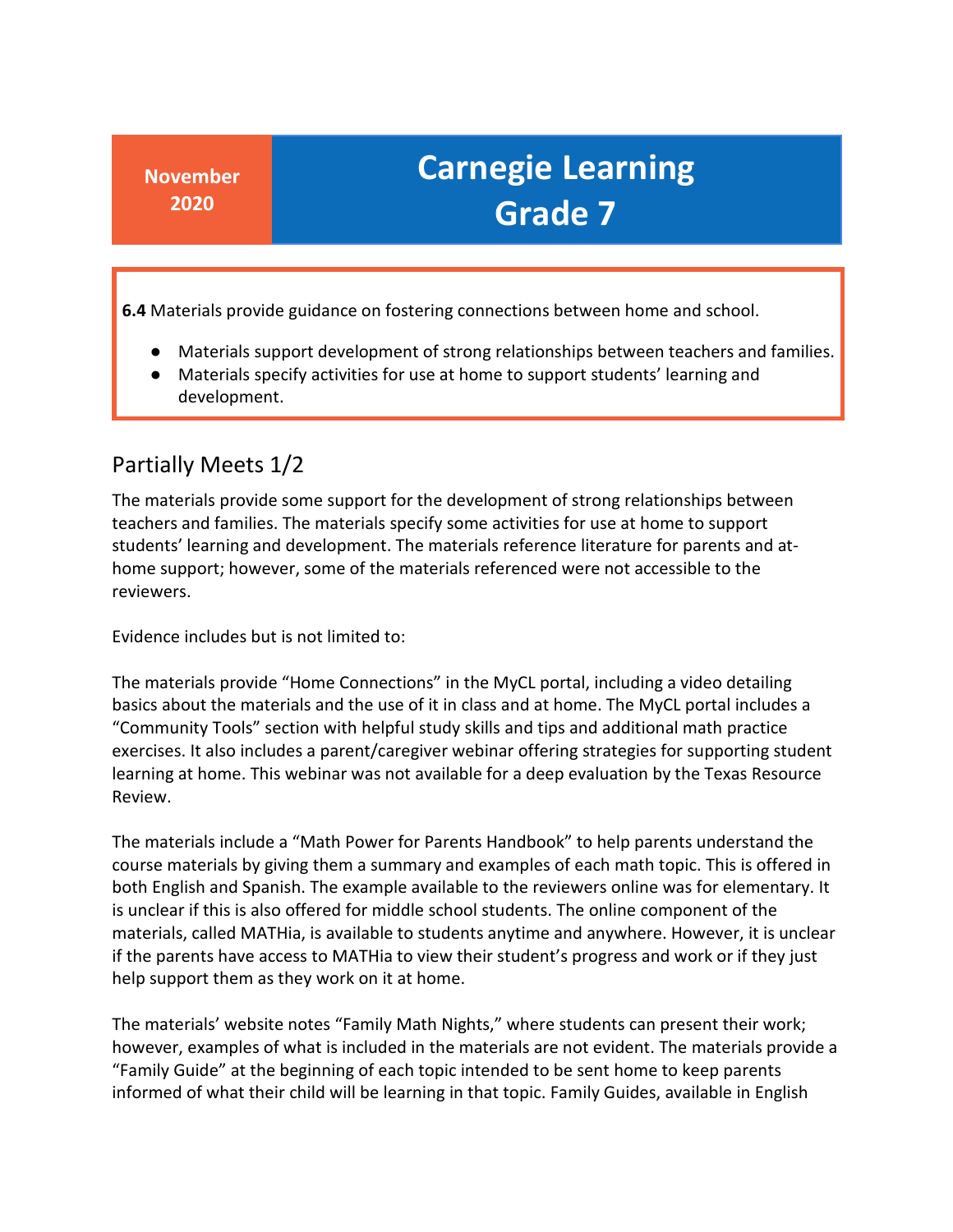**6.4** Materials provide guidance on fostering connections between home and school.

- Materials support development of strong relationships between teachers and families.
- Materials specify activities for use at home to support students' learning and development.

#### Partially Meets 1/2

 teachers and families. The materials specify some activities for use at home to support home support; however, some of the materials referenced were not accessible to the The materials provide some support for the development of strong relationships between students' learning and development. The materials reference literature for parents and atreviewers.

Evidence includes but is not limited to:

 basics about the materials and the use of it in class and at home. The MyCL portal includes a The materials provide "Home Connections" in the MyCL portal, including a video detailing "Community Tools" section with helpful study skills and tips and additional math practice exercises. It also includes a parent/caregiver webinar offering strategies for supporting student learning at home. This webinar was not available for a deep evaluation by the Texas Resource Review.

 materials, called MATHia, is available to students anytime and anywhere. However, it is unclear The materials include a "Math Power for Parents Handbook" to help parents understand the course materials by giving them a summary and examples of each math topic. This is offered in both English and Spanish. The example available to the reviewers online was for elementary. It is unclear if this is also offered for middle school students. The online component of the if the parents have access to MATHia to view their student's progress and work or if they just help support them as they work on it at home.

 however, examples of what is included in the materials are not evident. The materials provide a The materials' website notes "Family Math Nights," where students can present their work; "Family Guide" at the beginning of each topic intended to be sent home to keep parents informed of what their child will be learning in that topic. Family Guides, available in English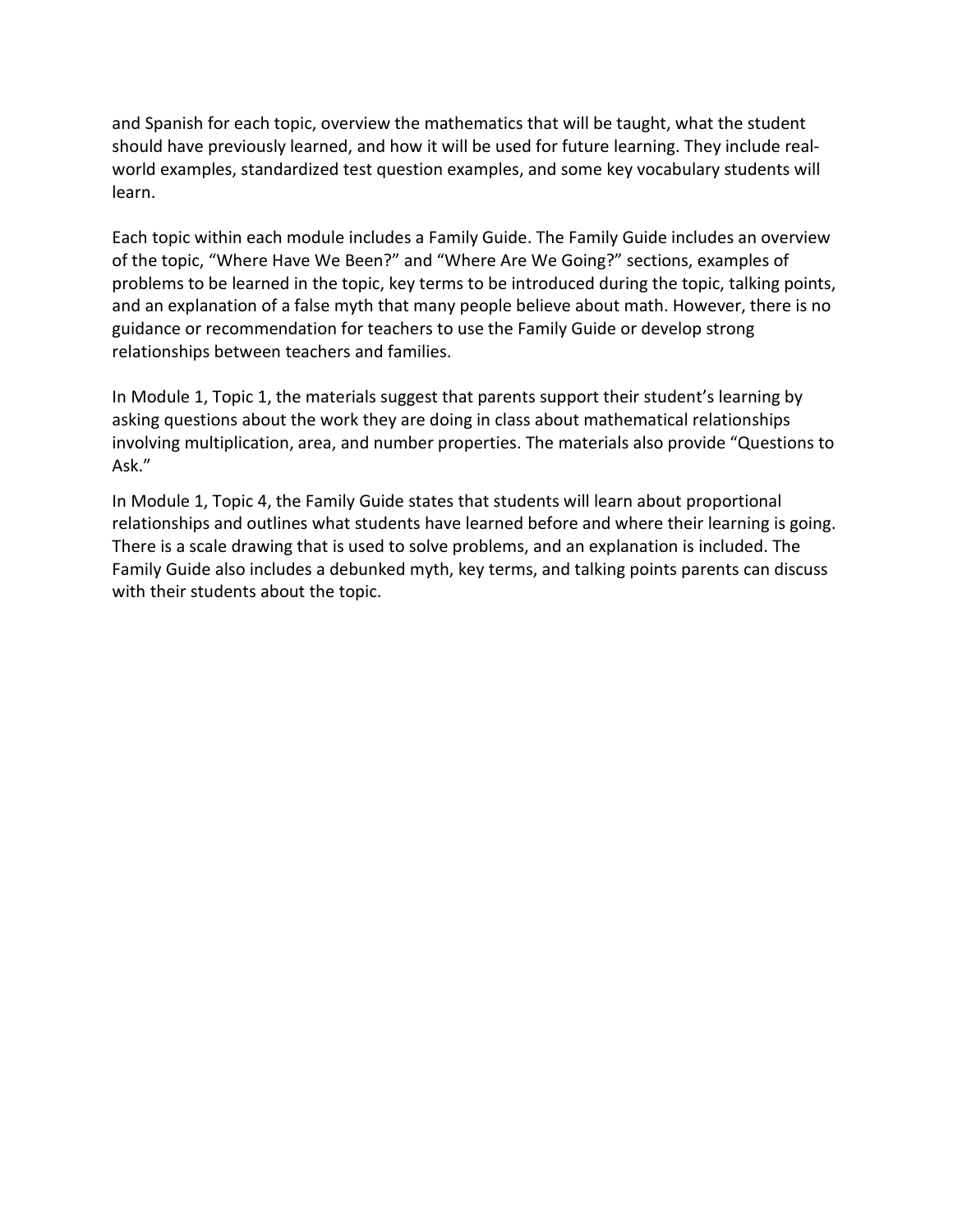should have previously learned, and how it will be used for future learning. They include real- world examples, standardized test question examples, and some key vocabulary students will and Spanish for each topic, overview the mathematics that will be taught, what the student learn.

 Each topic within each module includes a Family Guide. The Family Guide includes an overview problems to be learned in the topic, key terms to be introduced during the topic, talking points, and an explanation of a false myth that many people believe about math. However, there is no relationships between teachers and families. of the topic, "Where Have We Been?" and "Where Are We Going?" sections, examples of guidance or recommendation for teachers to use the Family Guide or develop strong

 In Module 1, Topic 1, the materials suggest that parents support their student's learning by involving multiplication, area, and number properties. The materials also provide "Questions to asking questions about the work they are doing in class about mathematical relationships Ask."

 There is a scale drawing that is used to solve problems, and an explanation is included. The Family Guide also includes a debunked myth, key terms, and talking points parents can discuss with their students about the topic. In Module 1, Topic 4, the Family Guide states that students will learn about proportional relationships and outlines what students have learned before and where their learning is going.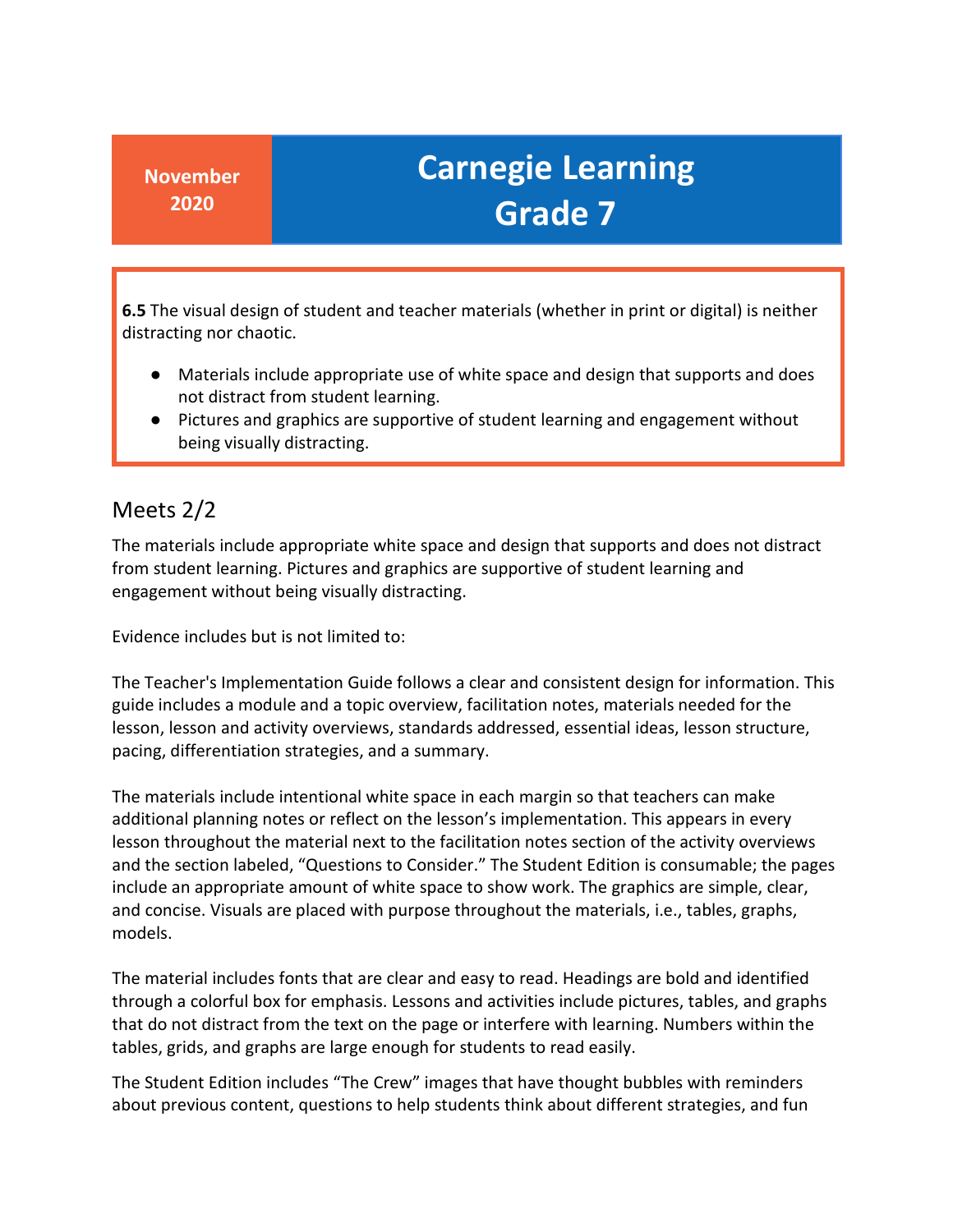**6.5** The visual design of student and teacher materials (whether in print or digital) is neither distracting nor chaotic.

- ● Materials include appropriate use of white space and design that supports and does not distract from student learning.
- Pictures and graphics are supportive of student learning and engagement without being visually distracting.

### Meets 2/2

The materials include appropriate white space and design that supports and does not distract from student learning. Pictures and graphics are supportive of student learning and engagement without being visually distracting.

Evidence includes but is not limited to:

 guide includes a module and a topic overview, facilitation notes, materials needed for the The Teacher's Implementation Guide follows a clear and consistent design for information. This lesson, lesson and activity overviews, standards addressed, essential ideas, lesson structure, pacing, differentiation strategies, and a summary.

 The materials include intentional white space in each margin so that teachers can make include an appropriate amount of white space to show work. The graphics are simple, clear, and concise. Visuals are placed with purpose throughout the materials, i.e., tables, graphs, additional planning notes or reflect on the lesson's implementation. This appears in every lesson throughout the material next to the facilitation notes section of the activity overviews and the section labeled, "Questions to Consider." The Student Edition is consumable; the pages models.

 The material includes fonts that are clear and easy to read. Headings are bold and identified tables, grids, and graphs are large enough for students to read easily. through a colorful box for emphasis. Lessons and activities include pictures, tables, and graphs that do not distract from the text on the page or interfere with learning. Numbers within the

The Student Edition includes "The Crew" images that have thought bubbles with reminders about previous content, questions to help students think about different strategies, and fun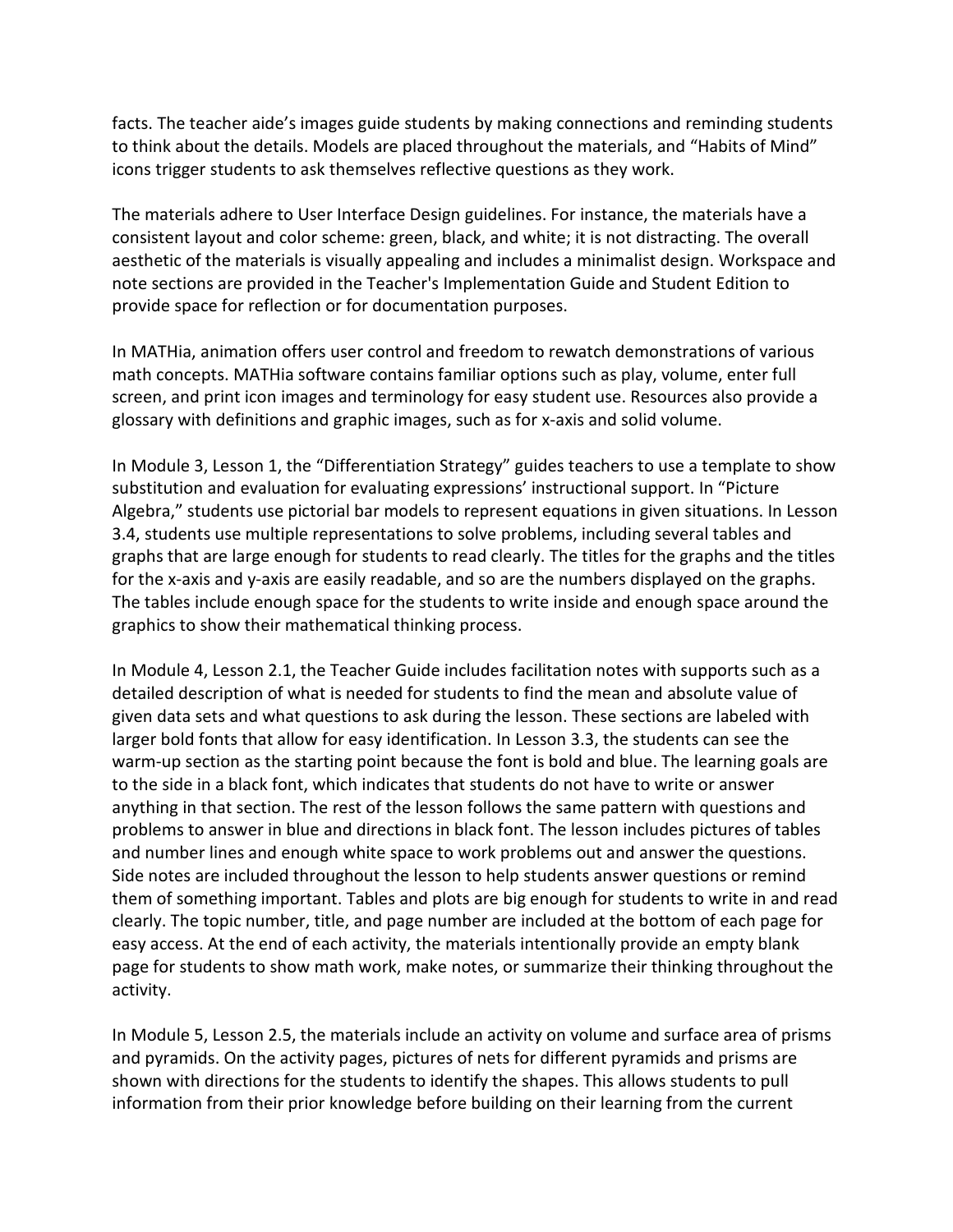icons trigger students to ask themselves reflective questions as they work. facts. The teacher aide's images guide students by making connections and reminding students to think about the details. Models are placed throughout the materials, and "Habits of Mind"

 consistent layout and color scheme: green, black, and white; it is not distracting. The overall aesthetic of the materials is visually appealing and includes a minimalist design. Workspace and The materials adhere to [User Interface Design](https://www.interaction-design.org/literature/article/user-interface-design-guidelines-10-rules-of-thumb) guidelines. For instance, the materials have a note sections are provided in the Teacher's Implementation Guide and Student Edition to provide space for reflection or for documentation purposes.

 In MATHia, animation offers user control and freedom to rewatch demonstrations of various glossary with definitions and graphic images, such as for x-axis and solid volume. math concepts. MATHia software contains familiar options such as play, volume, enter full screen, and print icon images and terminology for easy student use. Resources also provide a

 In Module 3, Lesson 1, the "Differentiation Strategy" guides teachers to use a template to show Algebra," students use pictorial bar models to represent equations in given situations. In Lesson graphs that are large enough for students to read clearly. The titles for the graphs and the titles for the x-axis and y-axis are easily readable, and so are the numbers displayed on the graphs. The tables include enough space for the students to write inside and enough space around the graphics to show their mathematical thinking process. substitution and evaluation for evaluating expressions' instructional support. In "Picture 3.4, students use multiple representations to solve problems, including several tables and

 warm-up section as the starting point because the font is bold and blue. The learning goals are to the side in a black font, which indicates that students do not have to write or answer anything in that section. The rest of the lesson follows the same pattern with questions and problems to answer in blue and directions in black font. The lesson includes pictures of tables and number lines and enough white space to work problems out and answer the questions. Side notes are included throughout the lesson to help students answer questions or remind easy access. At the end of each activity, the materials intentionally provide an empty blank page for students to show math work, make notes, or summarize their thinking throughout the In Module 4, Lesson 2.1, the Teacher Guide includes facilitation notes with supports such as a detailed description of what is needed for students to find the mean and absolute value of given data sets and what questions to ask during the lesson. These sections are labeled with larger bold fonts that allow for easy identification. In Lesson 3.3, the students can see the them of something important. Tables and plots are big enough for students to write in and read clearly. The topic number, title, and page number are included at the bottom of each page for activity.

 shown with directions for the students to identify the shapes. This allows students to pull In Module 5, Lesson 2.5, the materials include an activity on volume and surface area of prisms and pyramids. On the activity pages, pictures of nets for different pyramids and prisms are information from their prior knowledge before building on their learning from the current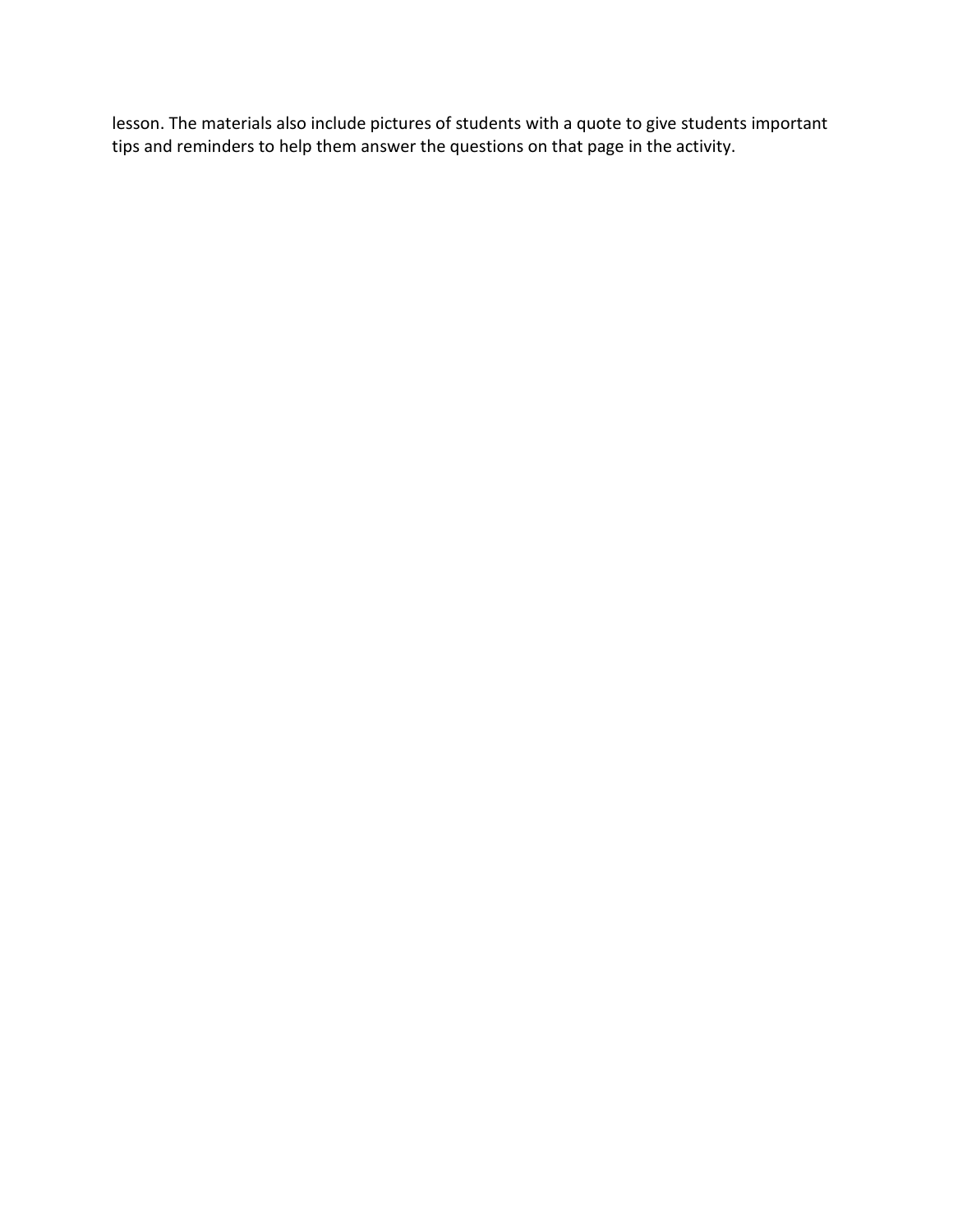lesson. The materials also include pictures of students with a quote to give students important tips and reminders to help them answer the questions on that page in the activity.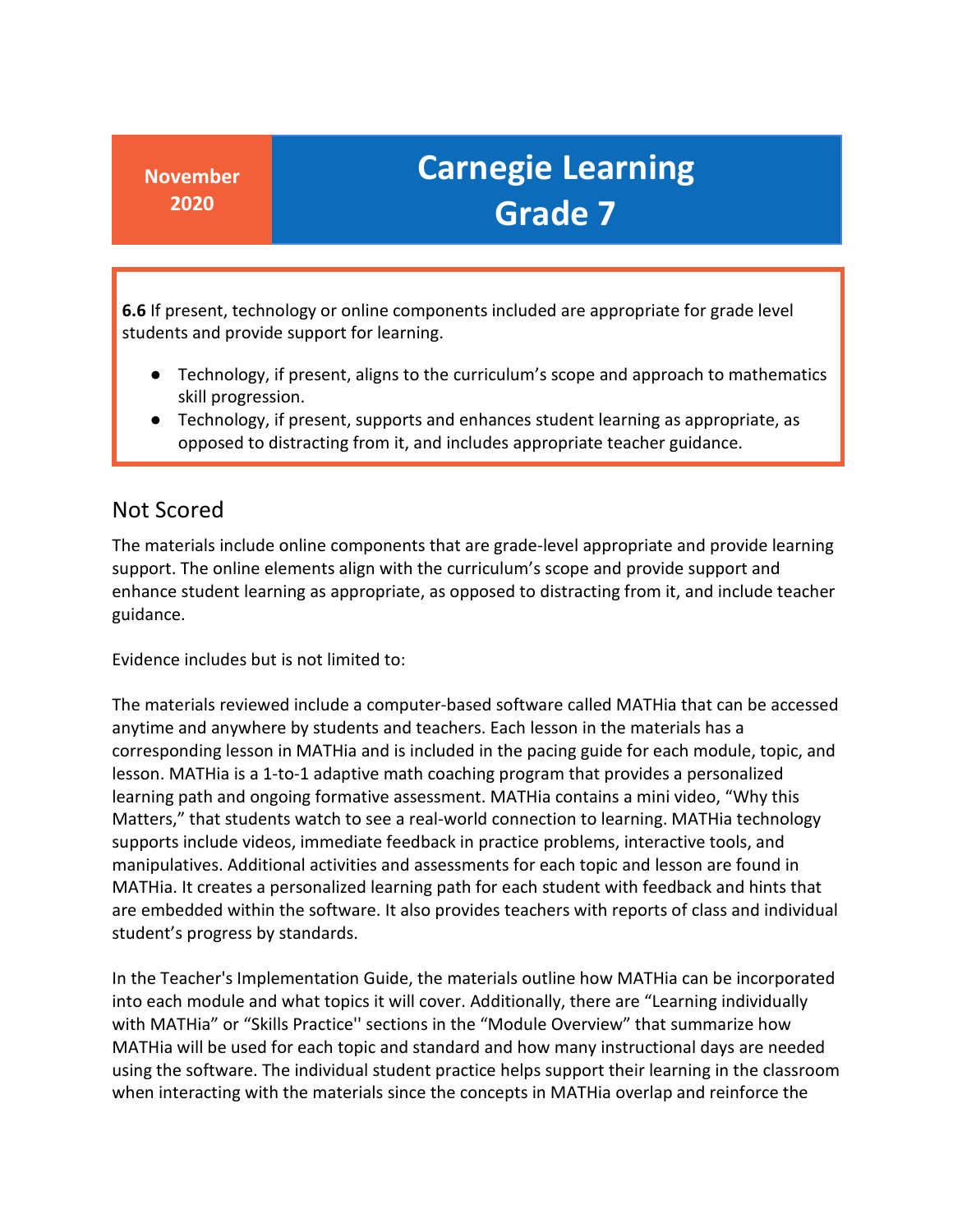students and provide support for learning. **6.6** If present, technology or online components included are appropriate for grade level

- Technology, if present, aligns to the curriculum's scope and approach to mathematics skill progression.
- ● Technology, if present, supports and enhances student learning as appropriate, as opposed to distracting from it, and includes appropriate teacher guidance.

#### Not Scored

 The materials include online components that are grade-level appropriate and provide learning enhance student learning as appropriate, as opposed to distracting from it, and include teacher support. The online elements align with the curriculum's scope and provide support and guidance.

Evidence includes but is not limited to:

 The materials reviewed include a computer-based software called MATHia that can be accessed anytime and anywhere by students and teachers. Each lesson in the materials has a corresponding lesson in MATHia and is included in the pacing guide for each module, topic, and learning path and ongoing formative assessment. MATHia contains a mini video, "Why this supports include videos, immediate feedback in practice problems, interactive tools, and manipulatives. Additional activities and assessments for each topic and lesson are found in MATHia. It creates a personalized learning path for each student with feedback and hints that are embedded within the software. It also provides teachers with reports of class and individual lesson. MATHia is a 1-to-1 adaptive math coaching program that provides a personalized Matters," that students watch to see a real-world connection to learning. MATHia technology student's progress by standards.

 MATHia will be used for each topic and standard and how many instructional days are needed when interacting with the materials since the concepts in MATHia overlap and reinforce the In the Teacher's Implementation Guide, the materials outline how MATHia can be incorporated into each module and what topics it will cover. Additionally, there are "Learning individually with MATHia" or "Skills Practice'' sections in the "Module Overview" that summarize how using the software. The individual student practice helps support their learning in the classroom